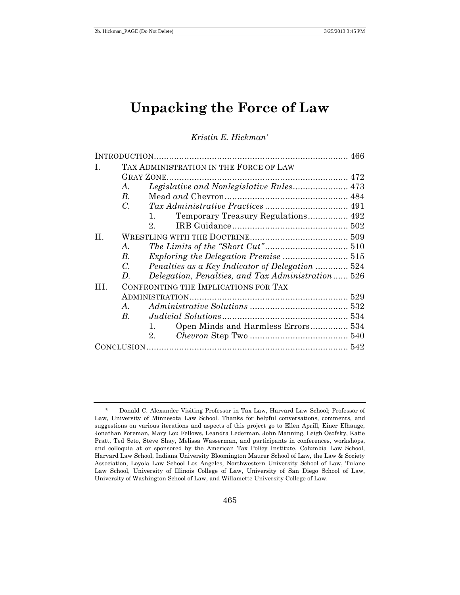# **Unpacking the Force of Law**

*Kristin E. Hickman\**

| L   | TAX ADMINISTRATION IN THE FORCE OF LAW                         |  |
|-----|----------------------------------------------------------------|--|
|     | <b>GRAY ZONE.</b>                                              |  |
|     | Legislative and Nonlegislative Rules 473<br>А.                 |  |
|     | $B_{\cdot}$                                                    |  |
|     | $\mathcal{C}$ .                                                |  |
|     | Temporary Treasury Regulations 492<br>1.                       |  |
|     | $2_{-}$                                                        |  |
| H.  |                                                                |  |
|     | A.                                                             |  |
|     | Exploring the Delegation Premise  515<br>$B_{\cdot}$           |  |
|     | Penalties as a Key Indicator of Delegation  524<br>$C_{\cdot}$ |  |
|     | Delegation, Penalties, and Tax Administration 526<br>D.        |  |
| TH. | CONFRONTING THE IMPLICATIONS FOR TAX                           |  |
|     |                                                                |  |
|     | A.                                                             |  |
|     | $B_{\cdot}$                                                    |  |
|     | Open Minds and Harmless Errors 534<br>1.                       |  |
|     | 2.                                                             |  |
|     |                                                                |  |

<sup>\*</sup> Donald C. Alexander Visiting Professor in Tax Law, Harvard Law School; Professor of Law, University of Minnesota Law School. Thanks for helpful conversations, comments, and suggestions on various iterations and aspects of this project go to Ellen Aprill, Einer Elhauge, Jonathan Foreman, Mary Lou Fellows, Leandra Lederman, John Manning, Leigh Osofsky, Katie Pratt, Ted Seto, Steve Shay, Melissa Wasserman, and participants in conferences, workshops, and colloquia at or sponsored by the American Tax Policy Institute, Columbia Law School, Harvard Law School, Indiana University Bloomington Maurer School of Law, the Law & Society Association, Loyola Law School Los Angeles, Northwestern University School of Law, Tulane Law School, University of Illinois College of Law, University of San Diego School of Law, University of Washington School of Law, and Willamette University College of Law.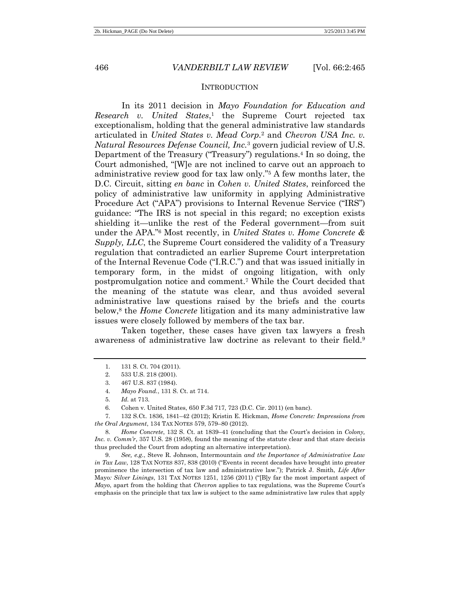#### **INTRODUCTION**

In its 2011 decision in *Mayo Foundation for Education and Research v. United States*, <sup>1</sup> the Supreme Court rejected tax exceptionalism, holding that the general administrative law standards articulated in *United States v. Mead Corp.*<sup>2</sup> and *Chevron USA Inc. v. Natural Resources Defense Council, Inc.*<sup>3</sup> govern judicial review of U.S. Department of the Treasury ("Treasury") regulations.<sup>4</sup> In so doing, the Court admonished, "[W]e are not inclined to carve out an approach to administrative review good for tax law only." <sup>5</sup> A few months later, the D.C. Circuit, sitting *en banc* in *Cohen v. United States*, reinforced the policy of administrative law uniformity in applying Administrative Procedure Act ("APA") provisions to Internal Revenue Service ("IRS") guidance: "The IRS is not special in this regard; no exception exists shielding it—unlike the rest of the Federal government—from suit under the APA." <sup>6</sup> Most recently, in *United States v. Home Concrete & Supply, LLC*, the Supreme Court considered the validity of a Treasury regulation that contradicted an earlier Supreme Court interpretation of the Internal Revenue Code ("I.R.C.") and that was issued initially in temporary form, in the midst of ongoing litigation, with only postpromulgation notice and comment.<sup>7</sup> While the Court decided that the meaning of the statute was clear, and thus avoided several administrative law questions raised by the briefs and the courts below,<sup>8</sup> the *Home Concrete* litigation and its many administrative law issues were closely followed by members of the tax bar.

Taken together, these cases have given tax lawyers a fresh awareness of administrative law doctrine as relevant to their field. 9

7. 132 S.Ct. 1836, 1841–42 (2012); Kristin E. Hickman, *Home Concrete: Impressions from the Oral Argument*, 134 TAX NOTES 579, 579–80 (2012).

8. *Home Concrete*, 132 S. Ct. at 1839–41 (concluding that the Court's decision in *Colony, Inc. v. Comm'r*, 357 U.S. 28 (1958), found the meaning of the statute clear and that stare decisis thus precluded the Court from adopting an alternative interpretation).

9. *See, e.g.*, Steve R. Johnson, Intermountain *and the Importance of Administrative Law in Tax Law*, 128 TAX NOTES 837, 838 (2010) ("Events in recent decades have brought into greater prominence the intersection of tax law and administrative law."); Patrick J. Smith, *Life After* Mayo*: Silver Linings*, 131 TAX NOTES 1251, 1256 (2011) ("[B]y far the most important aspect of *Mayo*, apart from the holding that *Chevron* applies to tax regulations, was the Supreme Court's emphasis on the principle that tax law is subject to the same administrative law rules that apply

<sup>1.</sup> 131 S. Ct. 704 (2011).

<sup>2.</sup> 533 U.S. 218 (2001).

<sup>3.</sup> 467 U.S. 837 (1984).

<sup>4.</sup> *Mayo Found.*, 131 S. Ct. at 714.

<sup>5.</sup> *Id.* at 713.

<sup>6.</sup> Cohen v. United States, 650 F.3d 717, 723 (D.C. Cir. 2011) (en banc).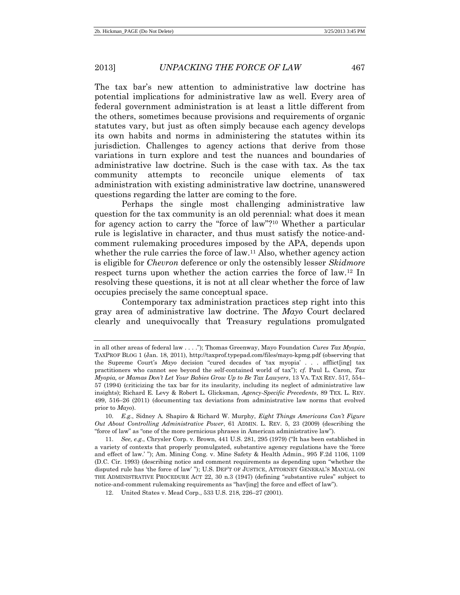The tax bar's new attention to administrative law doctrine has potential implications for administrative law as well. Every area of federal government administration is at least a little different from the others, sometimes because provisions and requirements of organic statutes vary, but just as often simply because each agency develops its own habits and norms in administering the statutes within its jurisdiction. Challenges to agency actions that derive from those variations in turn explore and test the nuances and boundaries of administrative law doctrine. Such is the case with tax. As the tax community attempts to reconcile unique elements of tax administration with existing administrative law doctrine, unanswered questions regarding the latter are coming to the fore.

Perhaps the single most challenging administrative law question for the tax community is an old perennial: what does it mean for agency action to carry the "force of law"? <sup>10</sup> Whether a particular rule is legislative in character, and thus must satisfy the notice-andcomment rulemaking procedures imposed by the APA, depends upon whether the rule carries the force of law.<sup>11</sup> Also, whether agency action is eligible for *Chevron* deference or only the ostensibly lesser *Skidmore* respect turns upon whether the action carries the force of law.<sup>12</sup> In resolving these questions, it is not at all clear whether the force of law occupies precisely the same conceptual space.

Contemporary tax administration practices step right into this gray area of administrative law doctrine. The *Mayo* Court declared clearly and unequivocally that Treasury regulations promulgated

in all other areas of federal law . . . ."); Thomas Greenway, Mayo Foundation *Cures Tax Myopia*, TAXPROF BLOG 1 (Jan. 18, 2011), http://taxprof.typepad.com/files/mayo-kpmg.pdf (observing that the Supreme Court's *Mayo* decision "cured decades of 'tax myopia' . . . afflict[ing] tax practitioners who cannot see beyond the self-contained world of tax"); *cf.* Paul L. Caron, *Tax Myopia, or Mamas Don't Let Your Babies Grow Up to Be Tax Lawyers*, 13 VA. TAX REV. 517, 554– 57 (1994) (criticizing the tax bar for its insularity, including its neglect of administrative law insights); Richard E. Levy & Robert L. Glicksman, *Agency-Specific Precedents*, 89 TEX. L. REV. 499, 516–26 (2011) (documenting tax deviations from administrative law norms that evolved prior to *Mayo*).

<sup>10.</sup> *E.g.*, Sidney A. Shapiro & Richard W. Murphy, *Eight Things Americans Can't Figure Out About Controlling Administrative Power*, 61 ADMIN. L. REV. 5, 23 (2009) (describing the "force of law" as "one of the more pernicious phrases in American administrative law").

<sup>11.</sup> *See, e.g.*, Chrysler Corp. v. Brown, 441 U.S. 281, 295 (1979) ("It has been established in a variety of contexts that properly promulgated, substantive agency regulations have the 'force and effect of law.' "); Am. Mining Cong. v. Mine Safety & Health Admin., 995 F.2d 1106, 1109 (D.C. Cir. 1993) (describing notice and comment requirements as depending upon "whether the disputed rule has 'the force of law' "); U.S. DEP'T OF JUSTICE, ATTORNEY GENERAL'S MANUAL ON THE ADMINISTRATIVE PROCEDURE ACT 22, 30 n.3 (1947) (defining "substantive rules" subject to notice-and-comment rulemaking requirements as "hav[ing] the force and effect of law").

<sup>12.</sup> United States v. Mead Corp., 533 U.S. 218, 226–27 (2001).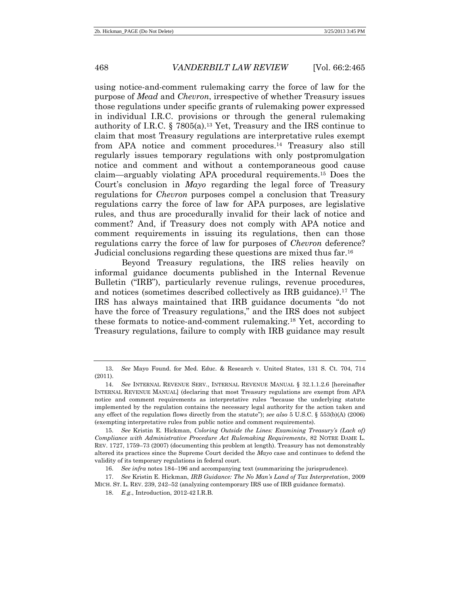using notice-and-comment rulemaking carry the force of law for the purpose of *Mead* and *Chevron*, irrespective of whether Treasury issues those regulations under specific grants of rulemaking power expressed in individual I.R.C. provisions or through the general rulemaking authority of I.R.C.  $\S$  7805(a).<sup>13</sup> Yet, Treasury and the IRS continue to claim that most Treasury regulations are interpretative rules exempt from APA notice and comment procedures.<sup>14</sup> Treasury also still regularly issues temporary regulations with only postpromulgation notice and comment and without a contemporaneous good cause claim—arguably violating APA procedural requirements.<sup>15</sup> Does the Court's conclusion in *Mayo* regarding the legal force of Treasury regulations for *Chevron* purposes compel a conclusion that Treasury regulations carry the force of law for APA purposes, are legislative rules, and thus are procedurally invalid for their lack of notice and comment? And, if Treasury does not comply with APA notice and comment requirements in issuing its regulations, then can those regulations carry the force of law for purposes of *Chevron* deference? Judicial conclusions regarding these questions are mixed thus far.<sup>16</sup>

Beyond Treasury regulations, the IRS relies heavily on informal guidance documents published in the Internal Revenue Bulletin ("IRB"), particularly revenue rulings, revenue procedures, and notices (sometimes described collectively as IRB guidance).<sup>17</sup> The IRS has always maintained that IRB guidance documents "do not have the force of Treasury regulations," and the IRS does not subject these formats to notice-and-comment rulemaking.<sup>18</sup> Yet, according to Treasury regulations, failure to comply with IRB guidance may result

<sup>13.</sup> *See* Mayo Found. for Med. Educ. & Research v. United States, 131 S. Ct. 704, 714 (2011).

<sup>14.</sup> *See* INTERNAL REVENUE SERV., INTERNAL REVENUE MANUAL § 32.1.1.2.6 [hereinafter INTERNAL REVENUE MANUAL] (declaring that most Treasury regulations are exempt from APA notice and comment requirements as interpretative rules "because the underlying statute implemented by the regulation contains the necessary legal authority for the action taken and any effect of the regulation flows directly from the statute"); *see also* 5 U.S.C. § 553(b)(A) (2006) (exempting interpretative rules from public notice and comment requirements).

<sup>15.</sup> *See* Kristin E. Hickman, *Coloring Outside the Lines: Examining Treasury's (Lack of) Compliance with Administrative Procedure Act Rulemaking Requirements*, 82 NOTRE DAME L. REV. 1727, 1759–73 (2007) (documenting this problem at length). Treasury has not demonstrably altered its practices since the Supreme Court decided the *Mayo* case and continues to defend the validity of its temporary regulations in federal court.

<sup>16.</sup> *See infra* note[s 184](#page-35-0)–[196](#page-37-0) and accompanying text (summarizing the jurisprudence).

<sup>17.</sup> *See* Kristin E. Hickman, *IRB Guidance: The No Man's Land of Tax Interpretation*, 2009 MICH. ST. L. REV. 239, 242–52 (analyzing contemporary IRS use of IRB guidance formats).

<sup>18.</sup> *E.g.*, Introduction, 2012-42 I.R.B.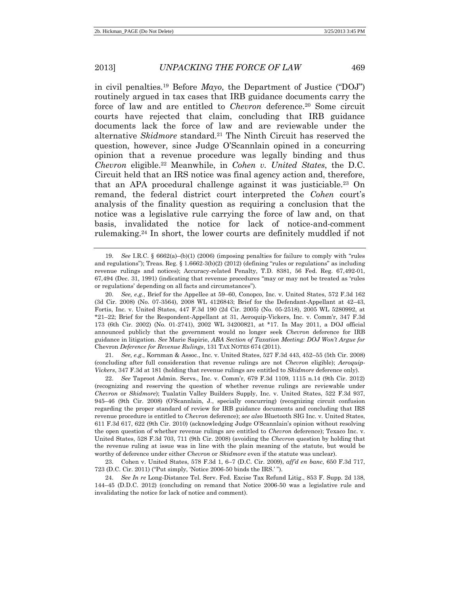in civil penalties.<sup>19</sup> Before *Mayo*, the Department of Justice ("DOJ") routinely argued in tax cases that IRB guidance documents carry the force of law and are entitled to *Chevron* deference.<sup>20</sup> Some circuit courts have rejected that claim, concluding that IRB guidance documents lack the force of law and are reviewable under the alternative *Skidmore* standard.<sup>21</sup> The Ninth Circuit has reserved the question, however, since Judge O'Scannlain opined in a concurring opinion that a revenue procedure was legally binding and thus *Chevron* eligible.<sup>22</sup> Meanwhile, in *Cohen v. United States*, the D.C. Circuit held that an IRS notice was final agency action and, therefore, that an APA procedural challenge against it was justiciable.<sup>23</sup> On remand, the federal district court interpreted the *Cohen* court's analysis of the finality question as requiring a conclusion that the notice was a legislative rule carrying the force of law and, on that basis, invalidated the notice for lack of notice-and-comment rulemaking.<sup>24</sup> In short, the lower courts are definitely muddled if not

21. *See, e.g.*, Kornman & Assoc., Inc. v. United States, 527 F.3d 443, 452–55 (5th Cir. 2008) (concluding after full consideration that revenue rulings are not *Chevron* eligible); *Aeroquip-Vickers*, 347 F.3d at 181 (holding that revenue rulings are entitled to *Skidmore* deference only).

22. *See* Taproot Admin. Servs., Inc. v. Comm'r, 679 F.3d 1109, 1115 n.14 (9th Cir. 2012) (recognizing and reserving the question of whether revenue rulings are reviewable under *Chevron* or *Skidmore*); Tualatin Valley Builders Supply, Inc. v. United States, 522 F.3d 937, 945–46 (9th Cir. 2008) (O'Scannlain, J., specially concurring) (recognizing circuit confusion regarding the proper standard of review for IRB guidance documents and concluding that IRS revenue procedure is entitled to *Chevron* deference); *see also* Bluetooth SIG Inc. v. United States, 611 F.3d 617, 622 (9th Cir. 2010) (acknowledging Judge O'Scannlain's opinion without resolving the open question of whether revenue rulings are entitled to *Chevron* deference); Texaco Inc. v. United States, 528 F.3d 703, 711 (9th Cir. 2008) (avoiding the *Chevron* question by holding that the revenue ruling at issue was in line with the plain meaning of the statute, but would be worthy of deference under either *Chevron* or *Skidmore* even if the statute was unclear).

23. Cohen v. United States, 578 F.3d 1, 6–7 (D.C. Cir. 2009), *aff'd en banc*, 650 F.3d 717, 723 (D.C. Cir. 2011) ("Put simply, 'Notice 2006-50 binds the IRS.' ").

24. *See In re* Long-Distance Tel. Serv. Fed. Excise Tax Refund Litig., 853 F. Supp. 2d 138, 144–45 (D.D.C. 2012) (concluding on remand that Notice 2006-50 was a legislative rule and invalidating the notice for lack of notice and comment).

<sup>19.</sup> *See* I.R.C. § 6662(a)–(b)(1) (2006) (imposing penalties for failure to comply with "rules and regulations"); Treas. Reg. § 1.6662-3(b)(2) (2012) (defining "rules or regulations" as including revenue rulings and notices); Accuracy-related Penalty, T.D. 8381, 56 Fed. Reg. 67,492-01, 67,494 (Dec. 31, 1991) (indicating that revenue procedures "may or may not be treated as 'rules or regulations' depending on all facts and circumstances").

<sup>20.</sup> *See, e.g.*, Brief for the Appellee at 59–60, Conopco, Inc. v. United States, 572 F.3d 162 (3d Cir. 2008) (No. 07-3564), 2008 WL 4126843; Brief for the Defendant-Appellant at 42–43, Fortis, Inc. v. United States, 447 F.3d 190 (2d Cir. 2005) (No. 05-2518), 2005 WL 5280992, at \*21–22; Brief for the Respondent-Appellant at 31, Aeroquip-Vickers, Inc. v. Comm'r, 347 F.3d 173 (6th Cir. 2002) (No. 01-2741), 2002 WL 34200821, at \*17. In May 2011, a DOJ official announced publicly that the government would no longer seek *Chevron* deference for IRB guidance in litigation. *See* Marie Sapirie, *ABA Section of Taxation Meeting: DOJ Won't Argue for*  Chevron *Deference for Revenue Rulings*, 131 TAX NOTES 674 (2011).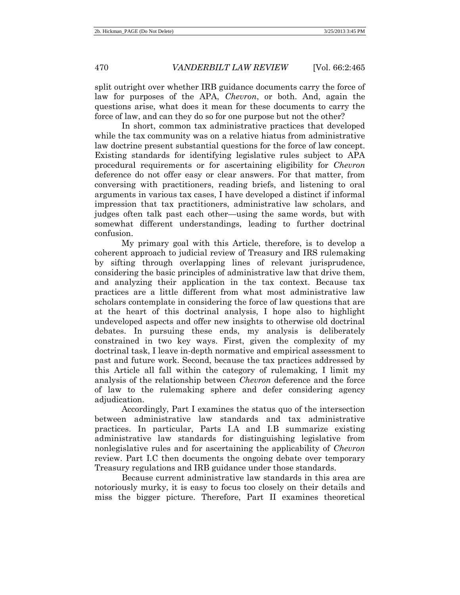split outright over whether IRB guidance documents carry the force of law for purposes of the APA, *Chevron*, or both. And, again the questions arise, what does it mean for these documents to carry the force of law, and can they do so for one purpose but not the other?

In short, common tax administrative practices that developed while the tax community was on a relative hiatus from administrative law doctrine present substantial questions for the force of law concept. Existing standards for identifying legislative rules subject to APA procedural requirements or for ascertaining eligibility for *Chevron* deference do not offer easy or clear answers. For that matter, from conversing with practitioners, reading briefs, and listening to oral arguments in various tax cases, I have developed a distinct if informal impression that tax practitioners, administrative law scholars, and judges often talk past each other—using the same words, but with somewhat different understandings, leading to further doctrinal confusion.

My primary goal with this Article, therefore, is to develop a coherent approach to judicial review of Treasury and IRS rulemaking by sifting through overlapping lines of relevant jurisprudence, considering the basic principles of administrative law that drive them, and analyzing their application in the tax context. Because tax practices are a little different from what most administrative law scholars contemplate in considering the force of law questions that are at the heart of this doctrinal analysis, I hope also to highlight undeveloped aspects and offer new insights to otherwise old doctrinal debates. In pursuing these ends, my analysis is deliberately constrained in two key ways. First, given the complexity of my doctrinal task, I leave in-depth normative and empirical assessment to past and future work. Second, because the tax practices addressed by this Article all fall within the category of rulemaking, I limit my analysis of the relationship between *Chevron* deference and the force of law to the rulemaking sphere and defer considering agency adjudication.

Accordingly, Part I examines the status quo of the intersection between administrative law standards and tax administrative practices. In particular, Parts I.A and I.B summarize existing administrative law standards for distinguishing legislative from nonlegislative rules and for ascertaining the applicability of *Chevron* review. Part I.C then documents the ongoing debate over temporary Treasury regulations and IRB guidance under those standards.

Because current administrative law standards in this area are notoriously murky, it is easy to focus too closely on their details and miss the bigger picture. Therefore, Part II examines theoretical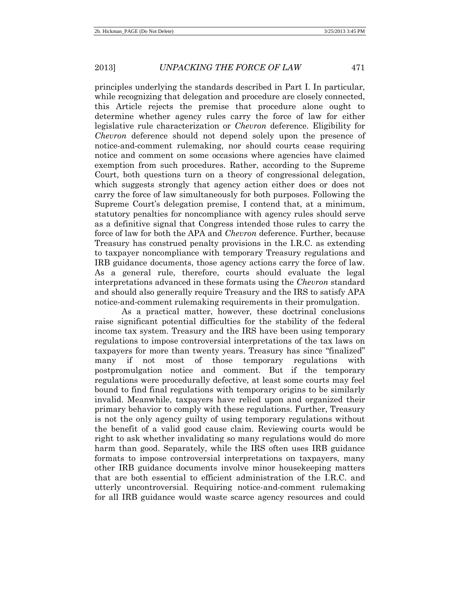principles underlying the standards described in Part I. In particular, while recognizing that delegation and procedure are closely connected, this Article rejects the premise that procedure alone ought to determine whether agency rules carry the force of law for either legislative rule characterization or *Chevron* deference. Eligibility for *Chevron* deference should not depend solely upon the presence of notice-and-comment rulemaking, nor should courts cease requiring notice and comment on some occasions where agencies have claimed exemption from such procedures. Rather, according to the Supreme Court, both questions turn on a theory of congressional delegation, which suggests strongly that agency action either does or does not carry the force of law simultaneously for both purposes. Following the Supreme Court's delegation premise, I contend that, at a minimum, statutory penalties for noncompliance with agency rules should serve as a definitive signal that Congress intended those rules to carry the force of law for both the APA and *Chevron* deference. Further, because Treasury has construed penalty provisions in the I.R.C. as extending to taxpayer noncompliance with temporary Treasury regulations and IRB guidance documents, those agency actions carry the force of law. As a general rule, therefore, courts should evaluate the legal interpretations advanced in these formats using the *Chevron* standard and should also generally require Treasury and the IRS to satisfy APA notice-and-comment rulemaking requirements in their promulgation.

As a practical matter, however, these doctrinal conclusions raise significant potential difficulties for the stability of the federal income tax system. Treasury and the IRS have been using temporary regulations to impose controversial interpretations of the tax laws on taxpayers for more than twenty years. Treasury has since "finalized" many if not most of those temporary regulations with postpromulgation notice and comment. But if the temporary regulations were procedurally defective, at least some courts may feel bound to find final regulations with temporary origins to be similarly invalid. Meanwhile, taxpayers have relied upon and organized their primary behavior to comply with these regulations. Further, Treasury is not the only agency guilty of using temporary regulations without the benefit of a valid good cause claim. Reviewing courts would be right to ask whether invalidating so many regulations would do more harm than good. Separately, while the IRS often uses IRB guidance formats to impose controversial interpretations on taxpayers, many other IRB guidance documents involve minor housekeeping matters that are both essential to efficient administration of the I.R.C. and utterly uncontroversial. Requiring notice-and-comment rulemaking for all IRB guidance would waste scarce agency resources and could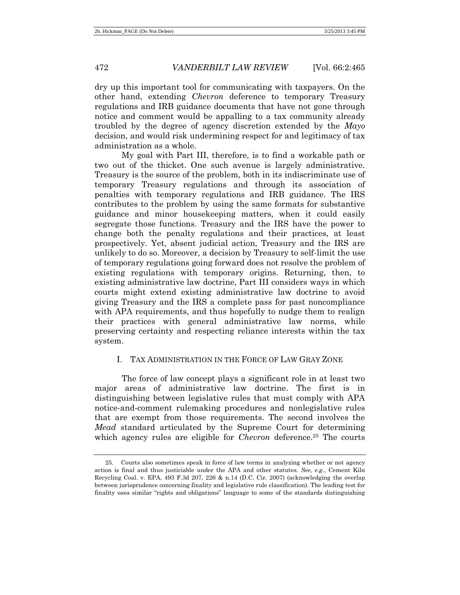dry up this important tool for communicating with taxpayers. On the other hand, extending *Chevron* deference to temporary Treasury regulations and IRB guidance documents that have not gone through notice and comment would be appalling to a tax community already troubled by the degree of agency discretion extended by the *Mayo* decision, and would risk undermining respect for and legitimacy of tax administration as a whole.

My goal with Part III, therefore, is to find a workable path or two out of the thicket. One such avenue is largely administrative. Treasury is the source of the problem, both in its indiscriminate use of temporary Treasury regulations and through its association of penalties with temporary regulations and IRB guidance. The IRS contributes to the problem by using the same formats for substantive guidance and minor housekeeping matters, when it could easily segregate those functions. Treasury and the IRS have the power to change both the penalty regulations and their practices, at least prospectively. Yet, absent judicial action, Treasury and the IRS are unlikely to do so. Moreover, a decision by Treasury to self-limit the use of temporary regulations going forward does not resolve the problem of existing regulations with temporary origins. Returning, then, to existing administrative law doctrine, Part III considers ways in which courts might extend existing administrative law doctrine to avoid giving Treasury and the IRS a complete pass for past noncompliance with APA requirements, and thus hopefully to nudge them to realign their practices with general administrative law norms, while preserving certainty and respecting reliance interests within the tax system.

### I. TAX ADMINISTRATION IN THE FORCE OF LAW GRAY ZONE

The force of law concept plays a significant role in at least two major areas of administrative law doctrine. The first is in distinguishing between legislative rules that must comply with APA notice-and-comment rulemaking procedures and nonlegislative rules that are exempt from those requirements. The second involves the *Mead* standard articulated by the Supreme Court for determining which agency rules are eligible for *Chevron* deference.<sup>25</sup> The courts

<sup>25.</sup> Courts also sometimes speak in force of law terms in analyzing whether or not agency action is final and thus justiciable under the APA and other statutes. *See, e.g.*, Cement Kiln Recycling Coal. v. EPA, 493 F.3d 207, 226 & n.14 (D.C. Cir. 2007) (acknowledging the overlap between jurisprudence concerning finality and legislative rule classification). The leading test for finality uses similar "rights and obligations" language to some of the standards distinguishing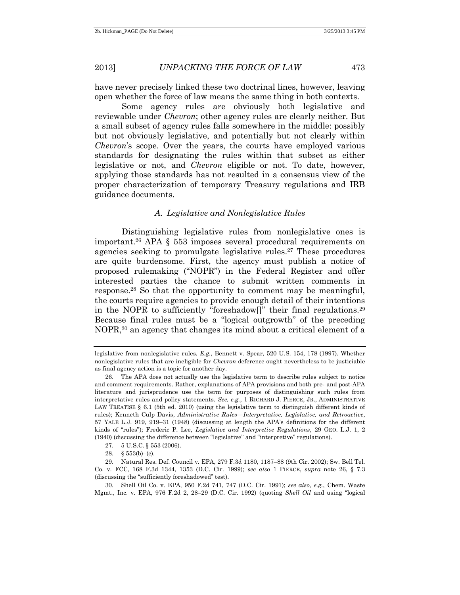have never precisely linked these two doctrinal lines, however, leaving open whether the force of law means the same thing in both contexts.

Some agency rules are obviously both legislative and reviewable under *Chevron*; other agency rules are clearly neither. But a small subset of agency rules falls somewhere in the middle: possibly but not obviously legislative, and potentially but not clearly within *Chevron*'s scope. Over the years, the courts have employed various standards for designating the rules within that subset as either legislative or not, and *Chevron* eligible or not. To date, however, applying those standards has not resulted in a consensus view of the proper characterization of temporary Treasury regulations and IRB guidance documents.

#### <span id="page-8-1"></span><span id="page-8-0"></span>*A. Legislative and Nonlegislative Rules*

Distinguishing legislative rules from nonlegislative ones is important.<sup>26</sup> APA § 553 imposes several procedural requirements on agencies seeking to promulgate legislative rules.<sup>27</sup> These procedures are quite burdensome. First, the agency must publish a notice of proposed rulemaking ("NOPR") in the Federal Register and offer interested parties the chance to submit written comments in response.<sup>28</sup> So that the opportunity to comment may be meaningful, the courts require agencies to provide enough detail of their intentions in the NOPR to sufficiently "foreshadow[]" their final regulations.<sup>29</sup> Because final rules must be a "logical outgrowth" of the preceding NOPR,<sup>30</sup> an agency that changes its mind about a critical element of a

30. Shell Oil Co. v. EPA, 950 F.2d 741, 747 (D.C. Cir. 1991); *see also, e.g.*, Chem. Waste Mgmt., Inc. v. EPA, 976 F.2d 2, 28–29 (D.C. Cir. 1992) (quoting *Shell Oil* and using "logical

legislative from nonlegislative rules. *E.g.*, Bennett v. Spear, 520 U.S. 154, 178 (1997). Whether nonlegislative rules that are ineligible for *Chevron* deference ought nevertheless to be justiciable as final agency action is a topic for another day.

<sup>26.</sup> The APA does not actually use the legislative term to describe rules subject to notice and comment requirements. Rather, explanations of APA provisions and both pre- and post-APA literature and jurisprudence use the term for purposes of distinguishing such rules from interpretative rules and policy statements. *See, e.g.*, 1 RICHARD J. PIERCE, JR., ADMINISTRATIVE LAW TREATISE § 6.1 (5th ed. 2010) (using the legislative term to distinguish different kinds of rules); Kenneth Culp Davis, *Administrative Rules—Interpretative, Legislative, and Retroactive*, 57 YALE L.J. 919, 919–31 (1948) (discussing at length the APA's definitions for the different kinds of "rules"); Frederic P. Lee, *Legislative and Interpretive Regulations*, 29 GEO. L.J. 1, 2 (1940) (discussing the difference between "legislative" and "interpretive" regulations).

<sup>27.</sup> 5 U.S.C. § 553 (2006).

<sup>28. §</sup>  $553(b)$ –(c).

<sup>29.</sup> Natural Res. Def. Council v. EPA, 279 F.3d 1180, 1187–88 (9th Cir. 2002); Sw. Bell Tel. Co. v. FCC, 168 F.3d 1344, 1353 (D.C. Cir. 1999); *see also* 1 PIERCE, *supra* note 26, § 7.3 (discussing the "sufficiently foreshadowed" test).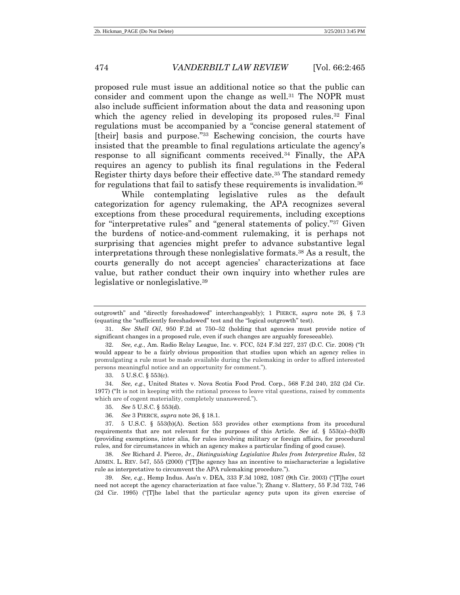proposed rule must issue an additional notice so that the public can consider and comment upon the change as well.<sup>31</sup> The NOPR must also include sufficient information about the data and reasoning upon which the agency relied in developing its proposed rules.<sup>32</sup> Final regulations must be accompanied by a "concise general statement of [their] basis and purpose."<sup>33</sup> Eschewing concision, the courts have insisted that the preamble to final regulations articulate the agency's response to all significant comments received.<sup>34</sup> Finally, the APA requires an agency to publish its final regulations in the Federal Register thirty days before their effective date.<sup>35</sup> The standard remedy for regulations that fail to satisfy these requirements is invalidation.<sup>36</sup>

<span id="page-9-0"></span>While contemplating legislative rules as the default categorization for agency rulemaking, the APA recognizes several exceptions from these procedural requirements, including exceptions for "interpretative rules" and "general statements of policy." <sup>37</sup> Given the burdens of notice-and-comment rulemaking, it is perhaps not surprising that agencies might prefer to advance substantive legal interpretations through these nonlegislative formats.<sup>38</sup> As a result, the courts generally do not accept agencies' characterizations at face value, but rather conduct their own inquiry into whether rules are legislative or nonlegislative.<sup>39</sup>

33. 5 U.S.C. § 553(c).

outgrowth" and "directly foreshadowed" interchangeably); 1 PIERCE, *supra* note [26,](#page-8-0) § 7.3 (equating the "sufficiently foreshadowed" test and the "logical outgrowth" test).

<sup>31.</sup> *See Shell Oil*, 950 F.2d at 750–52 (holding that agencies must provide notice of significant changes in a proposed rule, even if such changes are arguably foreseeable).

<sup>32.</sup> *See, e.g.*, Am. Radio Relay League, Inc. v. FCC, 524 F.3d 227, 237 (D.C. Cir. 2008) ("It would appear to be a fairly obvious proposition that studies upon which an agency relies in promulgating a rule must be made available during the rulemaking in order to afford interested persons meaningful notice and an opportunity for comment.").

<sup>34.</sup> *See, e.g.*, United States v. Nova Scotia Food Prod. Corp., 568 F.2d 240, 252 (2d Cir. 1977) ("It is not in keeping with the rational process to leave vital questions, raised by comments which are of cogent materiality, completely unanswered.").

<sup>35.</sup> *See* 5 U.S.C. § 553(d).

<sup>36.</sup> *See* 3 PIERCE, *supra* note 26, § 18.1.

<sup>37.</sup> 5 U.S.C. § 553(b)(A). Section 553 provides other exemptions from its procedural requirements that are not relevant for the purposes of this Article. *See id.* § 553(a)–(b)(B) (providing exemptions, inter alia, for rules involving military or foreign affairs, for procedural rules, and for circumstances in which an agency makes a particular finding of good cause).

<sup>38.</sup> *See* Richard J. Pierce, Jr., *Distinguishing Legislative Rules from Interpretive Rules*, 52 ADMIN. L. REV. 547, 555 (2000) ("[T]he agency has an incentive to mischaracterize a legislative rule as interpretative to circumvent the APA rulemaking procedure.").

<sup>39.</sup> *See, e.g.*, Hemp Indus. Ass'n v. DEA, 333 F.3d 1082, 1087 (9th Cir. 2003) ("[T]he court need not accept the agency characterization at face value."); Zhang v. Slattery, 55 F.3d 732, 746 (2d Cir. 1995) ("[T]he label that the particular agency puts upon its given exercise of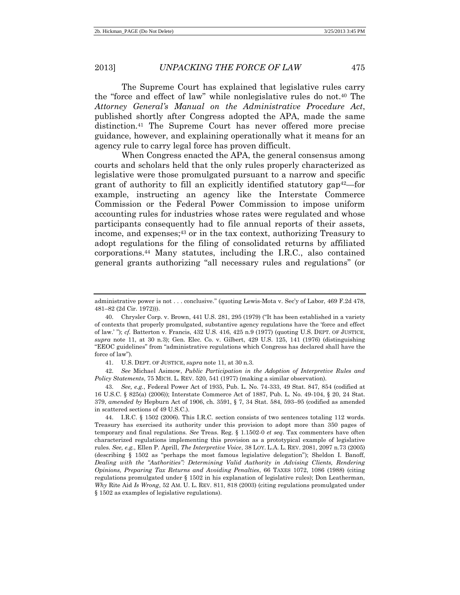The Supreme Court has explained that legislative rules carry the "force and effect of law" while nonlegislative rules do not.<sup>40</sup> The *Attorney General's Manual on the Administrative Procedure Act*, published shortly after Congress adopted the APA, made the same distinction.<sup>41</sup> The Supreme Court has never offered more precise guidance, however, and explaining operationally what it means for an agency rule to carry legal force has proven difficult.

<span id="page-10-0"></span>When Congress enacted the APA, the general consensus among courts and scholars held that the only rules properly characterized as legislative were those promulgated pursuant to a narrow and specific grant of authority to fill an explicitly identified statutory  $gap^{42}$ —for example, instructing an agency like the Interstate Commerce Commission or the Federal Power Commission to impose uniform accounting rules for industries whose rates were regulated and whose participants consequently had to file annual reports of their assets, income, and expenses; <sup>43</sup> or in the tax context, authorizing Treasury to adopt regulations for the filing of consolidated returns by affiliated corporations.<sup>44</sup> Many statutes, including the I.R.C., also contained general grants authorizing "all necessary rules and regulations" (or

41. U.S. DEPT. OF JUSTICE, *supra* note 11, at 30 n.3.

42. *See* Michael Asimow, *Public Participation in the Adoption of Interpretive Rules and Policy Statements*, 75 MICH. L. REV. 520, 541 (1977) (making a similar observation).

43. *See, e.g.*, Federal Power Act of 1935, Pub. L. No. 74-333, 49 Stat. 847, 854 (codified at 16 U.S.C. § 825(a) (2006)); Interstate Commerce Act of 1887, Pub. L. No. 49-104, § 20, 24 Stat. 379, *amended by* Hepburn Act of 1906, ch. 3591, § 7, 34 Stat. 584, 593–95 (codified as amended in scattered sections of 49 U.S.C.).

<span id="page-10-1"></span>administrative power is not . . . conclusive." (quoting Lewis-Mota v. Sec'y of Labor, 469 F.2d 478, 481–82 (2d Cir. 1972))).

<sup>40.</sup> Chrysler Corp. v. Brown, 441 U.S. 281, 295 (1979) ("It has been established in a variety of contexts that properly promulgated, substantive agency regulations have the 'force and effect of law.' "); *cf.* Batterton v. Francis, 432 U.S. 416, 425 n.9 (1977) (quoting U.S. DEPT. OF JUSTICE, *supra* note 11, at 30 n.3); Gen. Elec. Co. v. Gilbert, 429 U.S. 125, 141 (1976) (distinguishing "EEOC guidelines" from "administrative regulations which Congress has declared shall have the force of law").

<sup>44.</sup> I.R.C. § 1502 (2006). This I.R.C. section consists of two sentences totaling 112 words. Treasury has exercised its authority under this provision to adopt more than 350 pages of temporary and final regulations. *See* Treas. Reg. § 1.1502-0 *et seq*. Tax commenters have often characterized regulations implementing this provision as a prototypical example of legislative rules. *See, e.g.*, Ellen P. Aprill, *The Interpretive Voice*, 38 LOY. L.A. L. REV. 2081, 2097 n.73 (2005) (describing § 1502 as "perhaps the most famous legislative delegation"); Sheldon I. Banoff, *Dealing with the "Authorities": Determining Valid Authority in Advising Clients, Rendering Opinions, Preparing Tax Returns and Avoiding Penalties*, 66 TAXES 1072, 1086 (1988) (citing regulations promulgated under § 1502 in his explanation of legislative rules); Don Leatherman, *Why* Rite Aid *Is Wrong*, 52 AM. U. L. REV. 811, 818 (2003) (citing regulations promulgated under § 1502 as examples of legislative regulations).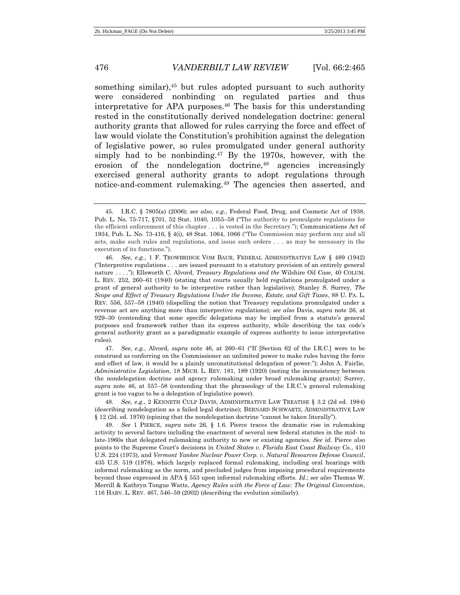<span id="page-11-0"></span>something similar), $45$  but rules adopted pursuant to such authority were considered nonbinding on regulated parties and thus interpretative for APA purposes.<sup>46</sup> The basis for this understanding rested in the constitutionally derived nondelegation doctrine: general authority grants that allowed for rules carrying the force and effect of law would violate the Constitution's prohibition against the delegation of legislative power, so rules promulgated under general authority simply had to be nonbinding.<sup>47</sup> By the 1970s, however, with the erosion of the nondelegation doctrine,<sup>48</sup> agencies increasingly exercised general authority grants to adopt regulations through notice-and-comment rulemaking.<sup>49</sup> The agencies then asserted, and

47. *See, e.g.*, Alvord, *supra* note 46, at 260–61 ("If [Section 62 of the I.R.C.] were to be construed as conferring on the Commissioner an unlimited power to make rules having the force and effect of law, it would be a plainly unconstitutional delegation of power."); John A. Fairlie, *Administrative Legislation*, 18 MICH. L. REV. 181, 189 (1920) (noting the inconsistency between the nondelegation doctrine and agency rulemaking under broad rulemaking grants); Surrey, *supra* note 46, at 557–58 (contending that the phraseology of the I.R.C.'s general rulemaking grant is too vague to be a delegation of legislative power).

48. *See, e.g.*, 2 KENNETH CULP DAVIS, ADMINISTRATIVE LAW TREATISE § 3.2 (2d ed. 1984) (describing nondelegation as a failed legal doctrine); BERNARD SCHWARTZ, ADMINISTRATIVE LAW § 12 (2d. ed. 1976) (opining that the nondelegation doctrine "cannot be taken literally").

49. *See* 1 PIERCE, *supra* note 26, § 1.6. Pierce traces the dramatic rise in rulemaking activity to several factors including the enactment of several new federal statutes in the mid- to late-1960s that delegated rulemaking authority to new or existing agencies. *See id.* Pierce also points to the Supreme Court's decisions in *United States v. Florida East Coast Railway Co.*, 410 U.S. 224 (1973), and *Vermont Yankee Nuclear Power Corp. v. Natural Resources Defense Council*, 435 U.S. 519 (1978), which largely replaced formal rulemaking, including oral hearings with informal rulemaking as the norm, and precluded judges from imposing procedural requirements beyond those expressed in APA § 553 upon informal rulemaking efforts. *Id*.; *see also* Thomas W. Merrill & Kathryn Tongue Watts, *Agency Rules with the Force of Law: The Original Convention*, 116 HARV. L. REV. 467, 546–59 (2002) (describing the evolution similarly).

<sup>45.</sup> I.R.C. § 7805(a) (2006); *see also, e.g.*, Federal Food, Drug, and Cosmetic Act of 1938, Pub. L. No. 75-717, §701, 52 Stat. 1040, 1055–58 ("The authority to promulgate regulations for the efficient enforcement of this chapter . . . is vested in the Secretary."); Communications Act of 1934, Pub. L. No. 73-416, § 4(i), 48 Stat. 1064, 1066 ("The Commission may perform any and all acts, make such rules and regulations, and issue such orders . . . as may be necessary in the execution of its functions.").

<sup>46.</sup> *See, e.g.*, 1 F. TROWBRIDGE VOM BAUR, FEDERAL ADMINISTRATIVE LAW § 489 (1942) ("Interpretive regulations . . . are issued pursuant to a statutory provision of an entirely general nature . . . ."); Ellsworth C. Alvord, *Treasury Regulations and the* Wilshire Oil *Case*, 40 COLUM. L. REV. 252, 260–61 (1940) (stating that courts usually held regulations promulgated under a grant of general authority to be interpretive rather than legislative); Stanley S. Surrey, *The Scope and Effect of Treasury Regulations Under the Income, Estate, and Gift Taxes*, 88 U. PA. L. REV. 556, 557–58 (1940) (dispelling the notion that Treasury regulations promulgated under a revenue act are anything more than interpretive regulations); *see also* Davis, *supra* note [26,](#page-8-0) at 929–30 (contending that some specific delegations may be implied from a statute's general purposes and framework rather than its express authority, while describing the tax code's general authority grant as a paradigmatic example of express authority to issue interpretative rules).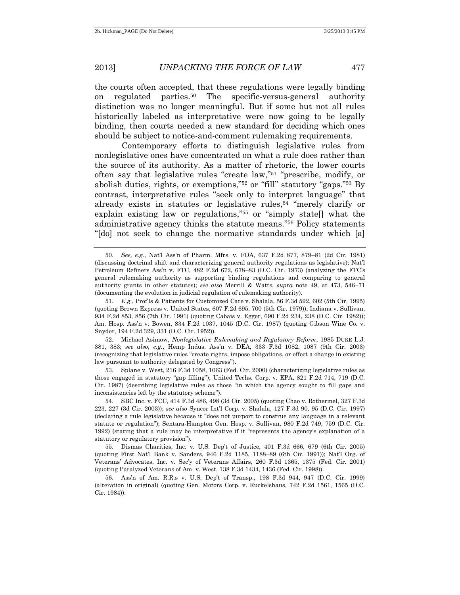the courts often accepted, that these regulations were legally binding on regulated parties.<sup>50</sup> The specific-versus-general authority distinction was no longer meaningful. But if some but not all rules historically labeled as interpretative were now going to be legally binding, then courts needed a new standard for deciding which ones should be subject to notice-and-comment rulemaking requirements.

Contemporary efforts to distinguish legislative rules from nonlegislative ones have concentrated on what a rule does rather than the source of its authority. As a matter of rhetoric, the lower courts often say that legislative rules "create law," <sup>51</sup> "prescribe, modify, or abolish duties, rights, or exemptions," <sup>52</sup> or "fill" statutory "gaps." <sup>53</sup> By contrast, interpretative rules "seek only to interpret language" that already exists in statutes or legislative rules,<sup>54</sup> "merely clarify or explain existing law or regulations," <sup>55</sup> or "simply state[] what the administrative agency thinks the statute means." <sup>56</sup> Policy statements "[do] not seek to change the normative standards under which [a]

51. *E.g.*, Prof'ls & Patients for Customized Care v. Shalala, 56 F.3d 592, 602 (5th Cir. 1995) (quoting Brown Express v. United States, 607 F.2d 695, 700 (5th Cir. 1979)); Indiana v. Sullivan, 934 F.2d 853, 856 (7th Cir. 1991) (quoting Cabais v. Egger, 690 F.2d 234, 238 (D.C. Cir. 1982)); Am. Hosp. Ass'n v. Bowen, 834 F.2d 1037, 1045 (D.C. Cir. 1987) (quoting Gibson Wine Co. v. Snyder, 194 F.2d 329, 331 (D.C. Cir. 1952)).

52. Michael Asimow, *Nonlegislative Rulemaking and Regulatory Reform*, 1985 DUKE L.J. 381, 383; *see also, e.g.*, Hemp Indus. Ass'n v. DEA, 333 F.3d 1082, 1087 (9th Cir. 2003) (recognizing that legislative rules "create rights, impose obligations, or effect a change in existing law pursuant to authority delegated by Congress").

53. Splane v. West, 216 F.3d 1058, 1063 (Fed. Cir. 2000) (characterizing legislative rules as those engaged in statutory "gap filling"); United Techs. Corp. v. EPA, 821 F.2d 714, 719 (D.C. Cir. 1987) (describing legislative rules as those "in which the agency sought to fill gaps and inconsistencies left by the statutory scheme").

54. SBC Inc. v. FCC, 414 F.3d 486, 498 (3d Cir. 2005) (quoting Chao v. Rothermel, 327 F.3d 223, 227 (3d Cir. 2003)); *see also* Syncor Int'l Corp. v. Shalala, 127 F.3d 90, 95 (D.C. Cir. 1997) (declaring a rule legislative because it "does not purport to construe any language in a relevant statute or regulation"); Sentara-Hampton Gen. Hosp. v. Sullivan, 980 F.2d 749, 759 (D.C. Cir. 1992) (stating that a rule may be interpretative if it "represents the agency's explanation of a statutory or regulatory provision").

55. Dismas Charities, Inc. v. U.S. Dep't of Justice, 401 F.3d 666, 679 (6th Cir. 2005) (quoting First Nat'l Bank v. Sanders, 946 F.2d 1185, 1188–89 (6th Cir. 1991)); Nat'l Org. of Veterans' Advocates, Inc. v. Sec'y of Veterans Affairs, 260 F.3d 1365, 1375 (Fed. Cir. 2001) (quoting Paralyzed Veterans of Am. v. West, 138 F.3d 1434, 1436 (Fed. Cir. 1998)).

56. Ass'n of Am. R.R.s v. U.S. Dep't of Transp., 198 F.3d 944, 947 (D.C. Cir. 1999) (alteration in original) (quoting Gen. Motors Corp. v. Ruckelshaus, 742 F.2d 1561, 1565 (D.C. Cir. 1984)).

<sup>50.</sup> *See, e.g.*, Nat'l Ass'n of Pharm. Mfrs. v. FDA, 637 F.2d 877, 879–81 (2d Cir. 1981) (discussing doctrinal shift and characterizing general authority regulations as legislative); Nat'l Petroleum Refiners Ass'n v. FTC, 482 F.2d 672, 678–83 (D.C. Cir. 1973) (analyzing the FTC's general rulemaking authority as supporting binding regulations and comparing to general authority grants in other statutes); *see also* Merrill & Watts, *supra* note 49, at 473, 546–71 (documenting the evolution in judicial regulation of rulemaking authority).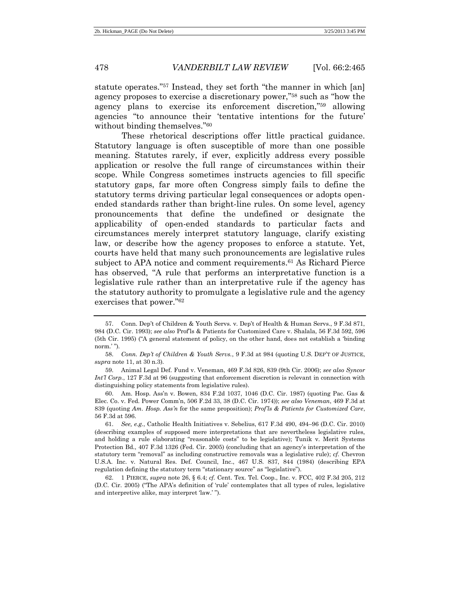statute operates." <sup>57</sup> Instead, they set forth "the manner in which [an] agency proposes to exercise a discretionary power," <sup>58</sup> such as "how the agency plans to exercise its enforcement discretion," <sup>59</sup> allowing agencies "to announce their 'tentative intentions for the future' without binding themselves."<sup>60</sup>

These rhetorical descriptions offer little practical guidance. Statutory language is often susceptible of more than one possible meaning. Statutes rarely, if ever, explicitly address every possible application or resolve the full range of circumstances within their scope. While Congress sometimes instructs agencies to fill specific statutory gaps, far more often Congress simply fails to define the statutory terms driving particular legal consequences or adopts openended standards rather than bright-line rules. On some level, agency pronouncements that define the undefined or designate the applicability of open-ended standards to particular facts and circumstances merely interpret statutory language, clarify existing law, or describe how the agency proposes to enforce a statute. Yet, courts have held that many such pronouncements are legislative rules subject to APA notice and comment requirements.<sup>61</sup> As Richard Pierce has observed, "A rule that performs an interpretative function is a legislative rule rather than an interpretative rule if the agency has the statutory authority to promulgate a legislative rule and the agency exercises that power." 62

<sup>57.</sup> Conn. Dep't of Children & Youth Servs. v. Dep't of Health & Human Servs., 9 F.3d 871, 984 (D.C. Cir. 1993); *see also* Prof'ls & Patients for Customized Care v. Shalala, 56 F.3d 592, 596 (5th Cir. 1995) ("A general statement of policy, on the other hand, does not establish a 'binding norm.'").

<sup>58.</sup> *Conn. Dep't of Children & Youth Servs.*, 9 F.3d at 984 (quoting U.S. DEP'T OF JUSTICE, *supra* note 11, at 30 n.3).

<sup>59.</sup> Animal Legal Def. Fund v. Veneman, 469 F.3d 826, 839 (9th Cir. 2006); *see also Syncor Int'l Corp.*, 127 F.3d at 96 (suggesting that enforcement discretion is relevant in connection with distinguishing policy statements from legislative rules).

<sup>60.</sup> Am. Hosp. Ass'n v. Bowen, 834 F.2d 1037, 1046 (D.C. Cir. 1987) (quoting Pac. Gas & Elec. Co. v. Fed. Power Comm'n, 506 F.2d 33, 38 (D.C. Cir. 1974)); *see also Veneman*, 469 F.3d at 839 (quoting *Am. Hosp. Ass'n* for the same proposition); *Prof'ls & Patients for Customized Care*, 56 F.3d at 596.

<sup>61.</sup> *See, e.g.*, Catholic Health Initiatives v. Sebelius, 617 F.3d 490, 494–96 (D.C. Cir. 2010) (describing examples of supposed mere interpretations that are nevertheless legislative rules, and holding a rule elaborating "reasonable costs" to be legislative); Tunik v. Merit Systems Protection Bd., 407 F.3d 1326 (Fed. Cir. 2005) (concluding that an agency's interpretation of the statutory term "removal" as including constructive removals was a legislative rule); *cf.* Chevron U.S.A. Inc. v. Natural Res. Def. Council, Inc., 467 U.S. 837, 844 (1984) (describing EPA regulation defining the statutory term "stationary source" as "legislative").

<sup>62.</sup> 1 PIERCE, *supra* note 26, § 6.4; *cf.* Cent. Tex. Tel. Coop., Inc. v. FCC, 402 F.3d 205, 212 (D.C. Cir. 2005) ("The APA's definition of 'rule' contemplates that all types of rules, legislative and interpretive alike, may interpret 'law.' ").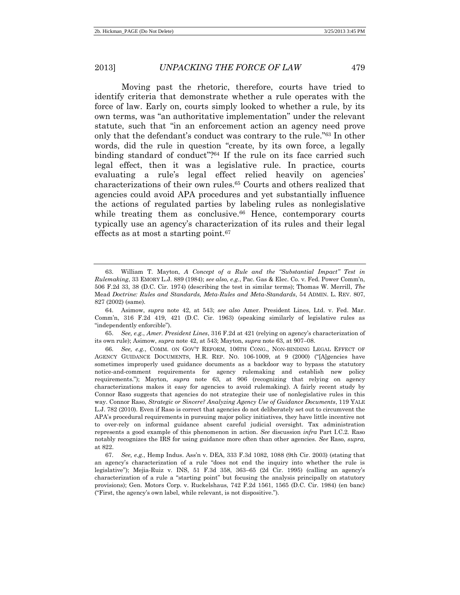<span id="page-14-0"></span>Moving past the rhetoric, therefore, courts have tried to identify criteria that demonstrate whether a rule operates with the force of law. Early on, courts simply looked to whether a rule, by its own terms, was "an authoritative implementation" under the relevant statute, such that "in an enforcement action an agency need prove only that the defendant's conduct was contrary to the rule." <sup>63</sup> In other words, did the rule in question "create, by its own force, a legally binding standard of conduct"? <sup>64</sup> If the rule on its face carried such legal effect, then it was a legislative rule. In practice, courts evaluating a rule's legal effect relied heavily on agencies' characterizations of their own rules.<sup>65</sup> Courts and others realized that agencies could avoid APA procedures and yet substantially influence the actions of regulated parties by labeling rules as nonlegislative while treating them as conclusive.<sup>66</sup> Hence, contemporary courts typically use an agency's characterization of its rules and their legal effects as at most a starting point.<sup>67</sup>

65. *See, e.g.*, *Amer. President Lines*, 316 F.2d at 421 (relying on agency's characterization of its own rule); Asimow, *supra* not[e 42,](#page-10-0) at 543; Mayton, *supra* not[e 63,](#page-14-0) at 907–08.

<sup>63.</sup> William T. Mayton, *A Concept of a Rule and the "Substantial Impact" Test in Rulemaking*, 33 EMORY L.J. 889 (1984); *see also, e.g.*, Pac. Gas & Elec. Co. v. Fed. Power Comm'n, 506 F.2d 33, 38 (D.C. Cir. 1974) (describing the test in similar terms); Thomas W. Merrill, *The* Mead *Doctrine: Rules and Standards, Meta-Rules and Meta-Standards*, 54 ADMIN. L. REV. 807, 827 (2002) (same).

<sup>64.</sup> Asimow, *supra* note 42, at 543; *see also* Amer. President Lines, Ltd. v. Fed. Mar. Comm'n, 316 F.2d 419, 421 (D.C. Cir. 1963) (speaking similarly of legislative rules as "independently enforcible").

<sup>66.</sup> *See, e.g.*, COMM. ON GOV'T REFORM, 106TH CONG., NON-BINDING LEGAL EFFECT OF AGENCY GUIDANCE DOCUMENTS, H.R. REP. NO. 106-1009, at 9 (2000) ("[A]gencies have sometimes improperly used guidance documents as a backdoor way to bypass the statutory notice-and-comment requirements for agency rulemaking and establish new policy requirements."); Mayton, *supra* note 63, at 906 (recognizing that relying on agency characterizations makes it easy for agencies to avoid rulemaking). A fairly recent study by Connor Raso suggests that agencies do not strategize their use of nonlegislative rules in this way. Connor Raso, *Strategic or Sincere? Analyzing Agency Use of Guidance Documents*, 119 YALE L.J. 782 (2010). Even if Raso is correct that agencies do not deliberately set out to circumvent the APA's procedural requirements in pursuing major policy initiatives, they have little incentive not to over-rely on informal guidance absent careful judicial oversight. Tax administration represents a good example of this phenomenon in action. *See* discussion *infra* Part I.C.2. Raso notably recognizes the IRS for using guidance more often than other agencies. *See* Raso, *supra*, at 822.

<sup>67.</sup> *See, e.g.*, Hemp Indus. Ass'n v. DEA, 333 F.3d 1082, 1088 (9th Cir. 2003) (stating that an agency's characterization of a rule "does not end the inquiry into whether the rule is legislative"); Mejia-Ruiz v. INS, 51 F.3d 358, 363–65 (2d Cir. 1995) (calling an agency's characterization of a rule a "starting point" but focusing the analysis principally on statutory provisions); Gen. Motors Corp. v. Ruckelshaus, 742 F.2d 1561, 1565 (D.C. Cir. 1984) (en banc) ("First, the agency's own label, while relevant, is not dispositive.").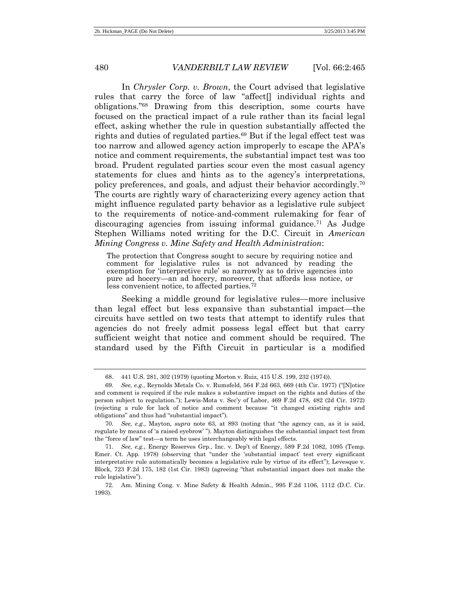In *Chrysler Corp. v. Brown*, the Court advised that legislative rules that carry the force of law "affect[] individual rights and obligations." <sup>68</sup> Drawing from this description, some courts have focused on the practical impact of a rule rather than its facial legal effect, asking whether the rule in question substantially affected the rights and duties of regulated parties.<sup>69</sup> But if the legal effect test was too narrow and allowed agency action improperly to escape the APA's notice and comment requirements, the substantial impact test was too broad. Prudent regulated parties scour even the most casual agency statements for clues and hints as to the agency's interpretations, policy preferences, and goals, and adjust their behavior accordingly.<sup>70</sup> The courts are rightly wary of characterizing every agency action that might influence regulated party behavior as a legislative rule subject to the requirements of notice-and-comment rulemaking for fear of discouraging agencies from issuing informal guidance.<sup>71</sup> As Judge Stephen Williams noted writing for the D.C. Circuit in *American Mining Congress v. Mine Safety and Health Administration*:

The protection that Congress sought to secure by requiring notice and comment for legislative rules is not advanced by reading the exemption for 'interpretive rule' so narrowly as to drive agencies into pure ad hocery—an ad hocery, moreover, that affords less notice, or less convenient notice, to affected parties.<sup>72</sup>

Seeking a middle ground for legislative rules—more inclusive than legal effect but less expansive than substantial impact—the circuits have settled on two tests that attempt to identify rules that agencies do not freely admit possess legal effect but that carry sufficient weight that notice and comment should be required. The standard used by the Fifth Circuit in particular is a modified

<sup>68.</sup> 441 U.S. 281, 302 (1979) (quoting Morton v. Ruiz, 415 U.S. 199, 232 (1974)).

<sup>69.</sup> *See, e.g.*, Reynolds Metals Co. v. Rumsfeld, 564 F.2d 663, 669 (4th Cir. 1977) ("[N]otice and comment is required if the rule makes a substantive impact on the rights and duties of the person subject to regulation."); Lewis-Mota v. Sec'y of Labor, 469 F.2d 478, 482 (2d Cir. 1972) (rejecting a rule for lack of notice and comment because "it changed existing rights and obligations" and thus had "substantial impact").

<sup>70.</sup> *See, e.g.*, Mayton, *supra* note 63, at 893 (noting that "the agency can, as it is said, regulate by means of 'a raised eyebrow' "). Mayton distinguishes the substantial impact test from the "force of law" test—a term he uses interchangeably with legal effects.

<sup>71.</sup> *See, e.g.*, Energy Reserves Grp., Inc. v. Dep't of Energy, 589 F.2d 1082, 1095 (Temp. Emer. Ct. App. 1978) (observing that "under the 'substantial impact' test every significant interpretative rule automatically becomes a legislative rule by virtue of its effect"); Levesque v. Block, 723 F.2d 175, 182 (1st Cir. 1983) (agreeing "that substantial impact does not make the rule legislative").

<sup>72.</sup> Am. Mining Cong. v. Mine Safety & Health Admin., 995 F.2d 1106, 1112 (D.C. Cir. 1993).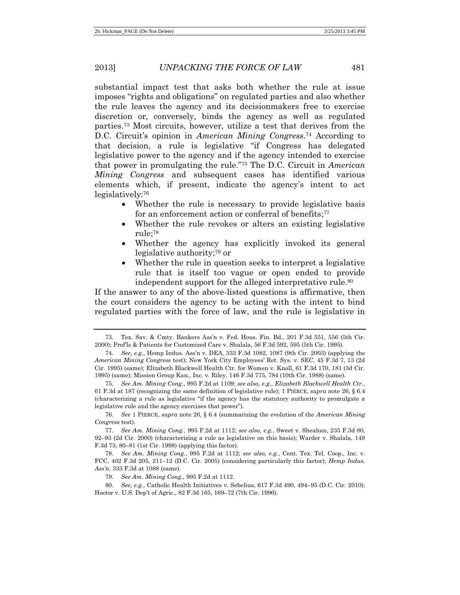substantial impact test that asks both whether the rule at issue imposes "rights and obligations" on regulated parties and also whether the rule leaves the agency and its decisionmakers free to exercise discretion or, conversely, binds the agency as well as regulated parties.<sup>73</sup> Most circuits, however, utilize a test that derives from the D.C. Circuit's opinion in *American Mining Congress*. <sup>74</sup> According to that decision, a rule is legislative "if Congress has delegated legislative power to the agency and if the agency intended to exercise that power in promulgating the rule." <sup>75</sup> The D.C. Circuit in *American Mining Congress* and subsequent cases has identified various elements which, if present, indicate the agency's intent to act legislatively:<sup>76</sup>

- Whether the rule is necessary to provide legislative basis for an enforcement action or conferral of benefits;<sup>77</sup>
- Whether the rule revokes or alters an existing legislative rule; 78
- Whether the agency has explicitly invoked its general legislative authority; <sup>79</sup> or
- Whether the rule in question seeks to interpret a legislative rule that is itself too vague or open ended to provide independent support for the alleged interpretative rule.<sup>80</sup>

If the answer to any of the above-listed questions is affirmative, then the court considers the agency to be acting with the intent to bind regulated parties with the force of law, and the rule is legislative in

<sup>73.</sup> Tex. Sav. & Cmty. Bankers Ass'n v. Fed. Hous. Fin. Bd., 201 F.3d 551, 556 (5th Cir. 2000); Prof'ls & Patients for Customized Care v. Shalala, 56 F.3d 592, 595 (5th Cir. 1995).

<sup>74.</sup> *See, e.g.*, Hemp Indus. Ass'n v. DEA, 333 F.3d 1082, 1087 (9th Cir. 2003) (applying the *American Mining Congress* test); New York City Employees' Ret. Sys. v. SEC, 45 F.3d 7, 13 (2d Cir. 1995) (same); Elizabeth Blackwell Health Ctr. for Women v. Knoll, 61 F.3d 170, 181 (3d Cir. 1995) (same); Mission Group Kan., Inc. v. Riley, 146 F.3d 775, 784 (10th Cir. 1988) (same).

<sup>75.</sup> *See Am. Mining Cong.*, 995 F.2d at 1109; *see also, e.g.*, *Elizabeth Blackwell Health Ctr.*, 61 F.3d at 187 (recognizing the same definition of legislative rule); 1 PIERCE, *supra* note 26, § 6.4 (characterizing a rule as legislative "if the agency has the statutory authority to promulgate a legislative rule and the agency exercises that power").

<sup>76.</sup> *See* 1 PIERCE, *supra* note 26, § 6.4 (summarizing the evolution of the *American Mining Congress* test).

<sup>77.</sup> *See Am. Mining Cong.*, 995 F.2d at 1112; *see also, e.g.*, Sweet v. Sheahan, 235 F.3d 80, 92–93 (2d Cir. 2000) (characterizing a rule as legislative on this basis); Warder v. Shalala, 149 F.3d 73, 80–81 (1st Cir. 1998) (applying this factor).

<sup>78.</sup> *See Am. Mining Cong.*, 995 F.2d at 1112; *see also, e.g.*, Cent. Tex. Tel. Coop., Inc. v. FCC, 402 F.3d 205, 211–12 (D.C. Cir. 2005) (considering particularly this factor); *Hemp Indus. Ass'n*, 333 F.3d at 1088 (same).

<sup>79.</sup> *See Am. Mining Cong.*, 995 F.2d at 1112.

<sup>80.</sup> *See, e.g.*, Catholic Health Initiatives v. Sebelius, 617 F.3d 490, 494–95 (D.C. Cir. 2010); Hoctor v. U.S. Dep't of Agric., 82 F.3d 165, 169–72 (7th Cir. 1996).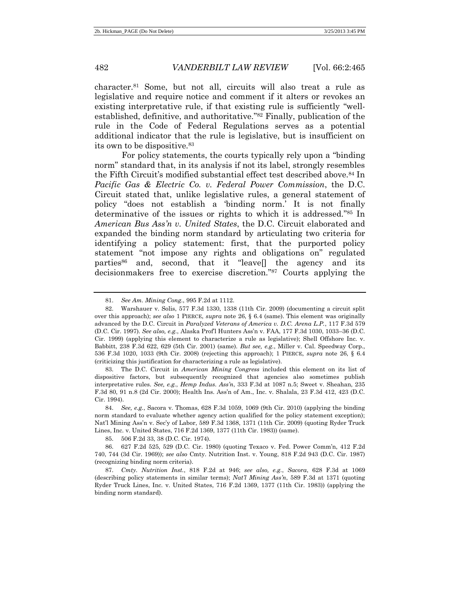character.<sup>81</sup> Some, but not all, circuits will also treat a rule as legislative and require notice and comment if it alters or revokes an existing interpretative rule, if that existing rule is sufficiently "wellestablished, definitive, and authoritative." <sup>82</sup> Finally, publication of the rule in the Code of Federal Regulations serves as a potential additional indicator that the rule is legislative, but is insufficient on its own to be dispositive.<sup>83</sup>

For policy statements, the courts typically rely upon a "binding norm" standard that, in its analysis if not its label, strongly resembles the Fifth Circuit's modified substantial effect test described above.<sup>84</sup> In *Pacific Gas & Electric Co. v. Federal Power Commission*, the D.C. Circuit stated that, unlike legislative rules, a general statement of policy "does not establish a 'binding norm.' It is not finally determinative of the issues or rights to which it is addressed." <sup>85</sup> In *American Bus Ass'n v. United States*, the D.C. Circuit elaborated and expanded the binding norm standard by articulating two criteria for identifying a policy statement: first, that the purported policy statement "not impose any rights and obligations on" regulated parties<sup>86</sup> and, second, that it "leave<sup>[]</sup> the agency and its decisionmakers free to exercise discretion." <sup>87</sup> Courts applying the

83. The D.C. Circuit in *American Mining Congress* included this element on its list of dispositive factors, but subsequently recognized that agencies also sometimes publish interpretative rules. *See, e.g.*, *Hemp Indus. Ass'n*, 333 F.3d at 1087 n.5; Sweet v. Sheahan, 235 F.3d 80, 91 n.8 (2d Cir. 2000); Health Ins. Ass'n of Am., Inc. v. Shalala, 23 F.3d 412, 423 (D.C. Cir. 1994).

84. *See, e.g.*, Sacora v. Thomas, 628 F.3d 1059, 1069 (9th Cir. 2010) (applying the binding norm standard to evaluate whether agency action qualified for the policy statement exception); Nat'l Mining Ass'n v. Sec'y of Labor, 589 F.3d 1368, 1371 (11th Cir. 2009) (quoting Ryder Truck Lines, Inc. v. United States, 716 F.2d 1369, 1377 (11th Cir. 1983)) (same).

<sup>81.</sup> *See Am. Mining Cong.*, 995 F.2d at 1112.

<sup>82.</sup> Warshauer v. Solis, 577 F.3d 1330, 1338 (11th Cir. 2009) (documenting a circuit split over this approach); *see also* 1 PIERCE, *supra* note 26, § 6.4 (same). This element was originally advanced by the D.C. Circuit in *Paralyzed Veterans of America v. D.C. Arena L.P.*, 117 F.3d 579 (D.C. Cir. 1997). *See also, e.g.*, Alaska Prof'l Hunters Ass'n v. FAA, 177 F.3d 1030, 1033–36 (D.C. Cir. 1999) (applying this element to characterize a rule as legislative); Shell Offshore Inc. v. Babbitt, 238 F.3d 622, 629 (5th Cir. 2001) (same). *But see, e.g.*, Miller v. Cal. Speedway Corp., 536 F.3d 1020, 1033 (9th Cir. 2008) (rejecting this approach); 1 PIERCE, *supra* note 26, § 6.4 (criticizing this justification for characterizing a rule as legislative).

<sup>85.</sup> 506 F.2d 33, 38 (D.C. Cir. 1974).

<sup>86.</sup> 627 F.2d 525, 529 (D.C. Cir. 1980) (quoting Texaco v. Fed. Power Comm'n, 412 F.2d 740, 744 (3d Cir. 1969)); *see also* Cmty. Nutrition Inst. v. Young, 818 F.2d 943 (D.C. Cir. 1987) (recognizing binding norm criteria).

<sup>87.</sup> *Cmty. Nutrition Inst.*, 818 F.2d at 946; *see also, e.g.*, *Sacora*, 628 F.3d at 1069 (describing policy statements in similar terms); *Nat'l Mining Ass'n*, 589 F.3d at 1371 (quoting Ryder Truck Lines, Inc. v. United States, 716 F.2d 1369, 1377 (11th Cir. 1983)) (applying the binding norm standard).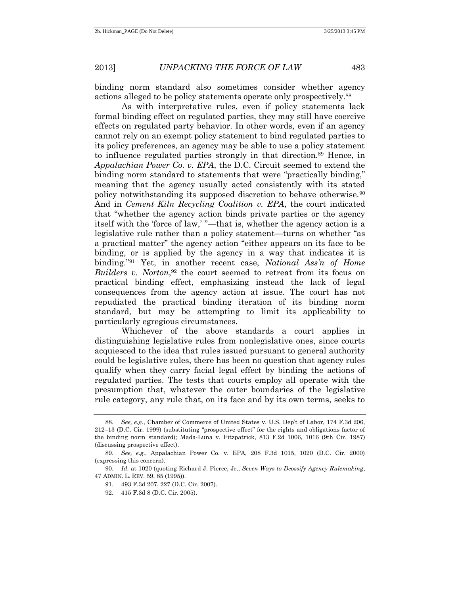binding norm standard also sometimes consider whether agency actions alleged to be policy statements operate only prospectively.<sup>88</sup>

As with interpretative rules, even if policy statements lack formal binding effect on regulated parties, they may still have coercive effects on regulated party behavior. In other words, even if an agency cannot rely on an exempt policy statement to bind regulated parties to its policy preferences, an agency may be able to use a policy statement to influence regulated parties strongly in that direction.<sup>89</sup> Hence, in *Appalachian Power Co. v. EPA*, the D.C. Circuit seemed to extend the binding norm standard to statements that were "practically binding," meaning that the agency usually acted consistently with its stated policy notwithstanding its supposed discretion to behave otherwise.<sup>90</sup> And in *Cement Kiln Recycling Coalition v. EPA*, the court indicated that "whether the agency action binds private parties or the agency itself with the 'force of law,' "—that is, whether the agency action is a legislative rule rather than a policy statement—turns on whether "as a practical matter" the agency action "either appears on its face to be binding, or is applied by the agency in a way that indicates it is binding." <sup>91</sup> Yet, in another recent case, *National Ass'n of Home Builders v. Norton*, <sup>92</sup> the court seemed to retreat from its focus on practical binding effect, emphasizing instead the lack of legal consequences from the agency action at issue. The court has not repudiated the practical binding iteration of its binding norm standard, but may be attempting to limit its applicability to particularly egregious circumstances.

Whichever of the above standards a court applies in distinguishing legislative rules from nonlegislative ones, since courts acquiesced to the idea that rules issued pursuant to general authority could be legislative rules, there has been no question that agency rules qualify when they carry facial legal effect by binding the actions of regulated parties. The tests that courts employ all operate with the presumption that, whatever the outer boundaries of the legislative rule category, any rule that, on its face and by its own terms, seeks to

<sup>88.</sup> *See, e.g.*, Chamber of Commerce of United States v. U.S. Dep't of Labor, 174 F.3d 206, 212–13 (D.C. Cir. 1999) (substituting "prospective effect" for the rights and obligations factor of the binding norm standard); Mada-Luna v. Fitzpatrick, 813 F.2d 1006, 1016 (9th Cir. 1987) (discussing prospective effect).

<sup>89.</sup> *See, e.g.*, Appalachian Power Co. v. EPA, 208 F.3d 1015, 1020 (D.C. Cir. 2000) (expressing this concern).

<sup>90.</sup> *Id.* at 1020 (quoting Richard J. Pierce, Jr., *Seven Ways to Deossify Agency Rulemaking*, 47 ADMIN. L. REV. 59, 85 (1995)).

<sup>91.</sup> 493 F.3d 207, 227 (D.C. Cir. 2007).

<sup>92.</sup> 415 F.3d 8 (D.C. Cir. 2005).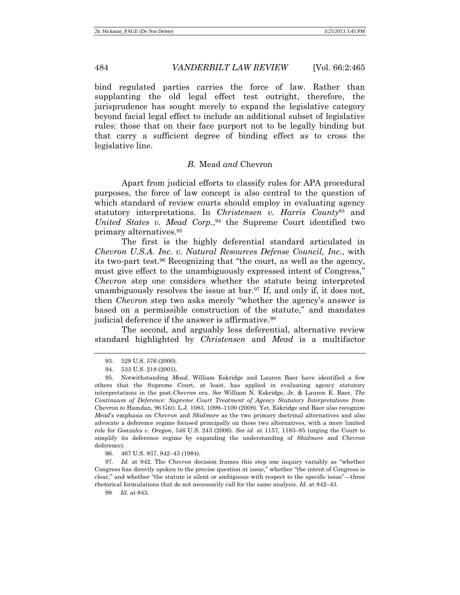bind regulated parties carries the force of law. Rather than supplanting the old legal effect test outright, therefore, the jurisprudence has sought merely to expand the legislative category beyond facial legal effect to include an additional subset of legislative rules: those that on their face purport not to be legally binding but that carry a sufficient degree of binding effect as to cross the legislative line.

#### *B.* Mead *and* Chevron

Apart from judicial efforts to classify rules for APA procedural purposes, the force of law concept is also central to the question of which standard of review courts should employ in evaluating agency statutory interpretations. In *Christensen v. Harris County*<sup>93</sup> and *United States v. Mead Corp.*, <sup>94</sup> the Supreme Court identified two primary alternatives.<sup>95</sup>

The first is the highly deferential standard articulated in *Chevron U.S.A. Inc. v. Natural Resources Defense Council, Inc.*, with its two-part test.<sup>96</sup> Recognizing that "the court, as well as the agency, must give effect to the unambiguously expressed intent of Congress," *Chevron* step one considers whether the statute being interpreted unambiguously resolves the issue at bar.<sup>97</sup> If, and only if, it does not, then *Chevron* step two asks merely "whether the agency's answer is based on a permissible construction of the statute," and mandates judicial deference if the answer is affirmative.<sup>98</sup>

The second, and arguably less deferential, alternative review standard highlighted by *Christensen* and *Mead* is a multifactor

96. 467 U.S. 837, 842–43 (1984).

97. *Id.* at 842. The *Chevron* decision frames this step one inquiry variably as "whether Congress has directly spoken to the precise question at issue," whether "the intent of Congress is clear," and whether "the statute is silent or ambiguous with respect to the specific issue"—three rhetorical formulations that do not necessarily call for the same analysis. *Id.* at 842–43.

98. .*Id.* at 843.

<sup>93.</sup> 529 U.S. 576 (2000).

<sup>94.</sup> 533 U.S. 218 (2001).

<sup>95.</sup> Notwithstanding *Mead*, William Eskridge and Lauren Baer have identified a few others that the Supreme Court, at least, has applied in evaluating agency statutory interpretations in the post-*Chevron* era. *See* William N. Eskridge, Jr. & Lauren E. Baer, *The Continuum of Deference: Supreme Court Treatment of Agency Statutory Interpretations from* Chevron *to* Hamdan, 96 GEO. L.J. 1083, 1099–1100 (2008). Yet, Eskridge and Baer also recognize *Mead*'s emphasis on *Chevron* and *Skidmore* as the two primary doctrinal alternatives and also advocate a deference regime focused principally on these two alternatives, with a more limited role for *Gonzales v. Oregon*, 546 U.S. 243 (2006). *See id.* at 1157, 1183–85 (urging the Court to simplify its deference regime by expanding the understanding of *Skidmore* and *Chevron* deference).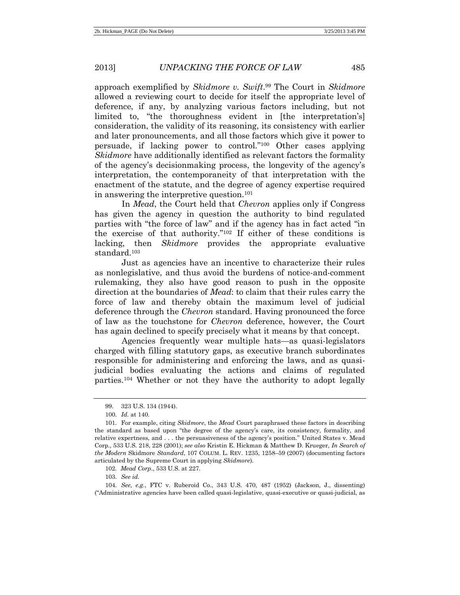approach exemplified by *Skidmore v. Swift*. <sup>99</sup> The Court in *Skidmore* allowed a reviewing court to decide for itself the appropriate level of deference, if any, by analyzing various factors including, but not limited to, "the thoroughness evident in [the interpretation's] consideration, the validity of its reasoning, its consistency with earlier and later pronouncements, and all those factors which give it power to persuade, if lacking power to control." <sup>100</sup> Other cases applying *Skidmore* have additionally identified as relevant factors the formality of the agency's decisionmaking process, the longevity of the agency's interpretation, the contemporaneity of that interpretation with the enactment of the statute, and the degree of agency expertise required in answering the interpretive question.<sup>101</sup>

In *Mead*, the Court held that *Chevron* applies only if Congress has given the agency in question the authority to bind regulated parties with "the force of law" and if the agency has in fact acted "in the exercise of that authority." <sup>102</sup> If either of these conditions is lacking, then *Skidmore* provides the appropriate evaluative standard.<sup>103</sup>

Just as agencies have an incentive to characterize their rules as nonlegislative, and thus avoid the burdens of notice-and-comment rulemaking, they also have good reason to push in the opposite direction at the boundaries of *Mead*: to claim that their rules carry the force of law and thereby obtain the maximum level of judicial deference through the *Chevron* standard. Having pronounced the force of law as the touchstone for *Chevron* deference, however, the Court has again declined to specify precisely what it means by that concept.

Agencies frequently wear multiple hats—as quasi-legislators charged with filling statutory gaps, as executive branch subordinates responsible for administering and enforcing the laws, and as quasijudicial bodies evaluating the actions and claims of regulated parties.<sup>104</sup> Whether or not they have the authority to adopt legally

103. *See id.*

104. *See, e.g.*, FTC v. Ruberoid Co., 343 U.S. 470, 487 (1952) (Jackson, J., dissenting) ("Administrative agencies have been called quasi-legislative, quasi-executive or quasi-judicial, as

<sup>99.</sup> 323 U.S. 134 (1944).

<sup>100.</sup> *Id.* at 140.

<sup>101.</sup> For example, citing *Skidmore*, the *Mead* Court paraphrased these factors in describing the standard as based upon "the degree of the agency's care, its consistency, formality, and relative expertness, and . . . the persuasiveness of the agency's position." United States v. Mead Corp., 533 U.S. 218, 228 (2001); *see also* Kristin E. Hickman & Matthew D. Krueger, *In Search of the Modern* Skidmore *Standard*, 107 COLUM. L. REV. 1235, 1258–59 (2007) (documenting factors articulated by the Supreme Court in applying *Skidmore*).

<sup>102.</sup> *Mead Corp*., 533 U.S. at 227.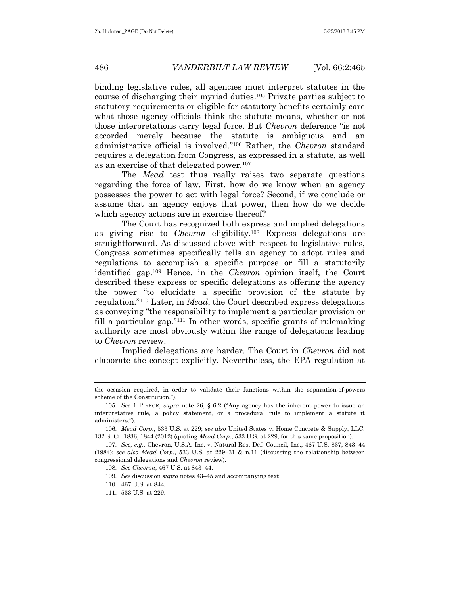binding legislative rules, all agencies must interpret statutes in the course of discharging their myriad duties.<sup>105</sup> Private parties subject to statutory requirements or eligible for statutory benefits certainly care what those agency officials think the statute means, whether or not those interpretations carry legal force. But *Chevron* deference "is not accorded merely because the statute is ambiguous and an administrative official is involved." <sup>106</sup> Rather, the *Chevron* standard requires a delegation from Congress, as expressed in a statute, as well as an exercise of that delegated power.<sup>107</sup>

The *Mead* test thus really raises two separate questions regarding the force of law. First, how do we know when an agency possesses the power to act with legal force? Second, if we conclude or assume that an agency enjoys that power, then how do we decide which agency actions are in exercise thereof?

The Court has recognized both express and implied delegations as giving rise to *Chevron* eligibility.<sup>108</sup> Express delegations are straightforward. As discussed above with respect to legislative rules, Congress sometimes specifically tells an agency to adopt rules and regulations to accomplish a specific purpose or fill a statutorily identified gap.<sup>109</sup> Hence, in the *Chevron* opinion itself, the Court described these express or specific delegations as offering the agency the power "to elucidate a specific provision of the statute by regulation." <sup>110</sup> Later, in *Mead*, the Court described express delegations as conveying "the responsibility to implement a particular provision or fill a particular gap." <sup>111</sup> In other words, specific grants of rulemaking authority are most obviously within the range of delegations leading to *Chevron* review.

Implied delegations are harder. The Court in *Chevron* did not elaborate the concept explicitly. Nevertheless, the EPA regulation at

the occasion required, in order to validate their functions within the separation-of-powers scheme of the Constitution.").

<sup>105.</sup> *See* 1 PIERCE, *supra* note 26, § 6.2 ("Any agency has the inherent power to issue an interpretative rule, a policy statement, or a procedural rule to implement a statute it administers.").

<sup>106.</sup> *Mead Corp*., 533 U.S. at 229; *see also* United States v. Home Concrete & Supply, LLC, 132 S. Ct. 1836, 1844 (2012) (quoting *Mead Corp.*, 533 U.S. at 229, for this same proposition).

<sup>107.</sup> *See, e.g.*, Chevron, U.S.A. Inc. v. Natural Res. Def. Council, Inc., 467 U.S. 837, 843–44 (1984); *see also Mead Corp*., 533 U.S. at 229–31 & n.11 (discussing the relationship between congressional delegations and *Chevron* review).

<sup>108.</sup> *See Chevron*, 467 U.S. at 843–44.

<sup>109.</sup> *See* discussion *supra* note[s 43](#page-10-1)–[45](#page-11-0) and accompanying text.

<sup>110.</sup> 467 U.S. at 844.

<sup>111.</sup> 533 U.S. at 229.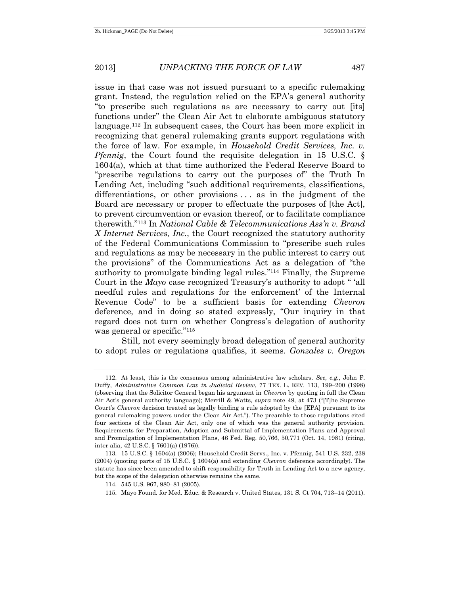issue in that case was not issued pursuant to a specific rulemaking grant. Instead, the regulation relied on the EPA's general authority "to prescribe such regulations as are necessary to carry out [its] functions under" the Clean Air Act to elaborate ambiguous statutory language.<sup>112</sup> In subsequent cases, the Court has been more explicit in recognizing that general rulemaking grants support regulations with the force of law. For example, in *Household Credit Services, Inc. v. Pfennig*, the Court found the requisite delegation in 15 U.S.C. § 1604(a), which at that time authorized the Federal Reserve Board to "prescribe regulations to carry out the purposes of" the Truth In Lending Act, including "such additional requirements, classifications, differentiations, or other provisions . . . as in the judgment of the Board are necessary or proper to effectuate the purposes of [the Act], to prevent circumvention or evasion thereof, or to facilitate compliance therewith." <sup>113</sup> In *National Cable & Telecommunications Ass'n v. Brand X Internet Services, Inc.*, the Court recognized the statutory authority of the Federal Communications Commission to "prescribe such rules and regulations as may be necessary in the public interest to carry out the provisions" of the Communications Act as a delegation of "the authority to promulgate binding legal rules." <sup>114</sup> Finally, the Supreme Court in the *Mayo* case recognized Treasury's authority to adopt " 'all needful rules and regulations for the enforcement' of the Internal Revenue Code" to be a sufficient basis for extending *Chevron* deference, and in doing so stated expressly, "Our inquiry in that regard does not turn on whether Congress's delegation of authority was general or specific." 115

Still, not every seemingly broad delegation of general authority to adopt rules or regulations qualifies, it seems. *Gonzales v. Oregon*

<sup>112.</sup> At least, this is the consensus among administrative law scholars. *See, e.g.*, John F. Duffy, *Administrative Common Law in Judicial Review*, 77 TEX. L. REV. 113, 199–200 (1998) (observing that the Solicitor General began his argument in *Chevron* by quoting in full the Clean Air Act's general authority language); Merrill & Watts, *supra* note 49, at 473 ("[T]he Supreme Court's *Chevron* decision treated as legally binding a rule adopted by the [EPA] pursuant to its general rulemaking powers under the Clean Air Act."). The preamble to those regulations cited four sections of the Clean Air Act, only one of which was the general authority provision. Requirements for Preparation, Adoption and Submittal of Implementation Plans and Approval and Promulgation of Implementation Plans, 46 Fed. Reg. 50,766, 50,771 (Oct. 14, 1981) (citing, inter alia, 42 U.S.C. § 7601(a) (1976)).

<sup>113.</sup> 15 U.S.C. § 1604(a) (2006); Household Credit Servs., Inc. v. Pfennig, 541 U.S. 232, 238 (2004) (quoting parts of 15 U.S.C. § 1604(a) and extending *Chevron* deference accordingly). The statute has since been amended to shift responsibility for Truth in Lending Act to a new agency, but the scope of the delegation otherwise remains the same.

<sup>114.</sup> 545 U.S. 967, 980–81 (2005).

<sup>115.</sup> Mayo Found. for Med. Educ. & Research v. United States, 131 S. Ct 704, 713–14 (2011).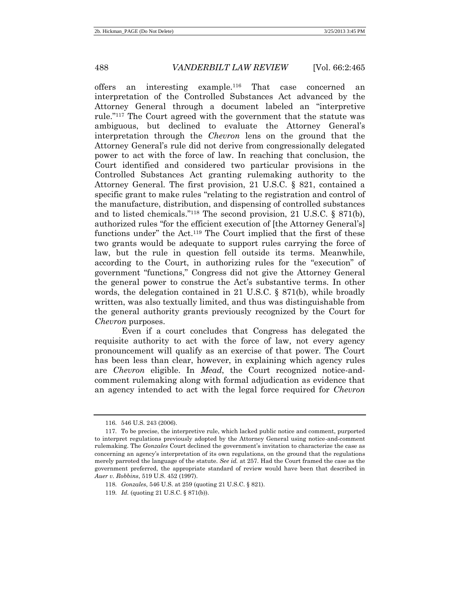offers an interesting example.<sup>116</sup> That case concerned an interpretation of the Controlled Substances Act advanced by the Attorney General through a document labeled an "interpretive rule." <sup>117</sup> The Court agreed with the government that the statute was ambiguous, but declined to evaluate the Attorney General's interpretation through the *Chevron* lens on the ground that the Attorney General's rule did not derive from congressionally delegated power to act with the force of law. In reaching that conclusion, the Court identified and considered two particular provisions in the Controlled Substances Act granting rulemaking authority to the Attorney General. The first provision, 21 U.S.C. § 821, contained a specific grant to make rules "relating to the registration and control of the manufacture, distribution, and dispensing of controlled substances and to listed chemicals." <sup>118</sup> The second provision, 21 U.S.C. § 871(b), authorized rules "for the efficient execution of [the Attorney General's] functions under" the Act.<sup>119</sup> The Court implied that the first of these two grants would be adequate to support rules carrying the force of law, but the rule in question fell outside its terms. Meanwhile, according to the Court, in authorizing rules for the "execution" of government "functions," Congress did not give the Attorney General the general power to construe the Act's substantive terms. In other words, the delegation contained in 21 U.S.C. § 871(b), while broadly written, was also textually limited, and thus was distinguishable from the general authority grants previously recognized by the Court for *Chevron* purposes.

Even if a court concludes that Congress has delegated the requisite authority to act with the force of law, not every agency pronouncement will qualify as an exercise of that power. The Court has been less than clear, however, in explaining which agency rules are *Chevron* eligible. In *Mead*, the Court recognized notice-andcomment rulemaking along with formal adjudication as evidence that an agency intended to act with the legal force required for *Chevron*

<sup>116.</sup> 546 U.S. 243 (2006).

<sup>117.</sup> To be precise, the interpretive rule, which lacked public notice and comment, purported to interpret regulations previously adopted by the Attorney General using notice-and-comment rulemaking. The *Gonzales* Court declined the government's invitation to characterize the case as concerning an agency's interpretation of its own regulations, on the ground that the regulations merely parroted the language of the statute. *See id.* at 257. Had the Court framed the case as the government preferred, the appropriate standard of review would have been that described in *Auer v. Robbins*, 519 U.S. 452 (1997).

<sup>118.</sup> *Gonzales*, 546 U.S. at 259 (quoting 21 U.S.C. § 821).

<sup>119.</sup> *Id.* (quoting 21 U.S.C. § 871(b)).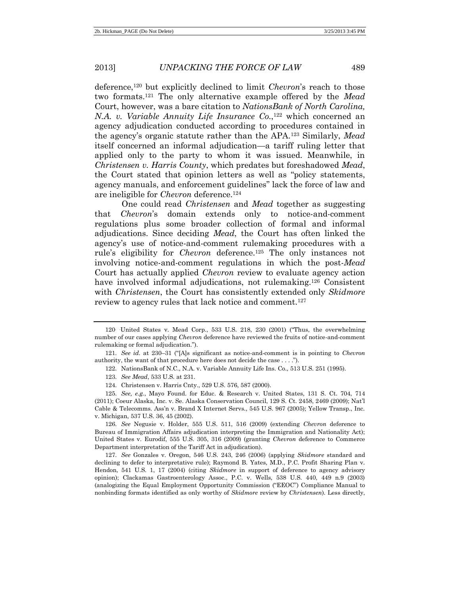deference,<sup>120</sup> but explicitly declined to limit *Chevron*'s reach to those two formats.<sup>121</sup> The only alternative example offered by the *Mead*  Court, however, was a bare citation to *NationsBank of North Carolina, N.A. v. Variable Annuity Life Insurance Co.*, <sup>122</sup> which concerned an agency adjudication conducted according to procedures contained in the agency's organic statute rather than the APA.<sup>123</sup> Similarly, *Mead* itself concerned an informal adjudication—a tariff ruling letter that applied only to the party to whom it was issued. Meanwhile, in *Christensen v. Harris County*, which predates but foreshadowed *Mead*, the Court stated that opinion letters as well as "policy statements, agency manuals, and enforcement guidelines" lack the force of law and are ineligible for *Chevron* deference.<sup>124</sup>

One could read *Christensen* and *Mead* together as suggesting that *Chevron*'s domain extends only to notice-and-comment regulations plus some broader collection of formal and informal adjudications. Since deciding *Mead*, the Court has often linked the agency's use of notice-and-comment rulemaking procedures with a rule's eligibility for *Chevron* deference.<sup>125</sup> The only instances not involving notice-and-comment regulations in which the post-*Mead* Court has actually applied *Chevron* review to evaluate agency action have involved informal adjudications, not rulemaking.<sup>126</sup> Consistent with *Christensen*, the Court has consistently extended only *Skidmore*  review to agency rules that lack notice and comment.<sup>127</sup>

<sup>120</sup> United States v. Mead Corp., 533 U.S. 218, 230 (2001) ("Thus, the overwhelming number of our cases applying *Chevron* deference have reviewed the fruits of notice-and-comment rulemaking or formal adjudication.").

<sup>121.</sup> *See id.* at 230–31 ("[A]s significant as notice-and-comment is in pointing to *Chevron* authority, the want of that procedure here does not decide the case . . . .").

<sup>122.</sup> NationsBank of N.C., N.A. v. Variable Annuity Life Ins. Co., 513 U.S. 251 (1995).

<sup>123.</sup> *See Mead*, 533 U.S. at 231.

<sup>124.</sup> Christensen v. Harris Cnty., 529 U.S. 576, 587 (2000).

<sup>125.</sup> *See, e.g.*, Mayo Found. for Educ. & Research v. United States, 131 S. Ct. 704, 714 (2011); Coeur Alaska, Inc. v. Se. Alaska Conservation Council, 129 S. Ct. 2458, 2469 (2009); Nat'l Cable & Telecomms. Ass'n v. Brand X Internet Servs., 545 U.S. 967 (2005); Yellow Transp., Inc. v. Michigan, 537 U.S. 36, 45 (2002).

<sup>126.</sup> *See* Negusie v. Holder, 555 U.S. 511, 516 (2009) (extending *Chevron* deference to Bureau of Immigration Affairs adjudication interpreting the Immigration and Nationality Act); United States v. Eurodif, 555 U.S. 305, 316 (2009) (granting *Chevron* deference to Commerce Department interpretation of the Tariff Act in adjudication).

<sup>127.</sup> *See* Gonzales v. Oregon, 546 U.S. 243, 246 (2006) (applying *Skidmore* standard and declining to defer to interpretative rule); Raymond B. Yates, M.D., P.C. Profit Sharing Plan v. Hendon, 541 U.S. 1, 17 (2004) (citing *Skidmore* in support of deference to agency advisory opinion); Clackamas Gastroenterology Assoc., P.C. v. Wells, 538 U.S. 440, 449 n.9 (2003) (analogizing the Equal Employment Opportunity Commission ("EEOC") Compliance Manual to nonbinding formats identified as only worthy of *Skidmore* review by *Christensen*). Less directly,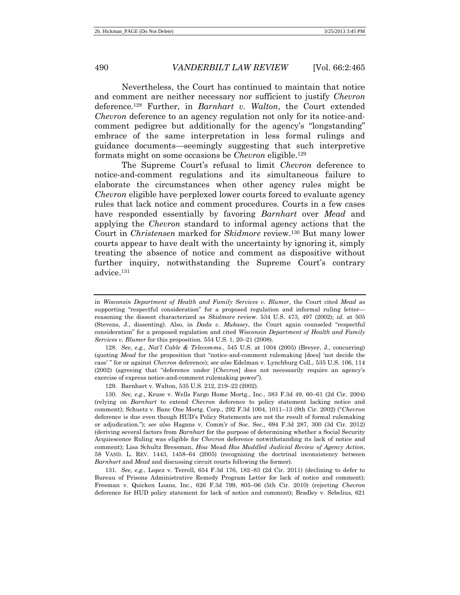Nevertheless, the Court has continued to maintain that notice and comment are neither necessary nor sufficient to justify *Chevron* deference.<sup>128</sup> Further, in *Barnhart v. Walton*, the Court extended *Chevron* deference to an agency regulation not only for its notice-andcomment pedigree but additionally for the agency's "longstanding" embrace of the same interpretation in less formal rulings and guidance documents—seemingly suggesting that such interpretive formats might on some occasions be *Chevron* eligible.<sup>129</sup>

The Supreme Court's refusal to limit *Chevron* deference to notice-and-comment regulations and its simultaneous failure to elaborate the circumstances when other agency rules might be *Chevron* eligible have perplexed lower courts forced to evaluate agency rules that lack notice and comment procedures. Courts in a few cases have responded essentially by favoring *Barnhart* over *Mead* and applying the *Chevron* standard to informal agency actions that the Court in *Christensen* marked for *Skidmore* review.<sup>130</sup> But many lower courts appear to have dealt with the uncertainty by ignoring it, simply treating the absence of notice and comment as dispositive without further inquiry, notwithstanding the Supreme Court's contrary advice.<sup>131</sup>

in *Wisconsin Department of Health and Family Services v. Blumer*, the Court cited *Mead* as supporting "respectful consideration" for a proposed regulation and informal ruling letter reasoning the dissent characterized as *Skidmore* review. 534 U.S. 473, 497 (2002); *id.* at 505 (Stevens, J., dissenting). Also, in *Dada v. Mukasey*, the Court again counseled "respectful consideration" for a proposed regulation and cited *Wisconsin Department of Health and Family Services v. Blumer* for this proposition. 554 U.S. 1, 20–21 (2008).

<sup>128.</sup> *See, e.g.*, *Nat'l Cable & Telecomms.*, 545 U.S. at 1004 (2005) (Breyer, J., concurring) (quoting *Mead* for the proposition that "notice-and-comment rulemaking [does] 'not decide the case' " for or against *Chevron* deference); *see also* Edelman v. Lynchburg Coll., 535 U.S. 106, 114 (2002) (agreeing that "deference under [*Chevron*] does not necessarily require an agency's exercise of express notice-and-comment rulemaking power").

<sup>129.</sup> Barnhart v. Walton, 535 U.S. 212, 219–22 (2002).

<sup>130.</sup> *See, e.g.*, Kruse v. Wells Fargo Home Mortg., Inc., 383 F.3d 49, 60–61 (2d Cir. 2004) (relying on *Barnhart* to extend *Chevron* deference to policy statement lacking notice and comment); Schuetz v. Banc One Mortg. Corp., 292 F.3d 1004, 1011–13 (9th Cir. 2002) ("*Chevron* deference is due even though HUD's Policy Statements are not the result of formal rulemaking or adjudication."); *see also* Hagans v. Comm'r of Soc. Sec., 694 F.3d 287, 300 (3d Cir. 2012) (deriving several factors from *Barnhart* for the purpose of determining whether a Social Security Acquiescence Ruling was eligible for *Chevron* deference notwithstanding its lack of notice and comment); Lisa Schultz Bressman, *How* Mead *Has Muddled Judicial Review of Agency Action*, 58 VAND. L. REV. 1443, 1458–64 (2005) (recognizing the doctrinal inconsistency between *Barnhart* and *Mead* and discussing circuit courts following the former).

<sup>131.</sup> *See, e.g.*, Lopez v. Terrell, 654 F.3d 176, 182–83 (2d Cir. 2011) (declining to defer to Bureau of Prisons Administrative Remedy Program Letter for lack of notice and comment); Freeman v. Quicken Loans, Inc., 626 F.3d 799, 805–06 (5th Cir. 2010) (rejecting *Chevron* deference for HUD policy statement for lack of notice and comment); Bradley v. Sebelius, 621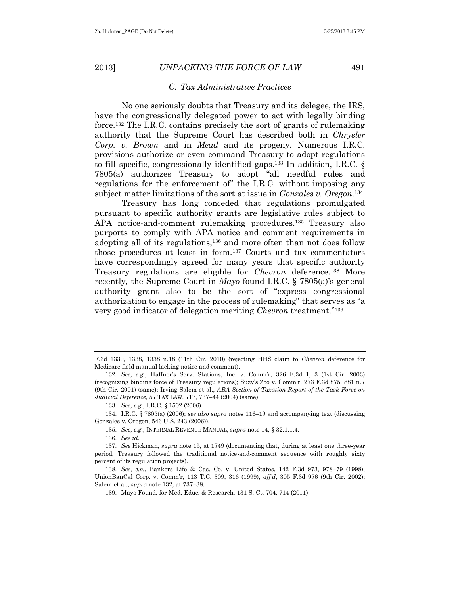#### *C. Tax Administrative Practices*

No one seriously doubts that Treasury and its delegee, the IRS, have the congressionally delegated power to act with legally binding force.<sup>132</sup> The I.R.C. contains precisely the sort of grants of rulemaking authority that the Supreme Court has described both in *Chrysler Corp. v. Brown* and in *Mead* and its progeny. Numerous I.R.C. provisions authorize or even command Treasury to adopt regulations to fill specific, congressionally identified gaps.<sup>133</sup> In addition, I.R.C.  $\S$ 7805(a) authorizes Treasury to adopt "all needful rules and regulations for the enforcement of" the I.R.C. without imposing any subject matter limitations of the sort at issue in *Gonzales v. Oregon*. 134

Treasury has long conceded that regulations promulgated pursuant to specific authority grants are legislative rules subject to APA notice-and-comment rulemaking procedures.<sup>135</sup> Treasury also purports to comply with APA notice and comment requirements in adopting all of its regulations,<sup>136</sup> and more often than not does follow those procedures at least in form.<sup>137</sup> Courts and tax commentators have correspondingly agreed for many years that specific authority Treasury regulations are eligible for *Chevron* deference.<sup>138</sup> More recently, the Supreme Court in *Mayo* found I.R.C. § 7805(a)'s general authority grant also to be the sort of "express congressional authorization to engage in the process of rulemaking" that serves as "a very good indicator of delegation meriting *Chevron* treatment." 139

F.3d 1330, 1338, 1338 n.18 (11th Cir. 2010) (rejecting HHS claim to *Chevron* deference for Medicare field manual lacking notice and comment).

<sup>132.</sup> *See, e.g.*, Haffner's Serv. Stations, Inc. v. Comm'r, 326 F.3d 1, 3 (1st Cir. 2003) (recognizing binding force of Treasury regulations); Suzy's Zoo v. Comm'r, 273 F.3d 875, 881 n.7 (9th Cir. 2001) (same); Irving Salem et al., *ABA Section of Taxation Report of the Task Force on Judicial Deference*, 57 TAX LAW. 717, 737–44 (2004) (same).

<sup>133.</sup> *See, e.g.*, I.R.C. § 1502 (2006).

<sup>134.</sup> I.R.C. § 7805(a) (2006); *see also supra* notes 116–19 and accompanying text (discussing Gonzales v. Oregon, 546 U.S. 243 (2006)).

<sup>135.</sup> *See, e.g.*, INTERNAL REVENUE MANUAL, *supra* note 14, § 32.1.1.4.

<sup>136.</sup> *See id.*

<sup>137.</sup> *See* Hickman, *supra* note 15, at 1749 (documenting that, during at least one three-year period, Treasury followed the traditional notice-and-comment sequence with roughly sixty percent of its regulation projects).

<sup>138.</sup> *See, e.g.*, Bankers Life & Cas. Co. v. United States, 142 F.3d 973, 978–79 (1998); UnionBanCal Corp. v. Comm'r, 113 T.C. 309, 316 (1999), *aff'd*, 305 F.3d 976 (9th Cir. 2002); Salem et al., *supra* note 132, at 737–38.

<sup>139.</sup> Mayo Found. for Med. Educ. & Research, 131 S. Ct. 704, 714 (2011).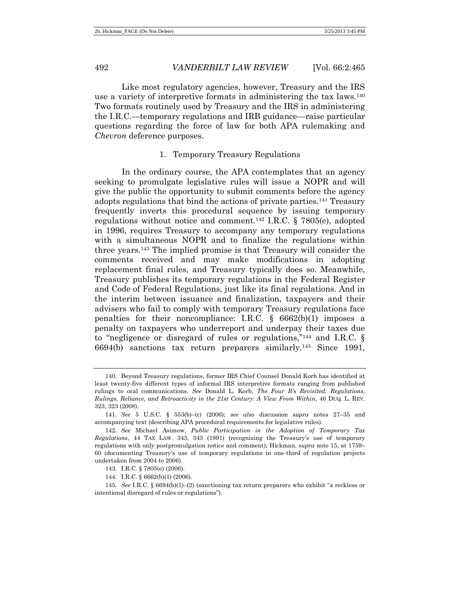## 1. Temporary Treasury Regulations

In the ordinary course, the APA contemplates that an agency seeking to promulgate legislative rules will issue a NOPR and will give the public the opportunity to submit comments before the agency adopts regulations that bind the actions of private parties.<sup>141</sup> Treasury frequently inverts this procedural sequence by issuing temporary regulations without notice and comment.<sup>142</sup> I.R.C. § 7805(e), adopted in 1996, requires Treasury to accompany any temporary regulations with a simultaneous NOPR and to finalize the regulations within three years.<sup>143</sup> The implied promise is that Treasury will consider the comments received and may make modifications in adopting replacement final rules, and Treasury typically does so. Meanwhile, Treasury publishes its temporary regulations in the Federal Register and Code of Federal Regulations, just like its final regulations. And in the interim between issuance and finalization, taxpayers and their advisers who fail to comply with temporary Treasury regulations face penalties for their noncompliance: I.R.C.  $\S$  6662(b)(1) imposes a penalty on taxpayers who underreport and underpay their taxes due to "negligence or disregard of rules or regulations,"<sup>144</sup> and I.R.C. § 6694(b) sanctions tax return preparers similarly.<sup>145</sup> Since 1991,

<sup>140.</sup> Beyond Treasury regulations, former IRS Chief Counsel Donald Korb has identified at least twenty-five different types of informal IRS interpretive formats ranging from published rulings to oral communications. *See* Donald L. Korb, *The Four R's Revisited: Regulations, Rulings, Reliance, and Retroactivity in the 21st Century: A View From Within*, 46 DUQ. L. REV. 323, 323 (2008).

<sup>141.</sup> *See* 5 U.S.C. § 553(b)–(c) (2006); *see also* discussion *supra* notes [27](#page-8-1)–[35](#page-9-0) and accompanying text (describing APA procedural requirements for legislative rules).

<sup>142.</sup> *See* Michael Asimow, *Public Participation in the Adoption of Temporary Tax Regulations*, 44 TAX LAW. 343, 343 (1991) (recognizing the Treasury's use of temporary regulations with only postpromulgation notice and comment); Hickman, *supra* note 15, at 1759– 60 (documenting Treasury's use of temporary regulations in one-third of regulation projects undertaken from 2004 to 2006).

<sup>143.</sup> I.R.C. § 7805(e) (2006).

<sup>144.</sup> I.R.C. § 6662(b)(1) (2006).

<sup>145.</sup> *See* I.R.C. § 6694(b)(1)–(2) (sanctioning tax return preparers who exhibit "a reckless or intentional disregard of rules or regulations").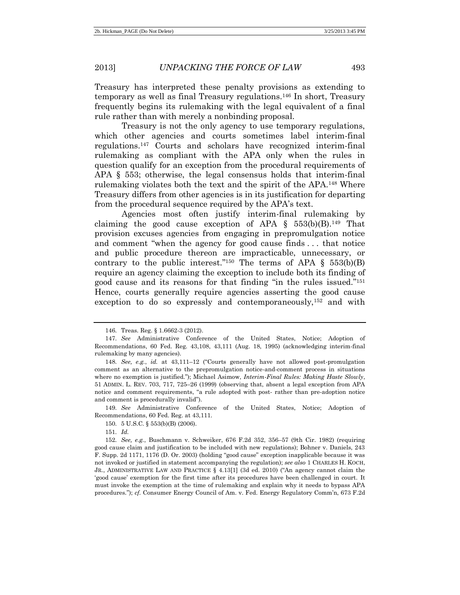Treasury has interpreted these penalty provisions as extending to temporary as well as final Treasury regulations.<sup>146</sup> In short, Treasury frequently begins its rulemaking with the legal equivalent of a final rule rather than with merely a nonbinding proposal.

Treasury is not the only agency to use temporary regulations, which other agencies and courts sometimes label interim-final regulations.<sup>147</sup> Courts and scholars have recognized interim-final rulemaking as compliant with the APA only when the rules in question qualify for an exception from the procedural requirements of APA § 553; otherwise, the legal consensus holds that interim-final rulemaking violates both the text and the spirit of the APA.<sup>148</sup> Where Treasury differs from other agencies is in its justification for departing from the procedural sequence required by the APA's text.

Agencies most often justify interim-final rulemaking by claiming the good cause exception of APA  $\S$  553(b)(B).<sup>149</sup> That provision excuses agencies from engaging in prepromulgation notice and comment "when the agency for good cause finds . . . that notice and public procedure thereon are impracticable, unnecessary, or contrary to the public interest."<sup>150</sup> The terms of APA  $\S$  553(b)(B) require an agency claiming the exception to include both its finding of good cause and its reasons for that finding "in the rules issued." 151 Hence, courts generally require agencies asserting the good cause exception to do so expressly and contemporaneously,<sup>152</sup> and with

149. *See* Administrative Conference of the United States, Notice; Adoption of Recommendations, 60 Fed. Reg. at 43,111.

<sup>146.</sup> Treas. Reg. § 1.6662-3 (2012).

<sup>147.</sup> *See* Administrative Conference of the United States, Notice; Adoption of Recommendations, 60 Fed. Reg. 43,108, 43,111 (Aug. 18, 1995) (acknowledging interim-final rulemaking by many agencies).

<sup>148.</sup> *See, e.g.*, *id.* at 43,111–12 ("Courts generally have not allowed post-promulgation comment as an alternative to the prepromulgation notice-and-comment process in situations where no exemption is justified."); Michael Asimow, *Interim-Final Rules: Making Haste Slowly*, 51 ADMIN. L. REV. 703, 717, 725–26 (1999) (observing that, absent a legal exception from APA notice and comment requirements, "a rule adopted with post- rather than pre-adoption notice and comment is procedurally invalid").

<sup>150.</sup> 5 U.S.C. § 553(b)(B) (2006).

<sup>151.</sup> *Id.*

<sup>152.</sup> *See, e.g.*, Buschmann v. Schweiker, 676 F.2d 352, 356–57 (9th Cir. 1982) (requiring good cause claim and justification to be included with new regulations); Bohner v. Daniels, 243 F. Supp. 2d 1171, 1176 (D. Or. 2003) (holding "good cause" exception inapplicable because it was not invoked or justified in statement accompanying the regulation); *see also* 1 CHARLES H. KOCH, JR., ADMINISTRATIVE LAW AND PRACTICE § 4.13[1] (3d ed. 2010) ("An agency cannot claim the 'good cause' exemption for the first time after its procedures have been challenged in court. It must invoke the exemption at the time of rulemaking and explain why it needs to bypass APA procedures."); *cf.* Consumer Energy Council of Am. v. Fed. Energy Regulatory Comm'n, 673 F.2d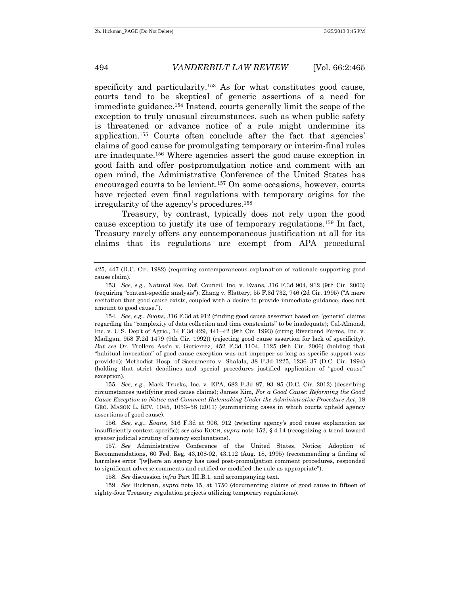specificity and particularity.<sup>153</sup> As for what constitutes good cause, courts tend to be skeptical of generic assertions of a need for immediate guidance.<sup>154</sup> Instead, courts generally limit the scope of the exception to truly unusual circumstances, such as when public safety is threatened or advance notice of a rule might undermine its application.<sup>155</sup> Courts often conclude after the fact that agencies' claims of good cause for promulgating temporary or interim-final rules are inadequate.<sup>156</sup> Where agencies assert the good cause exception in good faith and offer postpromulgation notice and comment with an open mind, the Administrative Conference of the United States has encouraged courts to be lenient.<sup>157</sup> On some occasions, however, courts have rejected even final regulations with temporary origins for the irregularity of the agency's procedures.<sup>158</sup>

Treasury, by contrast, typically does not rely upon the good cause exception to justify its use of temporary regulations.<sup>159</sup> In fact, Treasury rarely offers any contemporaneous justification at all for its claims that its regulations are exempt from APA procedural

154. *See, e.g.*, *Evans*, 316 F.3d at 912 (finding good cause assertion based on "generic" claims regarding the "complexity of data collection and time constraints" to be inadequate); Cal-Almond, Inc. v. U.S. Dep't of Agric., 14 F.3d 429, 441–42 (9th Cir. 1993) (citing Riverbend Farms, Inc. v. Madigan, 958 F.2d 1479 (9th Cir. 1992)) (rejecting good cause assertion for lack of specificity). *But see* Or. Trollers Ass'n v. Gutierrez, 452 F.3d 1104, 1125 (9th Cir. 2006) (holding that "habitual invocation" of good cause exception was not improper so long as specific support was provided); Methodist Hosp. of Sacramento v. Shalala, 38 F.3d 1225, 1236–37 (D.C. Cir. 1994) (holding that strict deadlines and special procedures justified application of "good cause" exception).

155. *See, e.g.*, Mack Trucks, Inc. v. EPA, 682 F.3d 87, 93–95 (D.C. Cir. 2012) (describing circumstances justifying good cause claims); James Kim, *For a Good Cause: Reforming the Good Cause Exception to Notice and Comment Rulemaking Under the Administrative Procedure Act*, 18 GEO. MASON L. REV. 1045, 1053–58 (2011) (summarizing cases in which courts upheld agency assertions of good cause).

156. *See, e.g.*, *Evans*, 316 F.3d at 906, 912 (rejecting agency's good cause explanation as insufficiently context specific); *see also* KOCH, *supra* note 152, § 4.14 (recognizing a trend toward greater judicial scrutiny of agency explanations).

157. *See* Administrative Conference of the United States, Notice; Adoption of Recommendations, 60 Fed. Reg. 43,108-02, 43,112 (Aug. 18, 1995) (recommending a finding of harmless error "[w]here an agency has used post-promulgation comment procedures, responded to significant adverse comments and ratified or modified the rule as appropriate").

158. *See* discussion *infra* Part III.B.1. and accompanying text.

159. *See* Hickman, *supra* note 15, at 1750 (documenting claims of good cause in fifteen of eighty-four Treasury regulation projects utilizing temporary regulations).

<sup>425, 447 (</sup>D.C. Cir. 1982) (requiring contemporaneous explanation of rationale supporting good cause claim).

<sup>153.</sup> *See, e.g.*, Natural Res. Def. Council, Inc. v. Evans, 316 F.3d 904, 912 (9th Cir. 2003) (requiring "context-specific analysis"); Zhang v. Slattery, 55 F.3d 732, 746 (2d Cir. 1995) ("A mere recitation that good cause exists, coupled with a desire to provide immediate guidance, does not amount to good cause.").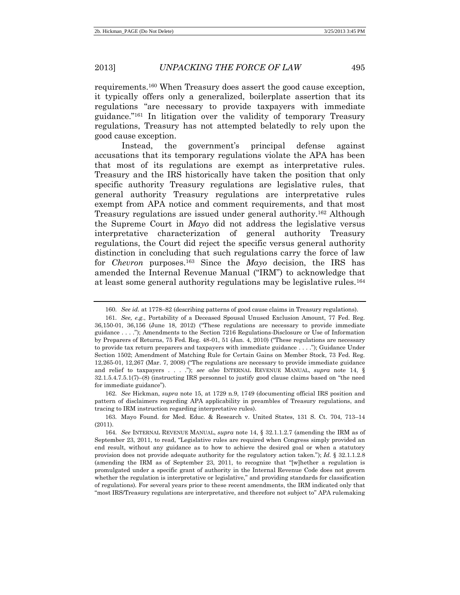<span id="page-30-1"></span><span id="page-30-0"></span>

requirements.<sup>160</sup> When Treasury does assert the good cause exception, it typically offers only a generalized, boilerplate assertion that its regulations "are necessary to provide taxpayers with immediate guidance." <sup>161</sup> In litigation over the validity of temporary Treasury regulations, Treasury has not attempted belatedly to rely upon the good cause exception.

Instead, the government's principal defense against accusations that its temporary regulations violate the APA has been that most of its regulations are exempt as interpretative rules. Treasury and the IRS historically have taken the position that only specific authority Treasury regulations are legislative rules, that general authority Treasury regulations are interpretative rules exempt from APA notice and comment requirements, and that most Treasury regulations are issued under general authority.<sup>162</sup> Although the Supreme Court in *Mayo* did not address the legislative versus interpretative characterization of general authority Treasury regulations, the Court did reject the specific versus general authority distinction in concluding that such regulations carry the force of law for *Chevron* purposes.<sup>163</sup> Since the *Mayo* decision, the IRS has amended the Internal Revenue Manual ("IRM") to acknowledge that at least some general authority regulations may be legislative rules.<sup>164</sup>

162. *See* Hickman, *supra* note 15, at 1729 n.9, 1749 (documenting official IRS position and pattern of disclaimers regarding APA applicability in preambles of Treasury regulations, and tracing to IRM instruction regarding interpretative rules).

<sup>160.</sup> *See id.* at 1778–82 (describing patterns of good cause claims in Treasury regulations).

<sup>161.</sup> *See, e.g.*, Portability of a Deceased Spousal Unused Exclusion Amount, 77 Fed. Reg. 36,150-01, 36,156 (June 18, 2012) ("These regulations are necessary to provide immediate guidance . . . ."); Amendments to the Section 7216 Regulations-Disclosure or Use of Information by Preparers of Returns, 75 Fed. Reg. 48-01, 51 (Jan. 4, 2010) ("These regulations are necessary to provide tax return preparers and taxpayers with immediate guidance . . . ."); Guidance Under Section 1502; Amendment of Matching Rule for Certain Gains on Member Stock, 73 Fed. Reg. 12,265-01, 12,267 (Mar. 7, 2008) ("The regulations are necessary to provide immediate guidance and relief to taxpayers . . . ."); *see also* INTERNAL REVENUE MANUAL, *supra* note 14, § 32.1.5.4.7.5.1(7)–(8) (instructing IRS personnel to justify good clause claims based on "the need for immediate guidance").

<sup>163.</sup> Mayo Found. for Med. Educ. & Research v. United States, 131 S. Ct. 704, 713–14 (2011).

<sup>164.</sup> *See* INTERNAL REVENUE MANUAL, *supra* note 14, § 32.1.1.2.7 (amending the IRM as of September 23, 2011, to read, "Legislative rules are required when Congress simply provided an end result, without any guidance as to how to achieve the desired goal or when a statutory provision does not provide adequate authority for the regulatory action taken."); *Id.* § 32.1.1.2.8 (amending the IRM as of September 23, 2011, to recognize that "[w]hether a regulation is promulgated under a specific grant of authority in the Internal Revenue Code does not govern whether the regulation is interpretative or legislative," and providing standards for classification of regulations). For several years prior to these recent amendments, the IRM indicated only that "most IRS/Treasury regulations are interpretative, and therefore not subject to" APA rulemaking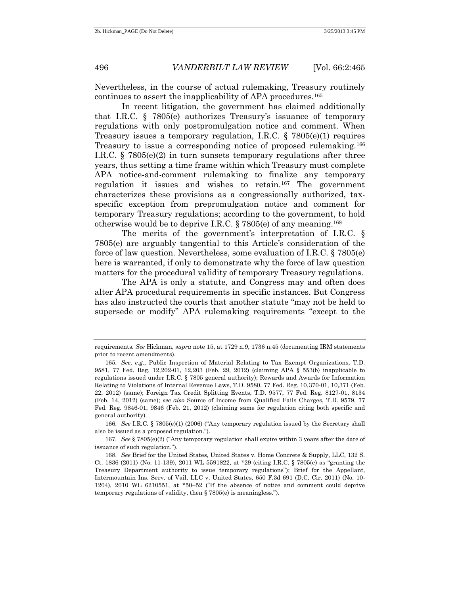Nevertheless, in the course of actual rulemaking, Treasury routinely continues to assert the inapplicability of APA procedures.<sup>165</sup>

In recent litigation, the government has claimed additionally that I.R.C. § 7805(e) authorizes Treasury's issuance of temporary regulations with only postpromulgation notice and comment. When Treasury issues a temporary regulation, I.R.C.  $\S$  7805(e)(1) requires Treasury to issue a corresponding notice of proposed rulemaking.<sup>166</sup> I.R.C. § 7805(e)(2) in turn sunsets temporary regulations after three years, thus setting a time frame within which Treasury must complete APA notice-and-comment rulemaking to finalize any temporary regulation it issues and wishes to retain.<sup>167</sup> The government characterizes these provisions as a congressionally authorized, taxspecific exception from prepromulgation notice and comment for temporary Treasury regulations; according to the government, to hold otherwise would be to deprive I.R.C. § 7805(e) of any meaning.<sup>168</sup>

The merits of the government's interpretation of I.R.C. § 7805(e) are arguably tangential to this Article's consideration of the force of law question. Nevertheless, some evaluation of I.R.C. § 7805(e) here is warranted, if only to demonstrate why the force of law question matters for the procedural validity of temporary Treasury regulations.

The APA is only a statute, and Congress may and often does alter APA procedural requirements in specific instances. But Congress has also instructed the courts that another statute "may not be held to supersede or modify" APA rulemaking requirements "except to the

requirements. *See* Hickman, *supra* note 15, at 1729 n.9, 1736 n.45 (documenting IRM statements prior to recent amendments).

<sup>165.</sup> *See, e.g.*, Public Inspection of Material Relating to Tax Exempt Organizations, T.D. 9581, 77 Fed. Reg. 12,202-01, 12,203 (Feb. 29, 2012) (claiming APA § 553(b) inapplicable to regulations issued under I.R.C. § 7805 general authority); Rewards and Awards for Information Relating to Violations of Internal Revenue Laws, T.D. 9580, 77 Fed. Reg. 10,370-01, 10,371 (Feb. 22, 2012) (same); Foreign Tax Credit Splitting Events, T.D. 9577, 77 Fed. Reg. 8127-01, 8134 (Feb. 14, 2012) (same); *see also* Source of Income from Qualified Fails Charges, T.D. 9579, 77 Fed. Reg. 9846-01, 9846 (Feb. 21, 2012) (claiming same for regulation citing both specific and general authority).

<sup>166.</sup> *See* I.R.C. § 7805(e)(1) (2006) ("Any temporary regulation issued by the Secretary shall also be issued as a proposed regulation.").

<sup>167.</sup> *See* § 7805(e)(2) ("Any temporary regulation shall expire within 3 years after the date of issuance of such regulation.").

<sup>168.</sup> *See* Brief for the United States, United States v. Home Concrete & Supply, LLC, 132 S. Ct. 1836 (2011) (No. 11-139), 2011 WL 5591822, at \*29 (citing I.R.C. § 7805(e) as "granting the Treasury Department authority to issue temporary regulations"); Brief for the Appellant, Intermountain Ins. Serv. of Vail, LLC v. United States, 650 F.3d 691 (D.C. Cir. 2011) (No. 10- 1204), 2010 WL 6210551, at \*50–52 ("If the absence of notice and comment could deprive temporary regulations of validity, then § 7805(e) is meaningless.").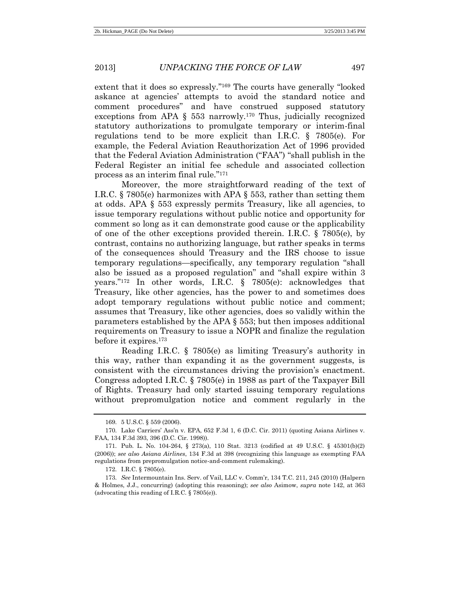extent that it does so expressly." <sup>169</sup> The courts have generally "looked askance at agencies' attempts to avoid the standard notice and comment procedures" and have construed supposed statutory exceptions from APA  $\S$  553 narrowly.<sup>170</sup> Thus, judicially recognized statutory authorizations to promulgate temporary or interim-final regulations tend to be more explicit than I.R.C. § 7805(e). For example, the Federal Aviation Reauthorization Act of 1996 provided that the Federal Aviation Administration ("FAA") "shall publish in the Federal Register an initial fee schedule and associated collection process as an interim final rule." 171

Moreover, the more straightforward reading of the text of I.R.C. § 7805(e) harmonizes with APA § 553, rather than setting them at odds. APA § 553 expressly permits Treasury, like all agencies, to issue temporary regulations without public notice and opportunity for comment so long as it can demonstrate good cause or the applicability of one of the other exceptions provided therein. I.R.C. § 7805(e), by contrast, contains no authorizing language, but rather speaks in terms of the consequences should Treasury and the IRS choose to issue temporary regulations—specifically, any temporary regulation "shall also be issued as a proposed regulation" and "shall expire within 3 years." <sup>172</sup> In other words, I.R.C. § 7805(e): acknowledges that Treasury, like other agencies, has the power to and sometimes does adopt temporary regulations without public notice and comment; assumes that Treasury, like other agencies, does so validly within the parameters established by the APA § 553; but then imposes additional requirements on Treasury to issue a NOPR and finalize the regulation before it expires.<sup>173</sup>

Reading I.R.C. § 7805(e) as limiting Treasury's authority in this way, rather than expanding it as the government suggests, is consistent with the circumstances driving the provision's enactment. Congress adopted I.R.C. § 7805(e) in 1988 as part of the Taxpayer Bill of Rights. Treasury had only started issuing temporary regulations without prepromulgation notice and comment regularly in the

<sup>169.</sup> 5 U.S.C. § 559 (2006).

<sup>170.</sup> Lake Carriers' Ass'n v. EPA, 652 F.3d 1, 6 (D.C. Cir. 2011) (quoting Asiana Airlines v. FAA, 134 F.3d 393, 396 (D.C. Cir. 1998)).

<sup>171.</sup> Pub. L. No. 104-264, § 273(a), 110 Stat. 3213 (codified at 49 U.S.C. § 45301(b)(2) (2006)); *see also Asiana Airlines*, 134 F.3d at 398 (recognizing this language as exempting FAA regulations from prepromulgation notice-and-comment rulemaking).

<sup>172.</sup> I.R.C. § 7805(e).

<sup>173.</sup> *See* Intermountain Ins. Serv. of Vail, LLC v. Comm'r, 134 T.C. 211, 245 (2010) (Halpern & Holmes, J.J., concurring) (adopting this reasoning); *see also* Asimow, *supra* note 142, at 363 (advocating this reading of I.R.C. § 7805(e)).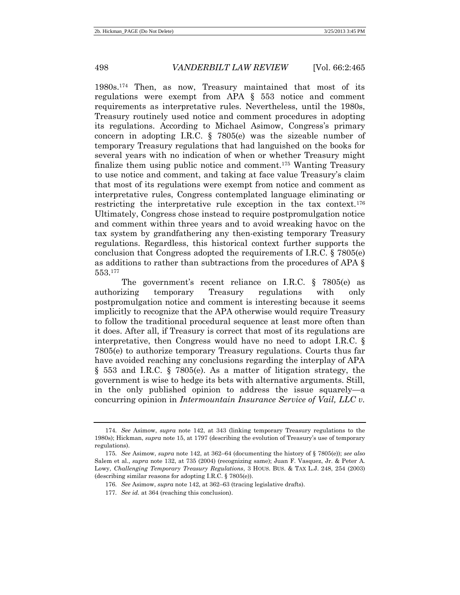1980s.<sup>174</sup> Then, as now, Treasury maintained that most of its regulations were exempt from APA § 553 notice and comment requirements as interpretative rules. Nevertheless, until the 1980s, Treasury routinely used notice and comment procedures in adopting its regulations. According to Michael Asimow, Congress's primary concern in adopting I.R.C.  $\S$  7805(e) was the sizeable number of temporary Treasury regulations that had languished on the books for several years with no indication of when or whether Treasury might finalize them using public notice and comment.<sup>175</sup> Wanting Treasury to use notice and comment, and taking at face value Treasury's claim that most of its regulations were exempt from notice and comment as interpretative rules, Congress contemplated language eliminating or restricting the interpretative rule exception in the tax context.<sup>176</sup> Ultimately, Congress chose instead to require postpromulgation notice and comment within three years and to avoid wreaking havoc on the tax system by grandfathering any then-existing temporary Treasury regulations. Regardless, this historical context further supports the conclusion that Congress adopted the requirements of I.R.C. § 7805(e) as additions to rather than subtractions from the procedures of APA § 553.<sup>177</sup>

The government's recent reliance on I.R.C. § 7805(e) as authorizing temporary Treasury regulations with only postpromulgation notice and comment is interesting because it seems implicitly to recognize that the APA otherwise would require Treasury to follow the traditional procedural sequence at least more often than it does. After all, if Treasury is correct that most of its regulations are interpretative, then Congress would have no need to adopt I.R.C. § 7805(e) to authorize temporary Treasury regulations. Courts thus far have avoided reaching any conclusions regarding the interplay of APA § 553 and I.R.C. § 7805(e). As a matter of litigation strategy, the government is wise to hedge its bets with alternative arguments. Still, in the only published opinion to address the issue squarely—a concurring opinion in *Intermountain Insurance Service of Vail, LLC v.* 

<sup>174.</sup> *See* Asimow, *supra* note 142, at 343 (linking temporary Treasury regulations to the 1980s); Hickman, *supra* note 15, at 1797 (describing the evolution of Treasury's use of temporary regulations).

<sup>175.</sup> *See* Asimow, *supra* note 142, at 362–64 (documenting the history of § 7805(e)); *see also* Salem et al., *supra* note 132, at 735 (2004) (recognizing same); Juan F. Vasquez, Jr. & Peter A. Lowy, *Challenging Temporary Treasury Regulations*, 3 HOUS. BUS. & TAX L.J. 248, 254 (2003) (describing similar reasons for adopting I.R.C. § 7805(e)).

<sup>176.</sup> *See* Asimow, *supra* note 142, at 362–63 (tracing legislative drafts).

<sup>177.</sup> *See id.* at 364 (reaching this conclusion).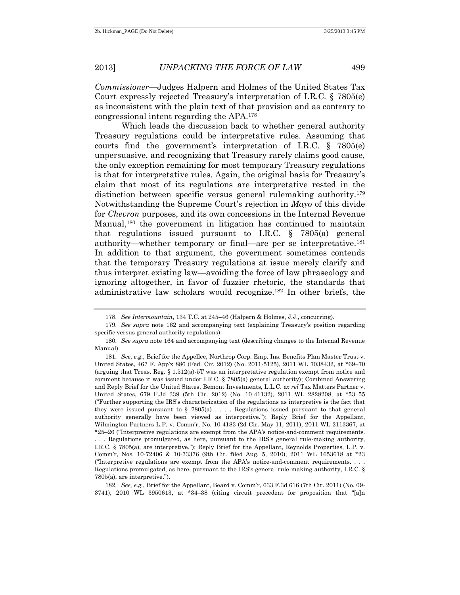*Commissioner—*Judges Halpern and Holmes of the United States Tax Court expressly rejected Treasury's interpretation of I.R.C. § 7805(e) as inconsistent with the plain text of that provision and as contrary to congressional intent regarding the APA.<sup>178</sup>

Which leads the discussion back to whether general authority Treasury regulations could be interpretative rules. Assuming that courts find the government's interpretation of I.R.C. § 7805(e) unpersuasive, and recognizing that Treasury rarely claims good cause, the only exception remaining for most temporary Treasury regulations is that for interpretative rules. Again, the original basis for Treasury's claim that most of its regulations are interpretative rested in the distinction between specific versus general rulemaking authority.<sup>179</sup> Notwithstanding the Supreme Court's rejection in *Mayo* of this divide for *Chevron* purposes, and its own concessions in the Internal Revenue Manual,<sup>180</sup> the government in litigation has continued to maintain that regulations issued pursuant to I.R.C. § 7805(a) general authority—whether temporary or final—are per se interpretative.<sup>181</sup> In addition to that argument, the government sometimes contends that the temporary Treasury regulations at issue merely clarify and thus interpret existing law—avoiding the force of law phraseology and ignoring altogether, in favor of fuzzier rhetoric, the standards that administrative law scholars would recognize.<sup>182</sup> In other briefs, the

182. *See, e.g.*, Brief for the Appellant, Beard v. Comm'r, 633 F.3d 616 (7th Cir. 2011) (No. 09- 3741), 2010 WL 3950613, at \*34–38 (citing circuit precedent for proposition that "[a]n

<sup>178.</sup> *See Intermountain*, 134 T.C. at 245–46 (Halpern & Holmes, J.J., concurring).

<sup>179.</sup> *See supra* note [162](#page-30-0) and accompanying text (explaining Treasury's position regarding specific versus general authority regulations).

<sup>180.</sup> *See supra* note [164](#page-30-1) and accompanying text (describing changes to the Internal Revenue Manual).

<sup>181.</sup> *See, e.g.*, Brief for the Appellee, Northrop Corp. Emp. Ins. Benefits Plan Master Trust v. United States, 467 F. App'x 886 (Fed. Cir. 2012) (No. 2011-5125), 2011 WL 7038432, at \*69–70 (arguing that Treas. Reg. § 1.512(a)-5T was an interpretative regulation exempt from notice and comment because it was issued under I.R.C. § 7805(a) general authority); Combined Answering and Reply Brief for the United States, Bemont Investments, L.L.C. *ex rel* Tax Matters Partner v. United States, 679 F.3d 339 (5th Cir. 2012) (No. 10-41132), 2011 WL 2828208, at \*53–55 ("Further supporting the IRS's characterization of the regulations as interpretive is the fact that they were issued pursuant to  $\S 7805(a)$ .... Regulations issued pursuant to that general authority generally have been viewed as interpretive."); Reply Brief for the Appellant, Wilmington Partners L.P. v. Comm'r, No. 10-4183 (2d Cir. May 11, 2011), 2011 WL 2113367, at \*25–26 ("Interpretive regulations are exempt from the APA's notice-and-comment requirements. . . . Regulations promulgated, as here, pursuant to the IRS's general rule-making authority, I.R.C. § 7805(a), are interpretive."); Reply Brief for the Appellant, Reynolds Properties, L.P. v. Comm'r, Nos. 10-72406 & 10-73376 (9th Cir. filed Aug. 5, 2010), 2011 WL 1653618 at \*23 ("Interpretive regulations are exempt from the APA's notice-and-comment requirements. . . . Regulations promulgated, as here, pursuant to the IRS's general rule-making authority, I.R.C. § 7805(a), are interpretive.").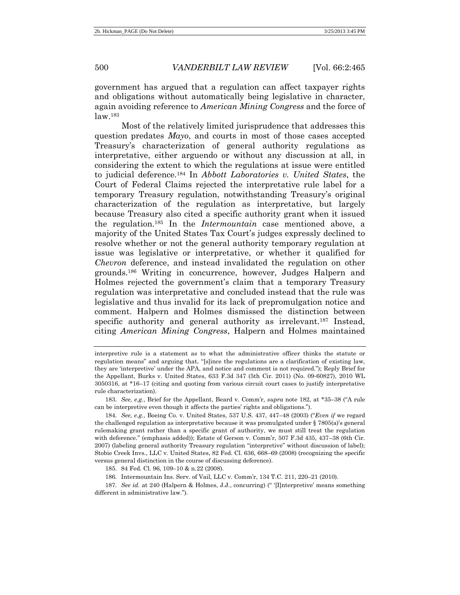government has argued that a regulation can affect taxpayer rights and obligations without automatically being legislative in character, again avoiding reference to *American Mining Congress* and the force of law.<sup>183</sup>

<span id="page-35-0"></span>Most of the relatively limited jurisprudence that addresses this question predates *Mayo*, and courts in most of those cases accepted Treasury's characterization of general authority regulations as interpretative, either arguendo or without any discussion at all, in considering the extent to which the regulations at issue were entitled to judicial deference.<sup>184</sup> In *Abbott Laboratories v. United States*, the Court of Federal Claims rejected the interpretative rule label for a temporary Treasury regulation, notwithstanding Treasury's original characterization of the regulation as interpretative, but largely because Treasury also cited a specific authority grant when it issued the regulation.<sup>185</sup> In the *Intermountain* case mentioned above, a majority of the United States Tax Court's judges expressly declined to resolve whether or not the general authority temporary regulation at issue was legislative or interpretative, or whether it qualified for *Chevron* deference, and instead invalidated the regulation on other grounds.<sup>186</sup> Writing in concurrence, however, Judges Halpern and Holmes rejected the government's claim that a temporary Treasury regulation was interpretative and concluded instead that the rule was legislative and thus invalid for its lack of prepromulgation notice and comment. Halpern and Holmes dismissed the distinction between specific authority and general authority as irrelevant.<sup>187</sup> Instead, citing *American Mining Congress*, Halpern and Holmes maintained

183. *See, e.g.*, Brief for the Appellant, Beard v. Comm'r, *supra* note 182, at \*35–38 ("A rule can be interpretive even though it affects the parties' rights and obligations.").

184. *See, e.g.*, Boeing Co. v. United States, 537 U.S. 437, 447–48 (2003) ("*Even if* we regard the challenged regulation as interpretative because it was promulgated under § 7805(a)'s general rulemaking grant rather than a specific grant of authority, we must still treat the regulation with deference." (emphasis added)); Estate of Gerson v. Comm'r, 507 F.3d 435, 437–38 (6th Cir. 2007) (labeling general authority Treasury regulation "interpretive" without discussion of label); Stobie Creek Invs., LLC v. United States, 82 Fed. Cl. 636, 668–69 (2008) (recognizing the specific versus general distinction in the course of discussing deference).

185. 84 Fed. Cl. 96, 109–10 & n.22 (2008).

186. Intermountain Ins. Serv. of Vail, LLC v. Comm'r, 134 T.C. 211, 220–21 (2010).

187. *See id.* at 240 (Halpern & Holmes, J.J., concurring) (" '[I]nterpretive' means something different in administrative law.").

interpretive rule is a statement as to what the administrative officer thinks the statute or regulation means" and arguing that, "[s]ince the regulations are a clarification of existing law, they are 'interpretive' under the APA, and notice and comment is not required."); Reply Brief for the Appellant, Burks v. United States, 633 F.3d 347 (5th Cir. 2011) (No. 09-60827), 2010 WL 3050316, at \*16–17 (citing and quoting from various circuit court cases to justify interpretative rule characterization).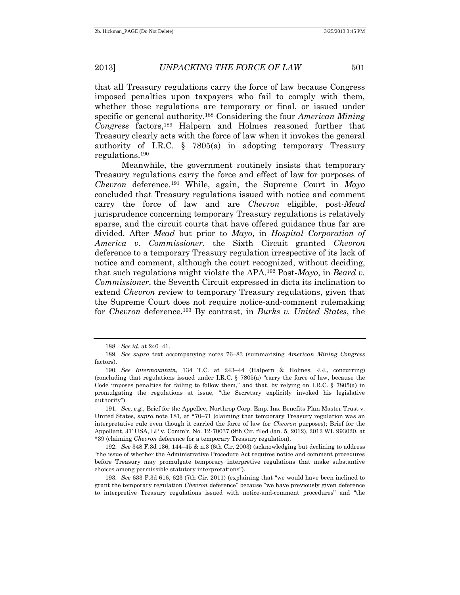that all Treasury regulations carry the force of law because Congress imposed penalties upon taxpayers who fail to comply with them, whether those regulations are temporary or final, or issued under specific or general authority.<sup>188</sup> Considering the four *American Mining Congress* factors,<sup>189</sup> Halpern and Holmes reasoned further that Treasury clearly acts with the force of law when it invokes the general authority of I.R.C. § 7805(a) in adopting temporary Treasury regulations.<sup>190</sup>

Meanwhile, the government routinely insists that temporary Treasury regulations carry the force and effect of law for purposes of *Chevron* deference.<sup>191</sup> While, again, the Supreme Court in *Mayo* concluded that Treasury regulations issued with notice and comment carry the force of law and are *Chevron* eligible, post-*Mead* jurisprudence concerning temporary Treasury regulations is relatively sparse, and the circuit courts that have offered guidance thus far are divided. After *Mead* but prior to *Mayo*, in *Hospital Corporation of America v. Commissioner*, the Sixth Circuit granted *Chevron* deference to a temporary Treasury regulation irrespective of its lack of notice and comment, although the court recognized, without deciding, that such regulations might violate the APA.<sup>192</sup> Post-*Mayo*, in *Beard v. Commissioner*, the Seventh Circuit expressed in dicta its inclination to extend *Chevron* review to temporary Treasury regulations, given that the Supreme Court does not require notice-and-comment rulemaking for *Chevron* deference.<sup>193</sup> By contrast, in *Burks v. United States*, the

193. *See* 633 F.3d 616, 623 (7th Cir. 2011) (explaining that "we would have been inclined to grant the temporary regulation *Chevron* deference" because "we have previously given deference to interpretive Treasury regulations issued with notice-and-comment procedures" and "the

<sup>188.</sup> *See id.* at 240–41.

<sup>189.</sup> *See supra* text accompanying notes 76–83 (summarizing *American Mining Congress* factors).

<sup>190.</sup> *See Intermountain*, 134 T.C. at 243–44 (Halpern & Holmes, J.J., concurring) (concluding that regulations issued under I.R.C. § 7805(a) "carry the force of law, because the Code imposes penalties for failing to follow them," and that, by relying on I.R.C. § 7805(a) in promulgating the regulations at issue, "the Secretary explicitly invoked his legislative authority").

<sup>191.</sup> *See, e.g.*, Brief for the Appellee, Northrop Corp. Emp. Ins. Benefits Plan Master Trust v. United States, *supra* note 181, at \*70–71 (claiming that temporary Treasury regulation was an interpretative rule even though it carried the force of law for *Chevron* purposes); Brief for the Appellant, JT USA, LP v. Comm'r, No. 12-70037 (9th Cir. filed Jan. 5, 2012), 2012 WL 993020, at \*39 (claiming *Chevron* deference for a temporary Treasury regulation).

<sup>192.</sup> *See* 348 F.3d 136, 144–45 & n.3 (6th Cir. 2003) (acknowledging but declining to address "the issue of whether the Administrative Procedure Act requires notice and comment procedures before Treasury may promulgate temporary interpretive regulations that make substantive choices among permissible statutory interpretations").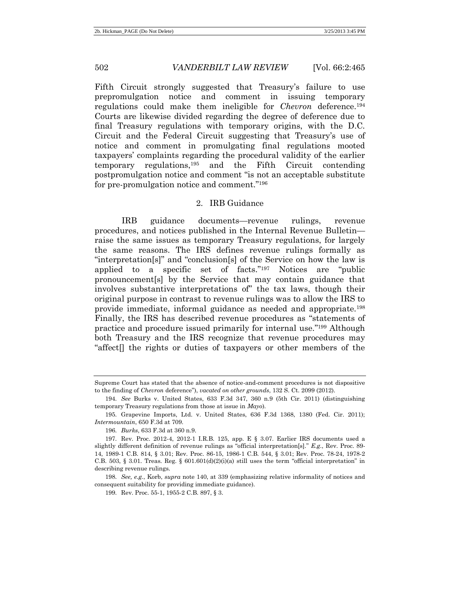Fifth Circuit strongly suggested that Treasury's failure to use prepromulgation notice and comment in issuing temporary regulations could make them ineligible for *Chevron* deference.<sup>194</sup> Courts are likewise divided regarding the degree of deference due to final Treasury regulations with temporary origins, with the D.C. Circuit and the Federal Circuit suggesting that Treasury's use of notice and comment in promulgating final regulations mooted taxpayers' complaints regarding the procedural validity of the earlier temporary regulations,<sup>195</sup> and the Fifth Circuit contending postpromulgation notice and comment "is not an acceptable substitute for pre-promulgation notice and comment." 196

## 2. IRB Guidance

IRB guidance documents—revenue rulings, revenue procedures, and notices published in the Internal Revenue Bulletin raise the same issues as temporary Treasury regulations, for largely the same reasons. The IRS defines revenue rulings formally as "interpretation[s]" and "conclusion[s] of the Service on how the law is applied to a specific set of facts." <sup>197</sup> Notices are "public pronouncement[s] by the Service that may contain guidance that involves substantive interpretations of" the tax laws, though their original purpose in contrast to revenue rulings was to allow the IRS to provide immediate, informal guidance as needed and appropriate.<sup>198</sup> Finally, the IRS has described revenue procedures as "statements of practice and procedure issued primarily for internal use." <sup>199</sup> Although both Treasury and the IRS recognize that revenue procedures may "affect<sup> $\parallel$ </sup> the rights or duties of taxpayers or other members of the

199. Rev. Proc. 55-1, 1955-2 C.B. 897, § 3.

Supreme Court has stated that the absence of notice-and-comment procedures is not dispositive to the finding of *Chevron* deference"), *vacated on other grounds*, 132 S. Ct. 2099 (2012).

<sup>194.</sup> *See* Burks v. United States, 633 F.3d 347, 360 n.9 (5th Cir. 2011) (distinguishing temporary Treasury regulations from those at issue in *Mayo*).

<sup>195.</sup> Grapevine Imports, Ltd. v. United States, 636 F.3d 1368, 1380 (Fed. Cir. 2011); *Intermountain*, 650 F.3d at 709.

<sup>196.</sup> *Burks*, 633 F.3d at 360 n.9.

<sup>197.</sup> Rev. Proc. 2012-4, 2012-1 I.R.B. 125, app. E § 3.07. Earlier IRS documents used a slightly different definition of revenue rulings as "official interpretation[s]." *E.g.*, Rev. Proc. 89- 14, 1989-1 C.B. 814, § 3.01; Rev. Proc. 86-15, 1986-1 C.B. 544, § 3.01; Rev. Proc. 78-24, 1978-2 C.B. 503, § 3.01. Treas. Reg. §  $601.601(d)(2)(i)(a)$  still uses the term "official interpretation" in describing revenue rulings.

<sup>198.</sup> *See, e.g.*, Korb, *supra* note 140, at 339 (emphasizing relative informality of notices and consequent suitability for providing immediate guidance).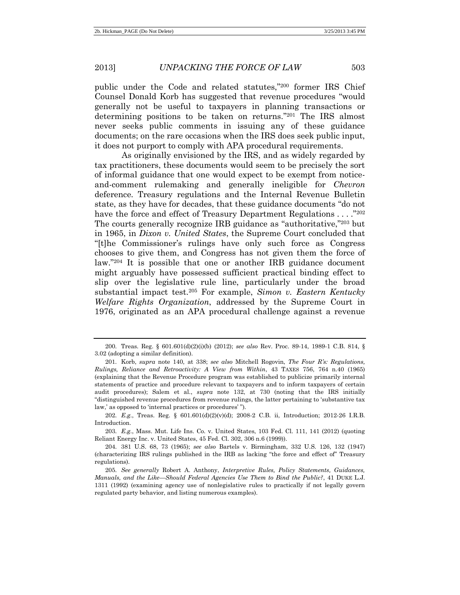public under the Code and related statutes," <sup>200</sup> former IRS Chief Counsel Donald Korb has suggested that revenue procedures "would generally not be useful to taxpayers in planning transactions or determining positions to be taken on returns." <sup>201</sup> The IRS almost never seeks public comments in issuing any of these guidance documents; on the rare occasions when the IRS does seek public input, it does not purport to comply with APA procedural requirements.

As originally envisioned by the IRS, and as widely regarded by tax practitioners, these documents would seem to be precisely the sort of informal guidance that one would expect to be exempt from noticeand-comment rulemaking and generally ineligible for *Chevron* deference. Treasury regulations and the Internal Revenue Bulletin state, as they have for decades, that these guidance documents "do not have the force and effect of Treasury Department Regulations . . . . "202" The courts generally recognize IRB guidance as "authoritative," <sup>203</sup> but in 1965, in *Dixon v. United States*, the Supreme Court concluded that "[t]he Commissioner's rulings have only such force as Congress chooses to give them, and Congress has not given them the force of law." <sup>204</sup> It is possible that one or another IRB guidance document might arguably have possessed sufficient practical binding effect to slip over the legislative rule line, particularly under the broad substantial impact test.<sup>205</sup> For example, *Simon v. Eastern Kentucky Welfare Rights Organization*, addressed by the Supreme Court in 1976, originated as an APA procedural challenge against a revenue

<sup>200.</sup> Treas. Reg. § 601.601(d)(2)(i)(b) (2012); *see also* Rev. Proc. 89-14, 1989-1 C.B. 814, § 3.02 (adopting a similar definition).

<sup>201.</sup> Korb, *supra* note 140, at 338; *see also* Mitchell Rogovin, *The Four R's: Regulations, Rulings, Reliance and Retroactivity: A View from Within*, 43 TAXES 756, 764 n.40 (1965) (explaining that the Revenue Procedure program was established to publicize primarily internal statements of practice and procedure relevant to taxpayers and to inform taxpayers of certain audit procedures); Salem et al., *supra* note 132, at 730 (noting that the IRS initially "distinguished revenue procedures from revenue rulings, the latter pertaining to 'substantive tax law,' as opposed to 'internal practices or procedures' ").

<sup>202.</sup> *E.g.*, Treas. Reg. § 601.601(d)(2)(v)(d); 2008-2 C.B. ii, Introduction; 2012-26 I.R.B. Introduction.

<sup>203.</sup> *E.g.*, Mass. Mut. Life Ins. Co. v. United States, 103 Fed. Cl. 111, 141 (2012) (quoting Reliant Energy Inc. v. United States, 45 Fed. Cl. 302, 306 n.6 (1999)).

<sup>204.</sup> 381 U.S. 68, 73 (1965); *see also* Bartels v. Birmingham, 332 U.S. 126, 132 (1947) (characterizing IRS rulings published in the IRB as lacking "the force and effect of" Treasury regulations).

<sup>205.</sup> *See generally* Robert A. Anthony, *Interpretive Rules, Policy Statements, Guidances, Manuals, and the Like—Should Federal Agencies Use Them to Bind the Public?*, 41 DUKE L.J. 1311 (1992) (examining agency use of nonlegislative rules to practically if not legally govern regulated party behavior, and listing numerous examples).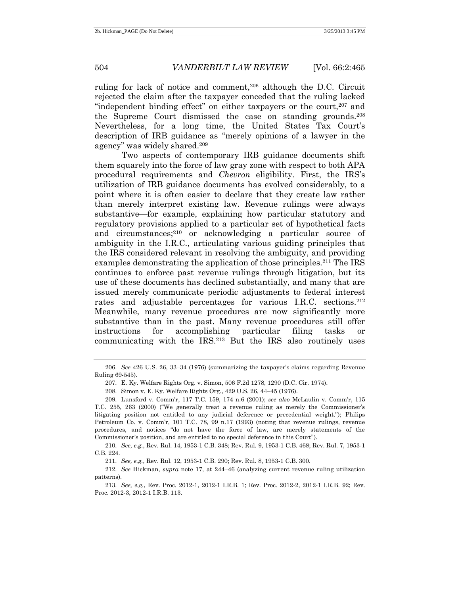ruling for lack of notice and comment,<sup>206</sup> although the D.C. Circuit rejected the claim after the taxpayer conceded that the ruling lacked "independent binding effect" on either taxpayers or the court, $207$  and the Supreme Court dismissed the case on standing grounds. 208 Nevertheless, for a long time, the United States Tax Court's description of IRB guidance as "merely opinions of a lawyer in the agency" was widely shared.<sup>209</sup>

Two aspects of contemporary IRB guidance documents shift them squarely into the force of law gray zone with respect to both APA procedural requirements and *Chevron* eligibility. First, the IRS's utilization of IRB guidance documents has evolved considerably, to a point where it is often easier to declare that they create law rather than merely interpret existing law. Revenue rulings were always substantive—for example, explaining how particular statutory and regulatory provisions applied to a particular set of hypothetical facts and circumstances;<sup>210</sup> or acknowledging a particular source of ambiguity in the I.R.C., articulating various guiding principles that the IRS considered relevant in resolving the ambiguity, and providing examples demonstrating the application of those principles.<sup>211</sup> The IRS continues to enforce past revenue rulings through litigation, but its use of these documents has declined substantially, and many that are issued merely communicate periodic adjustments to federal interest rates and adjustable percentages for various I.R.C. sections.<sup>212</sup> Meanwhile, many revenue procedures are now significantly more substantive than in the past. Many revenue procedures still offer instructions for accomplishing particular filing tasks or communicating with the IRS.<sup>213</sup> But the IRS also routinely uses

<sup>206.</sup> *See* 426 U.S. 26, 33–34 (1976) (summarizing the taxpayer's claims regarding Revenue Ruling 69-545).

<sup>207.</sup> E. Ky. Welfare Rights Org. v. Simon, 506 F.2d 1278, 1290 (D.C. Cir. 1974).

<sup>208.</sup> Simon v. E. Ky. Welfare Rights Org., 429 U.S. 26, 44–45 (1976).

<sup>209.</sup> Lunsford v. Comm'r, 117 T.C. 159, 174 n.6 (2001); *see also* McLaulin v. Comm'r, 115 T.C. 255, 263 (2000) ("We generally treat a revenue ruling as merely the Commissioner's litigating position not entitled to any judicial deference or precedential weight."); Philips Petroleum Co. v. Comm'r, 101 T.C. 78, 99 n.17 (1993) (noting that revenue rulings, revenue procedures, and notices "do not have the force of law, are merely statements of the Commissioner's position, and are entitled to no special deference in this Court").

<sup>210.</sup> *See, e.g.*, Rev. Rul. 14, 1953-1 C.B. 348; Rev. Rul. 9, 1953-1 C.B. 468; Rev. Rul. 7, 1953-1 C.B. 224.

<sup>211.</sup> *See, e.g.*, Rev. Rul. 12, 1953-1 C.B. 290; Rev. Rul. 8, 1953-1 C.B. 300.

<sup>212.</sup> *See* Hickman, *supra* note 17, at 244–46 (analyzing current revenue ruling utilization patterns).

<sup>213.</sup> *See, e.g.*, Rev. Proc. 2012-1, 2012-1 I.R.B. 1; Rev. Proc. 2012-2, 2012-1 I.R.B. 92; Rev. Proc. 2012-3, 2012-1 I.R.B. 113.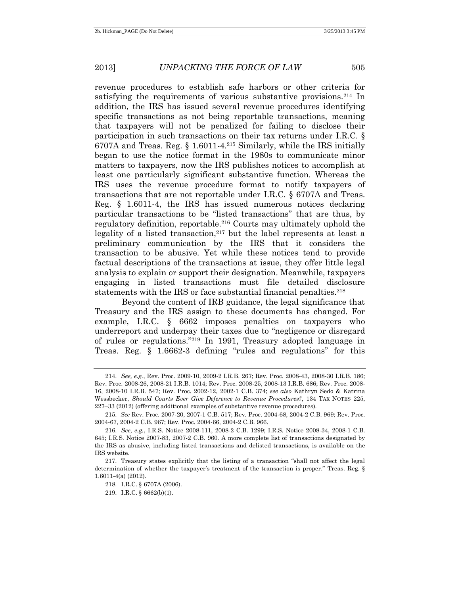<span id="page-40-0"></span>revenue procedures to establish safe harbors or other criteria for satisfying the requirements of various substantive provisions.<sup>214</sup> In addition, the IRS has issued several revenue procedures identifying specific transactions as not being reportable transactions, meaning that taxpayers will not be penalized for failing to disclose their participation in such transactions on their tax returns under I.R.C. § 6707A and Treas. Reg. § 1.6011-4.<sup>215</sup> Similarly, while the IRS initially began to use the notice format in the 1980s to communicate minor matters to taxpayers, now the IRS publishes notices to accomplish at least one particularly significant substantive function. Whereas the IRS uses the revenue procedure format to notify taxpayers of transactions that are not reportable under I.R.C. § 6707A and Treas. Reg. § 1.6011-4, the IRS has issued numerous notices declaring particular transactions to be "listed transactions" that are thus, by regulatory definition, reportable.<sup>216</sup> Courts may ultimately uphold the legality of a listed transaction,<sup>217</sup> but the label represents at least a preliminary communication by the IRS that it considers the transaction to be abusive. Yet while these notices tend to provide factual descriptions of the transactions at issue, they offer little legal analysis to explain or support their designation. Meanwhile, taxpayers engaging in listed transactions must file detailed disclosure statements with the IRS or face substantial financial penalties.<sup>218</sup>

<span id="page-40-1"></span>Beyond the content of IRB guidance, the legal significance that Treasury and the IRS assign to these documents has changed. For example, I.R.C. § 6662 imposes penalties on taxpayers who underreport and underpay their taxes due to "negligence or disregard of rules or regulations." <sup>219</sup> In 1991, Treasury adopted language in Treas. Reg. § 1.6662-3 defining "rules and regulations" for this

219. I.R.C. § 6662(b)(1).

<sup>214.</sup> *See, e.g.*, Rev. Proc. 2009-10, 2009-2 I.R.B. 267; Rev. Proc. 2008-43, 2008-30 I.R.B. 186; Rev. Proc. 2008-26, 2008-21 I.R.B. 1014; Rev. Proc. 2008-25, 2008-13 I.R.B. 686; Rev. Proc. 2008- 16, 2008-10 I.R.B. 547; Rev. Proc. 2002-12, 2002-1 C.B. 374; *see also* Kathryn Sedo & Katrina Wessbecker, *Should Courts Ever Give Deference to Revenue Procedures?*, 134 TAX NOTES 225, 227–33 (2012) (offering additional examples of substantive revenue procedures).

<sup>215.</sup> *See* Rev. Proc. 2007-20, 2007-1 C.B. 517; Rev. Proc. 2004-68, 2004-2 C.B. 969; Rev. Proc. 2004-67, 2004-2 C.B. 967; Rev. Proc. 2004-66, 2004-2 C.B. 966.

<sup>216.</sup> *See, e.g.*, I.R.S. Notice 2008-111, 2008-2 C.B. 1299; I.R.S. Notice 2008-34, 2008-1 C.B. 645; I.R.S. Notice 2007-83, 2007-2 C.B. 960. A more complete list of transactions designated by the IRS as abusive, including listed transactions and delisted transactions, is available on the IRS website.

<sup>217.</sup> Treasury states explicitly that the listing of a transaction "shall not affect the legal determination of whether the taxpayer's treatment of the transaction is proper." Treas. Reg. § 1.6011-4(a) (2012).

<sup>218.</sup> I.R.C. § 6707A (2006).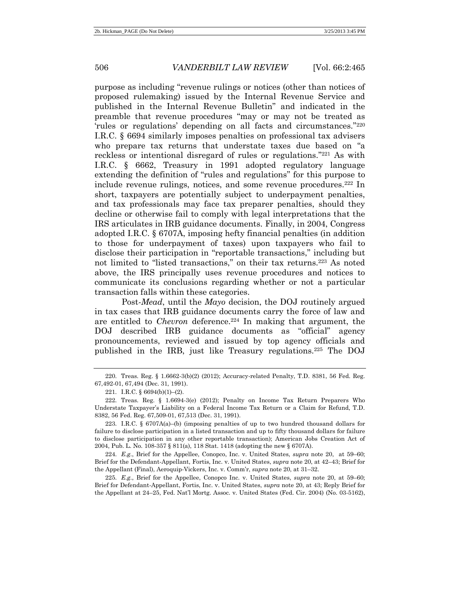purpose as including "revenue rulings or notices (other than notices of proposed rulemaking) issued by the Internal Revenue Service and published in the Internal Revenue Bulletin" and indicated in the preamble that revenue procedures "may or may not be treated as 'rules or regulations' depending on all facts and circumstances." 220 I.R.C. § 6694 similarly imposes penalties on professional tax advisers who prepare tax returns that understate taxes due based on "a reckless or intentional disregard of rules or regulations." <sup>221</sup> As with I.R.C. § 6662, Treasury in 1991 adopted regulatory language extending the definition of "rules and regulations" for this purpose to include revenue rulings, notices, and some revenue procedures.<sup>222</sup> In short, taxpayers are potentially subject to underpayment penalties, and tax professionals may face tax preparer penalties, should they decline or otherwise fail to comply with legal interpretations that the IRS articulates in IRB guidance documents. Finally, in 2004, Congress adopted I.R.C. § 6707A, imposing hefty financial penalties (in addition to those for underpayment of taxes) upon taxpayers who fail to disclose their participation in "reportable transactions," including but not limited to "listed transactions," on their tax returns.<sup>223</sup> As noted above, the IRS principally uses revenue procedures and notices to communicate its conclusions regarding whether or not a particular transaction falls within these categories.

<span id="page-41-1"></span>Post-*Mead*, until the *Mayo* decision, the DOJ routinely argued in tax cases that IRB guidance documents carry the force of law and are entitled to *Chevron* deference.<sup>224</sup> In making that argument, the DOJ described IRB guidance documents as "official" agency pronouncements, reviewed and issued by top agency officials and published in the IRB, just like Treasury regulations.<sup>225</sup> The DOJ

224. *E.g.*, Brief for the Appellee, Conopco, Inc. v. United States, *supra* note 20, at 59–60; Brief for the Defendant-Appellant, Fortis, Inc. v. United States, *supra* note 20, at 42–43; Brief for the Appellant (Final), Aeroquip-Vickers, Inc. v. Comm'r, *supra* note 20, at 31–32.

225. *E.g.*, Brief for the Appellee, Conopco Inc. v. United States, *supra* note 20, at 59–60; Brief for Defendant-Appellant, Fortis, Inc. v. United States, *supra* note 20, at 43; Reply Brief for the Appellant at 24–25, Fed. Nat'l Mortg. Assoc. v. United States (Fed. Cir. 2004) (No. 03-5162),

<sup>220.</sup> Treas. Reg. § 1.6662-3(b)(2) (2012); Accuracy-related Penalty, T.D. 8381, 56 Fed. Reg. 67,492-01, 67,494 (Dec. 31, 1991).

<span id="page-41-0"></span><sup>221.</sup> I.R.C. § 6694(b)(1)–(2).

<sup>222.</sup> Treas. Reg. § 1.6694-3(e) (2012); Penalty on Income Tax Return Preparers Who Understate Taxpayer's Liability on a Federal Income Tax Return or a Claim for Refund, T.D. 8382, 56 Fed. Reg. 67,509-01, 67,513 (Dec. 31, 1991).

<sup>223.</sup> I.R.C. § 6707A(a)–(b) (imposing penalties of up to two hundred thousand dollars for failure to disclose participation in a listed transaction and up to fifty thousand dollars for failure to disclose participation in any other reportable transaction); American Jobs Creation Act of 2004, Pub. L. No. 108-357 § 811(a), 118 Stat. 1418 (adopting the new § 6707A).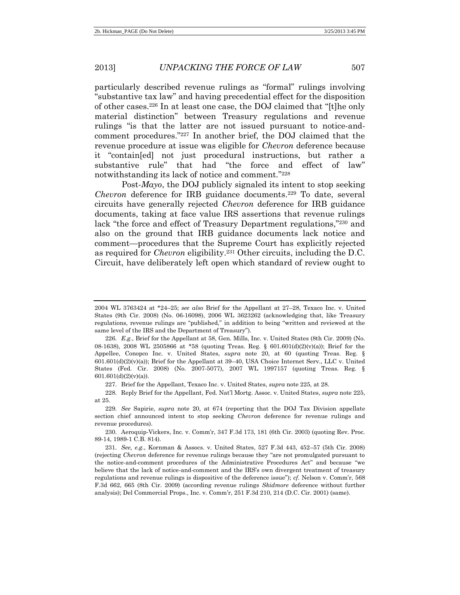particularly described revenue rulings as "formal" rulings involving "substantive tax law" and having precedential effect for the disposition of other cases.<sup>226</sup> In at least one case, the DOJ claimed that "[t]he only material distinction" between Treasury regulations and revenue rulings "is that the latter are not issued pursuant to notice-andcomment procedures."<sup>227</sup> In another brief, the DOJ claimed that the revenue procedure at issue was eligible for *Chevron* deference because it "contain[ed] not just procedural instructions, but rather a substantive rule" that had "the force and effect of law" notwithstanding its lack of notice and comment." 228

Post-*Mayo*, the DOJ publicly signaled its intent to stop seeking *Chevron* deference for IRB guidance documents.<sup>229</sup> To date, several circuits have generally rejected *Chevron* deference for IRB guidance documents, taking at face value IRS assertions that revenue rulings lack "the force and effect of Treasury Department regulations,"<sup>230</sup> and also on the ground that IRB guidance documents lack notice and comment—procedures that the Supreme Court has explicitly rejected as required for *Chevron* eligibility.<sup>231</sup> Other circuits, including the D.C. Circuit, have deliberately left open which standard of review ought to

227. Brief for the Appellant, Texaco Inc. v. United States, *supra* not[e 225,](#page-41-0) at 28.

228. Reply Brief for the Appellant, Fed. Nat'l Mortg. Assoc. v. United States, *supra* not[e 225,](#page-41-0) at 25.

230. Aeroquip-Vickers, Inc. v. Comm'r, 347 F.3d 173, 181 (6th Cir. 2003) (quoting Rev. Proc. 89-14, 1989-1 C.B. 814).

<sup>2004</sup> WL 3763424 at \*24–25; *see also* Brief for the Appellant at 27–28, Texaco Inc. v. United States (9th Cir. 2008) (No. 06-16098), 2006 WL 3623262 (acknowledging that, like Treasury regulations, revenue rulings are "published," in addition to being "written and reviewed at the same level of the IRS and the Department of Treasury").

<sup>226.</sup> *E.g.*, Brief for the Appellant at 58, Gen. Mills, Inc. v. United States (8th Cir. 2009) (No. 08-1638), 2008 WL 2505866 at \*58 (quoting Treas. Reg. § 601.601(d)(2)(v)(a)); Brief for the Appellee, Conopco Inc. v. United States, *supra* note 20, at 60 (quoting Treas. Reg. §  $601.601(d)(2)(v)(a)$ ; Brief for the Appellant at 39–40, USA Choice Internet Serv., LLC v. United States (Fed. Cir. 2008) (No. 2007-5077), 2007 WL 1997157 (quoting Treas. Reg. §  $601.601(d)(2)(v)(a)$ .

<sup>229.</sup> *See* Sapirie, *supra* note 20, at 674 (reporting that the DOJ Tax Division appellate section chief announced intent to stop seeking *Chevron* deference for revenue rulings and revenue procedures).

<sup>231.</sup> *See, e.g.*, Kornman & Assocs. v. United States, 527 F.3d 443, 452–57 (5th Cir. 2008) (rejecting *Chevron* deference for revenue rulings because they "are not promulgated pursuant to the notice-and-comment procedures of the Administrative Procedures Act" and because "we believe that the lack of notice-and-comment and the IRS's own divergent treatment of treasury regulations and revenue rulings is dispositive of the deference issue"); *cf.* Nelson v. Comm'r, 568 F.3d 662, 665 (8th Cir. 2009) (according revenue rulings *Skidmore* deference without further analysis); Del Commercial Props., Inc. v. Comm'r, 251 F.3d 210, 214 (D.C. Cir. 2001) (same).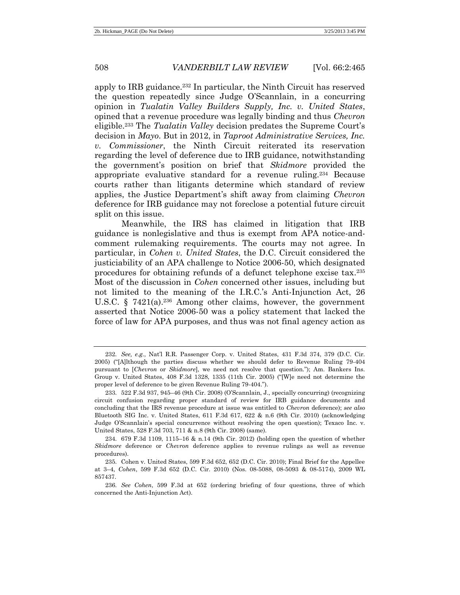apply to IRB guidance.<sup>232</sup> In particular, the Ninth Circuit has reserved the question repeatedly since Judge O'Scannlain, in a concurring opinion in *Tualatin Valley Builders Supply, Inc. v. United States*, opined that a revenue procedure was legally binding and thus *Chevron* eligible.<sup>233</sup> The *Tualatin Valley* decision predates the Supreme Court's decision in *Mayo*. But in 2012, in *Taproot Administrative Services, Inc. v. Commissioner*, the Ninth Circuit reiterated its reservation regarding the level of deference due to IRB guidance, notwithstanding the government's position on brief that *Skidmore* provided the appropriate evaluative standard for a revenue ruling.<sup>234</sup> Because courts rather than litigants determine which standard of review applies, the Justice Department's shift away from claiming *Chevron* deference for IRB guidance may not foreclose a potential future circuit split on this issue.

<span id="page-43-0"></span>Meanwhile, the IRS has claimed in litigation that IRB guidance is nonlegislative and thus is exempt from APA notice-andcomment rulemaking requirements. The courts may not agree. In particular, in *Cohen v. United States*, the D.C. Circuit considered the justiciability of an APA challenge to Notice 2006-50, which designated procedures for obtaining refunds of a defunct telephone excise tax. 235 Most of the discussion in *Cohen* concerned other issues, including but not limited to the meaning of the I.R.C.'s Anti-Injunction Act, 26 U.S.C. § 7421(a). <sup>236</sup> Among other claims, however, the government asserted that Notice 2006-50 was a policy statement that lacked the force of law for APA purposes, and thus was not final agency action as

<sup>232.</sup> *See, e.g.*, Nat'l R.R. Passenger Corp. v. United States, 431 F.3d 374, 379 (D.C. Cir. 2005) ("[A]lthough the parties discuss whether we should defer to Revenue Ruling 79-404 pursuant to [*Chevron* or *Skidmore*], we need not resolve that question."); Am. Bankers Ins. Group v. United States, 408 F.3d 1328, 1335 (11th Cir. 2005) ("[W]e need not determine the proper level of deference to be given Revenue Ruling 79-404.").

<sup>233.</sup> 522 F.3d 937, 945–46 (9th Cir. 2008) (O'Scannlain, J., specially concurring) (recognizing circuit confusion regarding proper standard of review for IRB guidance documents and concluding that the IRS revenue procedure at issue was entitled to *Chevron* deference); *see also*  Bluetooth SIG Inc. v. United States, 611 F.3d 617, 622 & n.6 (9th Cir. 2010) (acknowledging Judge O'Scannlain's special concurrence without resolving the open question); Texaco Inc. v. United States, 528 F.3d 703, 711 & n.8 (9th Cir. 2008) (same).

<sup>234.</sup> 679 F.3d 1109, 1115–16 & n.14 (9th Cir. 2012) (holding open the question of whether *Skidmore* deference or *Chevron* deference applies to revenue rulings as well as revenue procedures).

<sup>235.</sup> Cohen v. United States, 599 F.3d 652, 652 (D.C. Cir. 2010); Final Brief for the Appellee at 3–4, *Cohen*, 599 F.3d 652 (D.C. Cir. 2010) (Nos. 08-5088, 08-5093 & 08-5174), 2009 WL 857437.

<sup>236.</sup> *See Cohen*, 599 F.3d at 652 (ordering briefing of four questions, three of which concerned the Anti-Injunction Act).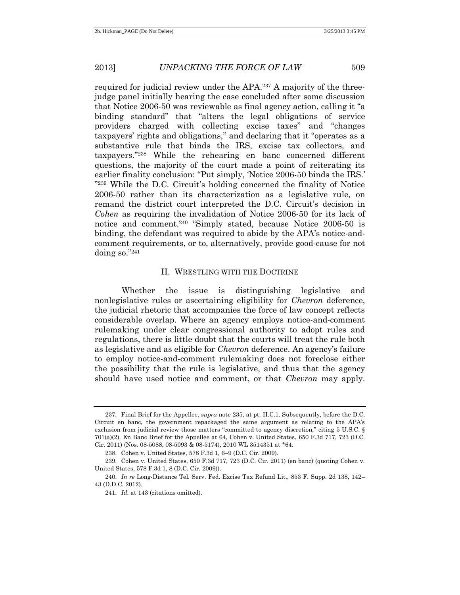required for judicial review under the APA.<sup>237</sup> A majority of the threejudge panel initially hearing the case concluded after some discussion that Notice 2006-50 was reviewable as final agency action, calling it "a binding standard" that "alters the legal obligations of service providers charged with collecting excise taxes" and "changes taxpayers' rights and obligations," and declaring that it "operates as a substantive rule that binds the IRS, excise tax collectors, and taxpayers." <sup>238</sup> While the rehearing en banc concerned different questions, the majority of the court made a point of reiterating its earlier finality conclusion: "Put simply, 'Notice 2006-50 binds the IRS.' " <sup>239</sup> While the D.C. Circuit's holding concerned the finality of Notice 2006-50 rather than its characterization as a legislative rule, on remand the district court interpreted the D.C. Circuit's decision in *Cohen* as requiring the invalidation of Notice 2006-50 for its lack of notice and comment.<sup>240</sup> "Simply stated, because Notice 2006-50 is binding, the defendant was required to abide by the APA's notice-andcomment requirements, or to, alternatively, provide good-cause for not doing so." 241

#### II. WRESTLING WITH THE DOCTRINE

Whether the issue is distinguishing legislative and nonlegislative rules or ascertaining eligibility for *Chevron* deference, the judicial rhetoric that accompanies the force of law concept reflects considerable overlap. Where an agency employs notice-and-comment rulemaking under clear congressional authority to adopt rules and regulations, there is little doubt that the courts will treat the rule both as legislative and as eligible for *Chevron* deference. An agency's failure to employ notice-and-comment rulemaking does not foreclose either the possibility that the rule is legislative, and thus that the agency should have used notice and comment, or that *Chevron* may apply.

<sup>237.</sup> Final Brief for the Appellee, *supra* not[e 235,](#page-43-0) at pt. II.C.1. Subsequently, before the D.C. Circuit en banc, the government repackaged the same argument as relating to the APA's exclusion from judicial review those matters "committed to agency discretion," citing 5 U.S.C. § 701(a)(2). En Banc Brief for the Appellee at 64, Cohen v. United States, 650 F.3d 717, 723 (D.C. Cir. 2011) (Nos. 08-5088, 08-5093 & 08-5174), 2010 WL 3514351 at \*64.

<sup>238.</sup> Cohen v. United States, 578 F.3d 1, 6–9 (D.C. Cir. 2009).

<sup>239.</sup> Cohen v. United States, 650 F.3d 717, 723 (D.C. Cir. 2011) (en banc) (quoting Cohen v. United States, 578 F.3d 1, 8 (D.C. Cir. 2009)).

<sup>240.</sup> *In re* Long-Distance Tel. Serv. Fed. Excise Tax Refund Lit., 853 F. Supp. 2d 138, 142– 43 (D.D.C. 2012).

<sup>241.</sup> *Id.* at 143 (citations omitted).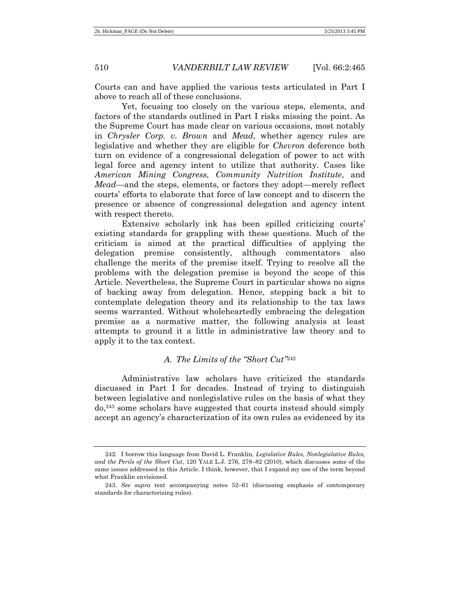Courts can and have applied the various tests articulated in Part I above to reach all of these conclusions.

Yet, focusing too closely on the various steps, elements, and factors of the standards outlined in Part I risks missing the point. As the Supreme Court has made clear on various occasions, most notably in *Chrysler Corp. v. Brown* and *Mead*, whether agency rules are legislative and whether they are eligible for *Chevron* deference both turn on evidence of a congressional delegation of power to act with legal force and agency intent to utilize that authority. Cases like *American Mining Congress*, *Community Nutrition Institute*, and *Mead*—and the steps, elements, or factors they adopt—merely reflect courts' efforts to elaborate that force of law concept and to discern the presence or absence of congressional delegation and agency intent with respect thereto.

Extensive scholarly ink has been spilled criticizing courts' existing standards for grappling with these questions. Much of the criticism is aimed at the practical difficulties of applying the delegation premise consistently, although commentators also challenge the merits of the premise itself. Trying to resolve all the problems with the delegation premise is beyond the scope of this Article. Nevertheless, the Supreme Court in particular shows no signs of backing away from delegation. Hence, stepping back a bit to contemplate delegation theory and its relationship to the tax laws seems warranted. Without wholeheartedly embracing the delegation premise as a normative matter, the following analysis at least attempts to ground it a little in administrative law theory and to apply it to the tax context.

## *A. The Limits of the "Short Cut"* 242

Administrative law scholars have criticized the standards discussed in Part I for decades. Instead of trying to distinguish between legislative and nonlegislative rules on the basis of what they do,<sup>243</sup> some scholars have suggested that courts instead should simply accept an agency's characterization of its own rules as evidenced by its

<sup>242.</sup> I borrow this language from David L. Franklin, *Legislative Rules, Nonlegislative Rules, and the Perils of the Short Cut*, 120 YALE L.J. 276, 278–82 (2010), which discusses some of the same issues addressed in this Article. I think, however, that I expand my use of the term beyond what Franklin envisioned.

<sup>243.</sup> *See supra* text accompanying notes 52–61 (discussing emphasis of contemporary standards for characterizing rules).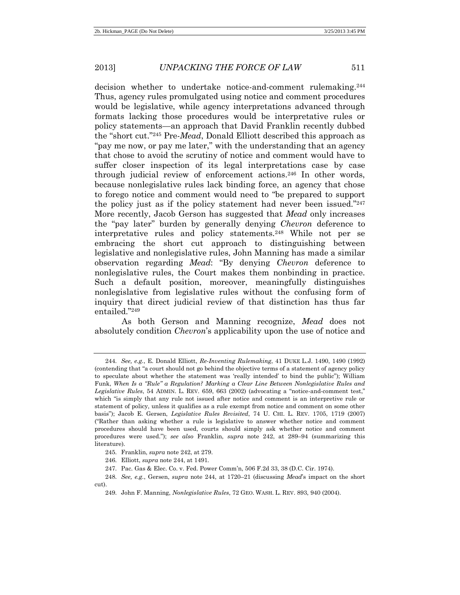decision whether to undertake notice-and-comment rulemaking. 244 Thus, agency rules promulgated using notice and comment procedures would be legislative, while agency interpretations advanced through formats lacking those procedures would be interpretative rules or policy statements—an approach that David Franklin recently dubbed the "short cut." <sup>245</sup> Pre-*Mead*, Donald Elliott described this approach as "pay me now, or pay me later," with the understanding that an agency that chose to avoid the scrutiny of notice and comment would have to suffer closer inspection of its legal interpretations case by case through judicial review of enforcement actions.<sup>246</sup> In other words, because nonlegislative rules lack binding force, an agency that chose to forego notice and comment would need to "be prepared to support the policy just as if the policy statement had never been issued." 247 More recently, Jacob Gerson has suggested that *Mead* only increases the "pay later" burden by generally denying *Chevron* deference to interpretative rules and policy statements.<sup>248</sup> While not per se embracing the short cut approach to distinguishing between legislative and nonlegislative rules, John Manning has made a similar observation regarding *Mead*: "By denying *Chevron* deference to nonlegislative rules, the Court makes them nonbinding in practice. Such a default position, moreover, meaningfully distinguishes nonlegislative from legislative rules without the confusing form of inquiry that direct judicial review of that distinction has thus far entailed." 249

As both Gerson and Manning recognize, *Mead* does not absolutely condition *Chevron*'s applicability upon the use of notice and

<sup>244.</sup> *See, e.g.*, E. Donald Elliott, *Re-Inventing Rulemaking*, 41 DUKE L.J. 1490, 1490 (1992) (contending that "a court should not go behind the objective terms of a statement of agency policy to speculate about whether the statement was 'really intended' to bind the public"); William Funk, *When Is a "Rule" a Regulation? Marking a Clear Line Between Nonlegislative Rules and Legislative Rules*, 54 ADMIN. L. REV. 659, 663 (2002) (advocating a "notice-and-comment test," which "is simply that any rule not issued after notice and comment is an interpretive rule or statement of policy, unless it qualifies as a rule exempt from notice and comment on some other basis"); Jacob E. Gersen, *Legislative Rules Revisited*, 74 U. CHI. L. REV. 1705, 1719 (2007) ("Rather than asking whether a rule is legislative to answer whether notice and comment procedures should have been used, courts should simply ask whether notice and comment procedures were used."); *see also* Franklin, *supra* note 242, at 289–94 (summarizing this literature).

<sup>245.</sup> Franklin, *supra* note 242, at 279.

<sup>246.</sup> Elliott, *supra* note 244, at 1491.

<sup>247.</sup> Pac. Gas & Elec. Co. v. Fed. Power Comm'n, 506 F.2d 33, 38 (D.C. Cir. 1974).

<sup>248.</sup> *See, e.g.*, Gersen, *supra* note 244, at 1720–21 (discussing *Mead*'s impact on the short cut).

<sup>249.</sup> John F. Manning, *Nonlegislative Rules*, 72 GEO. WASH. L. REV. 893, 940 (2004).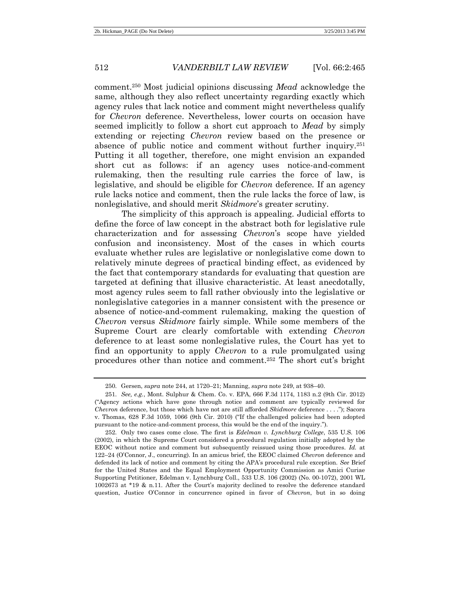comment.<sup>250</sup> Most judicial opinions discussing *Mead* acknowledge the same, although they also reflect uncertainty regarding exactly which agency rules that lack notice and comment might nevertheless qualify for *Chevron* deference. Nevertheless, lower courts on occasion have seemed implicitly to follow a short cut approach to *Mead* by simply extending or rejecting *Chevron* review based on the presence or absence of public notice and comment without further inquiry. 251 Putting it all together, therefore, one might envision an expanded short cut as follows: if an agency uses notice-and-comment rulemaking, then the resulting rule carries the force of law, is legislative, and should be eligible for *Chevron* deference. If an agency rule lacks notice and comment, then the rule lacks the force of law, is nonlegislative, and should merit *Skidmore*'s greater scrutiny.

The simplicity of this approach is appealing. Judicial efforts to define the force of law concept in the abstract both for legislative rule characterization and for assessing *Chevron*'s scope have yielded confusion and inconsistency. Most of the cases in which courts evaluate whether rules are legislative or nonlegislative come down to relatively minute degrees of practical binding effect, as evidenced by the fact that contemporary standards for evaluating that question are targeted at defining that illusive characteristic. At least anecdotally, most agency rules seem to fall rather obviously into the legislative or nonlegislative categories in a manner consistent with the presence or absence of notice-and-comment rulemaking, making the question of *Chevron* versus *Skidmore* fairly simple. While some members of the Supreme Court are clearly comfortable with extending *Chevron* deference to at least some nonlegislative rules, the Court has yet to find an opportunity to apply *Chevron* to a rule promulgated using procedures other than notice and comment.<sup>252</sup> The short cut's bright

<sup>250.</sup> Gersen, *supra* note 244, at 1720–21; Manning, *supra* note 249, at 938–40.

<sup>251.</sup> *See, e.g.*, Mont. Sulphur & Chem. Co. v. EPA, 666 F.3d 1174, 1183 n.2 (9th Cir. 2012) ("Agency actions which have gone through notice and comment are typically reviewed for *Chevron* deference, but those which have not are still afforded *Skidmore* deference . . . ."); Sacora v. Thomas, 628 F.3d 1059, 1066 (9th Cir. 2010) ("If the challenged policies had been adopted pursuant to the notice-and-comment process, this would be the end of the inquiry.").

<sup>252.</sup> Only two cases come close. The first is *Edelman v. Lynchburg College*, 535 U.S. 106 (2002), in which the Supreme Court considered a procedural regulation initially adopted by the EEOC without notice and comment but subsequently reissued using those procedures. *Id.* at 122–24 (O'Connor, J., concurring). In an amicus brief, the EEOC claimed *Chevron* deference and defended its lack of notice and comment by citing the APA's procedural rule exception. *See* Brief for the United States and the Equal Employment Opportunity Commission as Amici Curiae Supporting Petitioner, Edelman v. Lynchburg Coll., 533 U.S. 106 (2002) (No. 00-1072), 2001 WL 1002673 at \*19 & n.11. After the Court's majority declined to resolve the deference standard question, Justice O'Connor in concurrence opined in favor of *Chevron*, but in so doing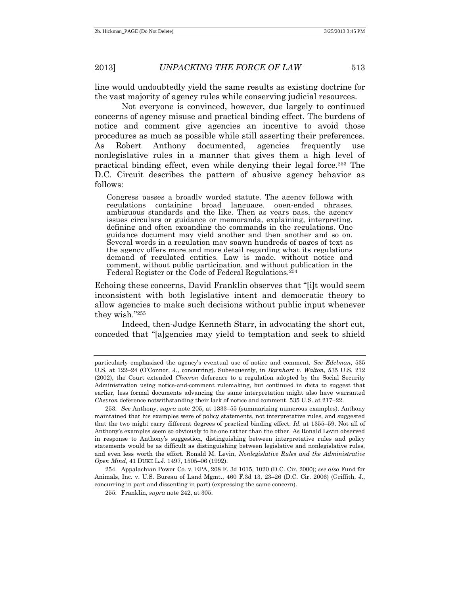line would undoubtedly yield the same results as existing doctrine for the vast majority of agency rules while conserving judicial resources.

Not everyone is convinced, however, due largely to continued concerns of agency misuse and practical binding effect. The burdens of notice and comment give agencies an incentive to avoid those procedures as much as possible while still asserting their preferences. As Robert Anthony documented, agencies frequently use nonlegislative rules in a manner that gives them a high level of practical binding effect, even while denying their legal force.<sup>253</sup> The D.C. Circuit describes the pattern of abusive agency behavior as follows:

Congress passes a broadly worded statute. The agency follows with regulations containing broad language, open-ended phrases, ambiguous standards and the like. Then as years pass, the agency issues circulars or guidance or memoranda, explaining, interpreting, defining and often expanding the commands in the regulations. One guidance document may yield another and then another and so on. Several words in a regulation may spawn hundreds of pages of text as the agency offers more and more detail regarding what its regulations demand of regulated entities. Law is made, without notice and comment, without public participation, and without publication in the Federal Register or the Code of Federal Regulations.<sup>254</sup>

Echoing these concerns, David Franklin observes that "[i]t would seem inconsistent with both legislative intent and democratic theory to allow agencies to make such decisions without public input whenever they wish." 255

Indeed, then-Judge Kenneth Starr, in advocating the short cut, conceded that "[a]gencies may yield to temptation and seek to shield

particularly emphasized the agency's eventual use of notice and comment. *See Edelman*, 535 U.S. at 122–24 (O'Connor, J., concurring). Subsequently, in *Barnhart v. Walton*, 535 U.S. 212 (2002), the Court extended *Chevron* deference to a regulation adopted by the Social Security Administration using notice-and-comment rulemaking, but continued in dicta to suggest that earlier, less formal documents advancing the same interpretation might also have warranted *Chevron* deference notwithstanding their lack of notice and comment. 535 U.S. at 217–22.

<sup>253.</sup> *See* Anthony, *supra* note 205, at 1333–55 (summarizing numerous examples). Anthony maintained that his examples were of policy statements, not interpretative rules, and suggested that the two might carry different degrees of practical binding effect. *Id.* at 1355–59. Not all of Anthony's examples seem so obviously to be one rather than the other. As Ronald Levin observed in response to Anthony's suggestion, distinguishing between interpretative rules and policy statements would be as difficult as distinguishing between legislative and nonlegislative rules, and even less worth the effort. Ronald M. Levin, *Nonlegislative Rules and the Administrative Open Mind*, 41 DUKE L.J. 1497, 1505–06 (1992).

<sup>254.</sup> Appalachian Power Co. v. EPA, 208 F. 3d 1015, 1020 (D.C. Cir. 2000); *see also* Fund for Animals, Inc. v. U.S. Bureau of Land Mgmt., 460 F.3d 13, 23–26 (D.C. Cir. 2006) (Griffith, J., concurring in part and dissenting in part) (expressing the same concern).

<sup>255.</sup> Franklin, *supra* note 242, at 305.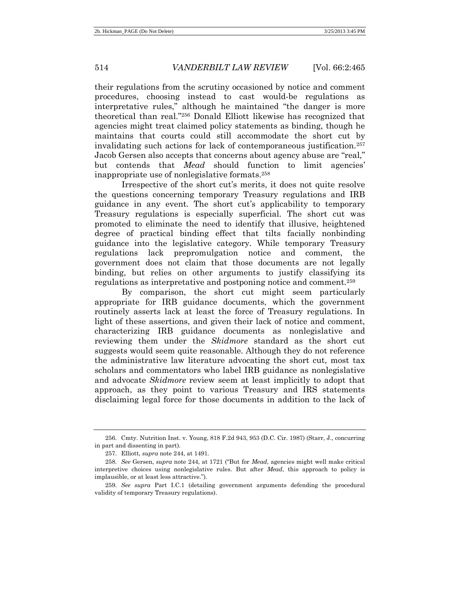their regulations from the scrutiny occasioned by notice and comment procedures, choosing instead to cast would-be regulations as interpretative rules," although he maintained "the danger is more theoretical than real." <sup>256</sup> Donald Elliott likewise has recognized that agencies might treat claimed policy statements as binding, though he maintains that courts could still accommodate the short cut by invalidating such actions for lack of contemporaneous justification.<sup>257</sup> Jacob Gersen also accepts that concerns about agency abuse are "real," but contends that *Mead* should function to limit agencies' inappropriate use of nonlegislative formats.<sup>258</sup>

Irrespective of the short cut's merits, it does not quite resolve the questions concerning temporary Treasury regulations and IRB guidance in any event. The short cut's applicability to temporary Treasury regulations is especially superficial. The short cut was promoted to eliminate the need to identify that illusive, heightened degree of practical binding effect that tilts facially nonbinding guidance into the legislative category. While temporary Treasury regulations lack prepromulgation notice and comment, the government does not claim that those documents are not legally binding, but relies on other arguments to justify classifying its regulations as interpretative and postponing notice and comment.<sup>259</sup>

By comparison, the short cut might seem particularly appropriate for IRB guidance documents, which the government routinely asserts lack at least the force of Treasury regulations. In light of these assertions, and given their lack of notice and comment, characterizing IRB guidance documents as nonlegislative and reviewing them under the *Skidmore* standard as the short cut suggests would seem quite reasonable. Although they do not reference the administrative law literature advocating the short cut, most tax scholars and commentators who label IRB guidance as nonlegislative and advocate *Skidmore* review seem at least implicitly to adopt that approach, as they point to various Treasury and IRS statements disclaiming legal force for those documents in addition to the lack of

<sup>256.</sup> Cmty. Nutrition Inst. v. Young, 818 F.2d 943, 953 (D.C. Cir. 1987) (Starr, J., concurring in part and dissenting in part).

<sup>257.</sup> Elliott, *supra* note 244, at 1491.

<sup>258.</sup> *See* Gersen, *supra* note 244, at 1721 ("But for *Mead*, agencies might well make critical interpretive choices using nonlegislative rules. But after *Mead*, this approach to policy is implausible, or at least less attractive.").

<sup>259.</sup> *See supra* Part I.C.1 (detailing government arguments defending the procedural validity of temporary Treasury regulations).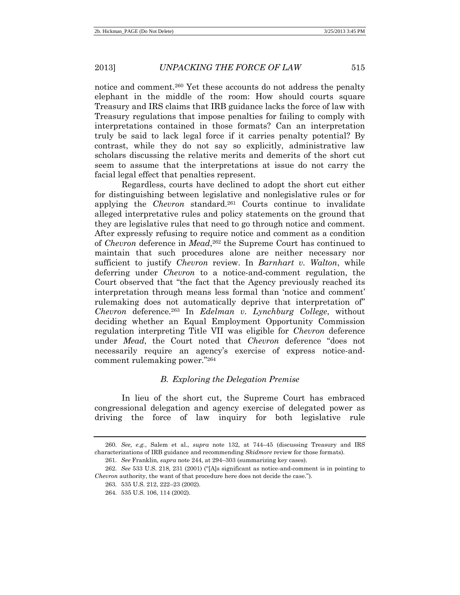notice and comment.<sup>260</sup> Yet these accounts do not address the penalty elephant in the middle of the room: How should courts square Treasury and IRS claims that IRB guidance lacks the force of law with Treasury regulations that impose penalties for failing to comply with interpretations contained in those formats? Can an interpretation truly be said to lack legal force if it carries penalty potential? By contrast, while they do not say so explicitly, administrative law scholars discussing the relative merits and demerits of the short cut seem to assume that the interpretations at issue do not carry the facial legal effect that penalties represent.

Regardless, courts have declined to adopt the short cut either for distinguishing between legislative and nonlegislative rules or for applying the *Chevron* standard.<sup>261</sup> Courts continue to invalidate alleged interpretative rules and policy statements on the ground that they are legislative rules that need to go through notice and comment. After expressly refusing to require notice and comment as a condition of *Chevron* deference in *Mead*, <sup>262</sup> the Supreme Court has continued to maintain that such procedures alone are neither necessary nor sufficient to justify *Chevron* review. In *Barnhart v. Walton*, while deferring under *Chevron* to a notice-and-comment regulation, the Court observed that "the fact that the Agency previously reached its interpretation through means less formal than 'notice and comment' rulemaking does not automatically deprive that interpretation of" *Chevron* deference.<sup>263</sup> In *Edelman v. Lynchburg College*, without deciding whether an Equal Employment Opportunity Commission regulation interpreting Title VII was eligible for *Chevron* deference under *Mead*, the Court noted that *Chevron* deference "does not necessarily require an agency's exercise of express notice-andcomment rulemaking power." 264

# *B. Exploring the Delegation Premise*

In lieu of the short cut, the Supreme Court has embraced congressional delegation and agency exercise of delegated power as driving the force of law inquiry for both legislative rule

<sup>260.</sup> *See, e.g.*, Salem et al., *supra* note 132, at 744–45 (discussing Treasury and IRS characterizations of IRB guidance and recommending *Skidmore* review for those formats).

<sup>261.</sup> *See* Franklin, *supra* note 244, at 294–303 (summarizing key cases).

<sup>262.</sup> *See* 533 U.S. 218, 231 (2001) ("[A]s significant as notice-and-comment is in pointing to *Chevron* authority, the want of that procedure here does not decide the case.").

<sup>263.</sup> 535 U.S. 212, 222–23 (2002).

<sup>264.</sup> 535 U.S. 106, 114 (2002).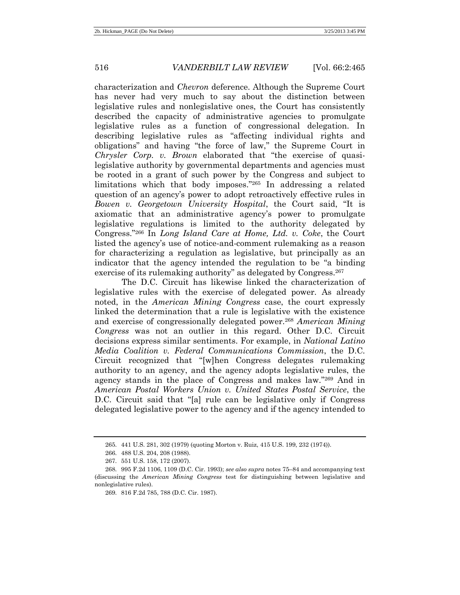characterization and *Chevron* deference. Although the Supreme Court has never had very much to say about the distinction between legislative rules and nonlegislative ones, the Court has consistently described the capacity of administrative agencies to promulgate legislative rules as a function of congressional delegation. In describing legislative rules as "affecting individual rights and obligations" and having "the force of law," the Supreme Court in *Chrysler Corp. v. Brown* elaborated that "the exercise of quasilegislative authority by governmental departments and agencies must be rooted in a grant of such power by the Congress and subject to limitations which that body imposes." <sup>265</sup> In addressing a related question of an agency's power to adopt retroactively effective rules in *Bowen v. Georgetown University Hospital*, the Court said, "It is axiomatic that an administrative agency's power to promulgate legislative regulations is limited to the authority delegated by Congress." <sup>266</sup> In *Long Island Care at Home, Ltd. v. Coke*, the Court listed the agency's use of notice-and-comment rulemaking as a reason for characterizing a regulation as legislative, but principally as an indicator that the agency intended the regulation to be "a binding exercise of its rulemaking authority" as delegated by Congress.<sup>267</sup>

The D.C. Circuit has likewise linked the characterization of legislative rules with the exercise of delegated power. As already noted, in the *American Mining Congress* case, the court expressly linked the determination that a rule is legislative with the existence and exercise of congressionally delegated power.<sup>268</sup> *American Mining Congress* was not an outlier in this regard. Other D.C. Circuit decisions express similar sentiments. For example, in *National Latino Media Coalition v. Federal Communications Commission*, the D.C. Circuit recognized that "[w]hen Congress delegates rulemaking authority to an agency, and the agency adopts legislative rules, the agency stands in the place of Congress and makes law." <sup>269</sup> And in *American Postal Workers Union v. United States Postal Service*, the D.C. Circuit said that "[a] rule can be legislative only if Congress delegated legislative power to the agency and if the agency intended to

<sup>265.</sup> 441 U.S. 281, 302 (1979) (quoting Morton v. Ruiz, 415 U.S. 199, 232 (1974)).

<sup>266.</sup> 488 U.S. 204, 208 (1988).

<sup>267.</sup> 551 U.S. 158, 172 (2007).

<sup>268.</sup> 995 F.2d 1106, 1109 (D.C. Cir. 1993); *see also supra* notes 75–84 and accompanying text (discussing the *American Mining Congress* test for distinguishing between legislative and nonlegislative rules).

<sup>269.</sup> 816 F.2d 785, 788 (D.C. Cir. 1987).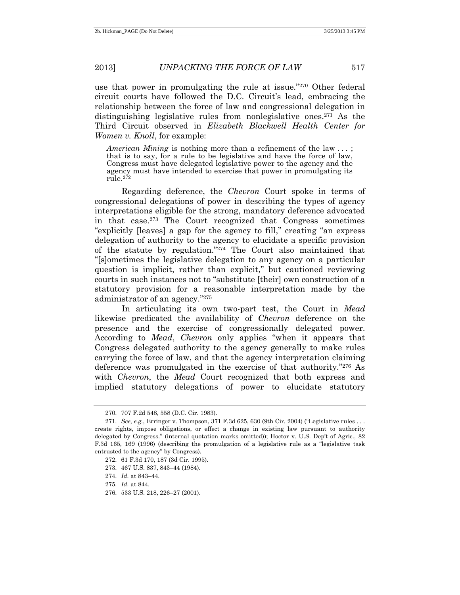use that power in promulgating the rule at issue." <sup>270</sup> Other federal circuit courts have followed the D.C. Circuit's lead, embracing the relationship between the force of law and congressional delegation in distinguishing legislative rules from nonlegislative ones.<sup>271</sup> As the Third Circuit observed in *Elizabeth Blackwell Health Center for Women v. Knoll*, for example:

*American Mining* is nothing more than a refinement of the law ...; that is to say, for a rule to be legislative and have the force of law, Congress must have delegated legislative power to the agency and the agency must have intended to exercise that power in promulgating its rule.<sup>272</sup>

Regarding deference, the *Chevron* Court spoke in terms of congressional delegations of power in describing the types of agency interpretations eligible for the strong, mandatory deference advocated in that case.<sup>273</sup> The Court recognized that Congress sometimes "explicitly [leaves] a gap for the agency to fill," creating "an express delegation of authority to the agency to elucidate a specific provision of the statute by regulation." <sup>274</sup> The Court also maintained that "[s]ometimes the legislative delegation to any agency on a particular question is implicit, rather than explicit," but cautioned reviewing courts in such instances not to "substitute [their] own construction of a statutory provision for a reasonable interpretation made by the administrator of an agency." 275

In articulating its own two-part test, the Court in *Mead* likewise predicated the availability of *Chevron* deference on the presence and the exercise of congressionally delegated power. According to *Mead*, *Chevron* only applies "when it appears that Congress delegated authority to the agency generally to make rules carrying the force of law, and that the agency interpretation claiming deference was promulgated in the exercise of that authority." <sup>276</sup> As with *Chevron*, the *Mead* Court recognized that both express and implied statutory delegations of power to elucidate statutory

<sup>270.</sup> 707 F.2d 548, 558 (D.C. Cir. 1983).

<sup>271.</sup> *See, e.g.*, Erringer v. Thompson, 371 F.3d 625, 630 (9th Cir. 2004) ("Legislative rules . . . create rights, impose obligations, or effect a change in existing law pursuant to authority delegated by Congress." (internal quotation marks omitted)); Hoctor v. U.S. Dep't of Agric., 82 F.3d 165, 169 (1996) (describing the promulgation of a legislative rule as a "legislative task entrusted to the agency" by Congress).

<sup>272.</sup> 61 F.3d 170, 187 (3d Cir. 1995).

<sup>273.</sup> 467 U.S. 837, 843–44 (1984).

<sup>274.</sup> *Id.* at 843–44.

<sup>275.</sup> *Id.* at 844.

<sup>276.</sup> 533 U.S. 218, 226–27 (2001).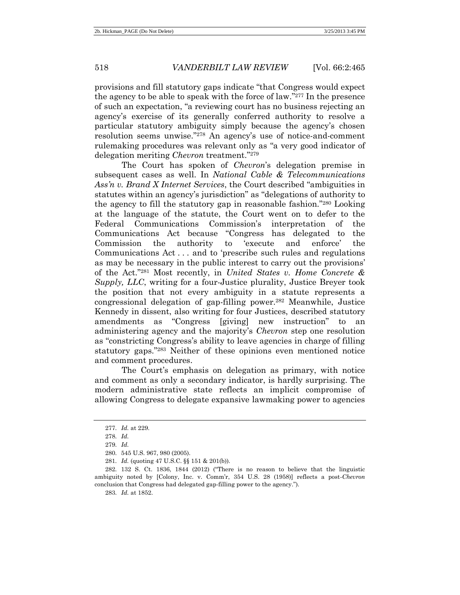provisions and fill statutory gaps indicate "that Congress would expect the agency to be able to speak with the force of law." <sup>277</sup> In the presence of such an expectation, "a reviewing court has no business rejecting an agency's exercise of its generally conferred authority to resolve a particular statutory ambiguity simply because the agency's chosen resolution seems unwise." <sup>278</sup> An agency's use of notice-and-comment rulemaking procedures was relevant only as "a very good indicator of delegation meriting *Chevron* treatment." 279

The Court has spoken of *Chevron*'s delegation premise in subsequent cases as well. In *National Cable & Telecommunications Ass'n v. Brand X Internet Services*, the Court described "ambiguities in statutes within an agency's jurisdiction" as "delegations of authority to the agency to fill the statutory gap in reasonable fashion." <sup>280</sup> Looking at the language of the statute, the Court went on to defer to the Federal Communications Commission's interpretation of the Communications Act because "Congress has delegated to the Commission the authority to 'execute and enforce' the Communications Act . . . and to 'prescribe such rules and regulations as may be necessary in the public interest to carry out the provisions' of the Act." <sup>281</sup> Most recently, in *United States v. Home Concrete & Supply, LLC*, writing for a four-Justice plurality, Justice Breyer took the position that not every ambiguity in a statute represents a congressional delegation of gap-filling power.<sup>282</sup> Meanwhile, Justice Kennedy in dissent, also writing for four Justices, described statutory amendments as "Congress [giving] new instruction" to an administering agency and the majority's *Chevron* step one resolution as "constricting Congress's ability to leave agencies in charge of filling statutory gaps." <sup>283</sup> Neither of these opinions even mentioned notice and comment procedures.

The Court's emphasis on delegation as primary, with notice and comment as only a secondary indicator, is hardly surprising. The modern administrative state reflects an implicit compromise of allowing Congress to delegate expansive lawmaking power to agencies

283. *Id.* at 1852.

<sup>277.</sup> *Id.* at 229.

<sup>278.</sup> *Id.*

<sup>279.</sup> *Id.* 

<sup>280.</sup> 545 U.S. 967, 980 (2005).

<sup>281.</sup> *Id.* (quoting 47 U.S.C. §§ 151 & 201(b)).

<sup>282.</sup> 132 S. Ct. 1836, 1844 (2012) ("There is no reason to believe that the linguistic ambiguity noted by [Colony, Inc. v. Comm'r, 354 U.S. 28 (1958)] reflects a post-*Chevron* conclusion that Congress had delegated gap-filling power to the agency.").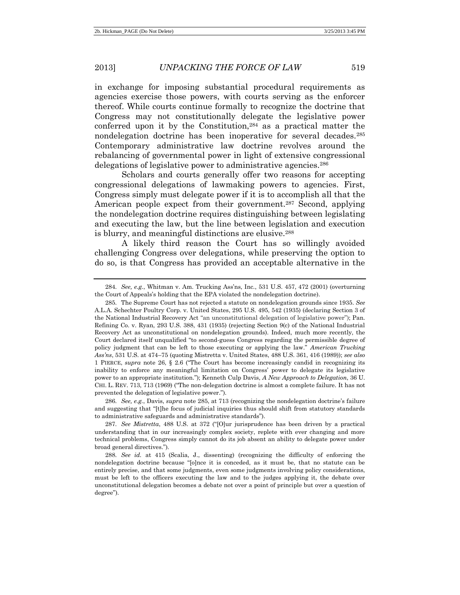in exchange for imposing substantial procedural requirements as agencies exercise those powers, with courts serving as the enforcer thereof. While courts continue formally to recognize the doctrine that Congress may not constitutionally delegate the legislative power conferred upon it by the Constitution,<sup>284</sup> as a practical matter the nondelegation doctrine has been inoperative for several decades.<sup>285</sup> Contemporary administrative law doctrine revolves around the rebalancing of governmental power in light of extensive congressional delegations of legislative power to administrative agencies.<sup>286</sup>

Scholars and courts generally offer two reasons for accepting congressional delegations of lawmaking powers to agencies. First, Congress simply must delegate power if it is to accomplish all that the American people expect from their government.<sup>287</sup> Second, applying the nondelegation doctrine requires distinguishing between legislating and executing the law, but the line between legislation and execution is blurry, and meaningful distinctions are elusive.<sup>288</sup>

A likely third reason the Court has so willingly avoided challenging Congress over delegations, while preserving the option to do so, is that Congress has provided an acceptable alternative in the

286. *See, e.g.*, Davis, *supra* note 285, at 713 (recognizing the nondelegation doctrine's failure and suggesting that "[t]he focus of judicial inquiries thus should shift from statutory standards to administrative safeguards and administrative standards").

287. *See Mistretta*, 488 U.S. at 372 ("[O]ur jurisprudence has been driven by a practical understanding that in our increasingly complex society, replete with ever changing and more technical problems, Congress simply cannot do its job absent an ability to delegate power under broad general directives.").

288. *See id.* at 415 (Scalia, J., dissenting) (recognizing the difficulty of enforcing the nondelegation doctrine because "[o]nce it is conceded, as it must be, that no statute can be entirely precise, and that some judgments, even some judgments involving policy considerations, must be left to the officers executing the law and to the judges applying it, the debate over unconstitutional delegation becomes a debate not over a point of principle but over a question of degree").

<sup>284.</sup> *See, e.g.*, Whitman v. Am. Trucking Ass'ns, Inc., 531 U.S. 457, 472 (2001) (overturning the Court of Appeals's holding that the EPA violated the nondelegation doctrine).

<sup>285.</sup> The Supreme Court has not rejected a statute on nondelegation grounds since 1935. *See* A.L.A. Schechter Poultry Corp. v. United States, 295 U.S. 495, 542 (1935) (declaring Section 3 of the National Industrial Recovery Act "an unconstitutional delegation of legislative power"); Pan. Refining Co. v. Ryan, 293 U.S. 388, 431 (1935) (rejecting Section 9(c) of the National Industrial Recovery Act as unconstitutional on nondelegation grounds). Indeed, much more recently, the Court declared itself unqualified "to second-guess Congress regarding the permissible degree of policy judgment that can be left to those executing or applying the law." *American Trucking Ass'ns*, 531 U.S. at 474–75 (quoting Mistretta v. United States, 488 U.S. 361, 416 (1989)); *see also* 1 PIERCE, *supra* note 26, § 2.6 ("The Court has become increasingly candid in recognizing its inability to enforce any meaningful limitation on Congress' power to delegate its legislative power to an appropriate institution."); Kenneth Culp Davis, *A New Approach to Delegation*, 36 U. CHI. L. REV. 713, 713 (1969) ("The non-delegation doctrine is almost a complete failure. It has not prevented the delegation of legislative power.").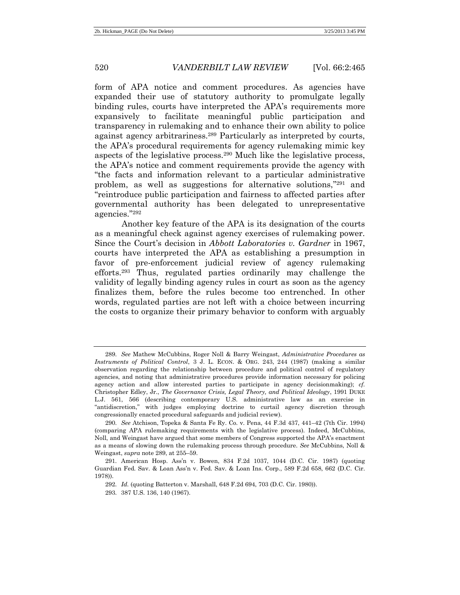form of APA notice and comment procedures. As agencies have expanded their use of statutory authority to promulgate legally binding rules, courts have interpreted the APA's requirements more expansively to facilitate meaningful public participation and transparency in rulemaking and to enhance their own ability to police against agency arbitrariness.<sup>289</sup> Particularly as interpreted by courts, the APA's procedural requirements for agency rulemaking mimic key aspects of the legislative process.<sup>290</sup> Much like the legislative process, the APA's notice and comment requirements provide the agency with "the facts and information relevant to a particular administrative problem, as well as suggestions for alternative solutions," <sup>291</sup> and "reintroduce public participation and fairness to affected parties after governmental authority has been delegated to unrepresentative agencies." 292

Another key feature of the APA is its designation of the courts as a meaningful check against agency exercises of rulemaking power. Since the Court's decision in *Abbott Laboratories v. Gardner* in 1967, courts have interpreted the APA as establishing a presumption in favor of pre-enforcement judicial review of agency rulemaking efforts.<sup>293</sup> Thus, regulated parties ordinarily may challenge the validity of legally binding agency rules in court as soon as the agency finalizes them, before the rules become too entrenched. In other words, regulated parties are not left with a choice between incurring the costs to organize their primary behavior to conform with arguably

<sup>289.</sup> *See* Mathew McCubbins, Roger Noll & Barry Weingast, *Administrative Procedures as Instruments of Political Control*, 3 J. L. ECON. & ORG. 243, 244 (1987) (making a similar observation regarding the relationship between procedure and political control of regulatory agencies, and noting that administrative procedures provide information necessary for policing agency action and allow interested parties to participate in agency decisionmaking); *cf.* Christopher Edley, Jr., *The Governance Crisis, Legal Theory, and Political Ideology*, 1991 DUKE L.J. 561, 566 (describing contemporary U.S. administrative law as an exercise in "antidiscretion," with judges employing doctrine to curtail agency discretion through congressionally enacted procedural safeguards and judicial review).

<sup>290.</sup> *See* Atchison, Topeka & Santa Fe Ry. Co. v. Pena, 44 F.3d 437, 441–42 (7th Cir. 1994) (comparing APA rulemaking requirements with the legislative process). Indeed, McCubbins, Noll, and Weingast have argued that some members of Congress supported the APA's enactment as a means of slowing down the rulemaking process through procedure. *See* McCubbins, Noll & Weingast, *supra* note 289, at 255–59.

<sup>291.</sup> American Hosp. Ass'n v. Bowen, 834 F.2d 1037, 1044 (D.C. Cir. 1987) (quoting Guardian Fed. Sav. & Loan Ass'n v. Fed. Sav. & Loan Ins. Corp., 589 F.2d 658, 662 (D.C. Cir. 1978)).

<sup>292.</sup> *Id.* (quoting Batterton v. Marshall, 648 F.2d 694, 703 (D.C. Cir. 1980)).

<sup>293.</sup> 387 U.S. 136, 140 (1967).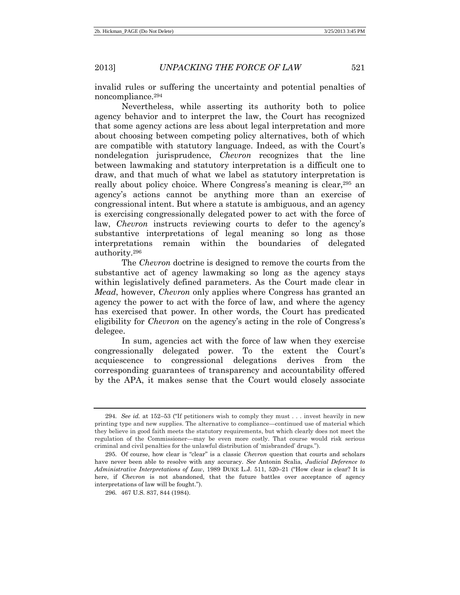invalid rules or suffering the uncertainty and potential penalties of noncompliance.<sup>294</sup>

Nevertheless, while asserting its authority both to police agency behavior and to interpret the law, the Court has recognized that some agency actions are less about legal interpretation and more about choosing between competing policy alternatives, both of which are compatible with statutory language. Indeed, as with the Court's nondelegation jurisprudence, *Chevron* recognizes that the line between lawmaking and statutory interpretation is a difficult one to draw, and that much of what we label as statutory interpretation is really about policy choice. Where Congress's meaning is clear,<sup>295</sup> an agency's actions cannot be anything more than an exercise of congressional intent. But where a statute is ambiguous, and an agency is exercising congressionally delegated power to act with the force of law, *Chevron* instructs reviewing courts to defer to the agency's substantive interpretations of legal meaning so long as those interpretations remain within the boundaries of delegated authority.<sup>296</sup>

The *Chevron* doctrine is designed to remove the courts from the substantive act of agency lawmaking so long as the agency stays within legislatively defined parameters. As the Court made clear in *Mead*, however, *Chevron* only applies where Congress has granted an agency the power to act with the force of law, and where the agency has exercised that power. In other words, the Court has predicated eligibility for *Chevron* on the agency's acting in the role of Congress's delegee.

In sum, agencies act with the force of law when they exercise congressionally delegated power. To the extent the Court's acquiescence to congressional delegations derives from the corresponding guarantees of transparency and accountability offered by the APA, it makes sense that the Court would closely associate

<sup>294.</sup> *See id.* at 152–53 ("If petitioners wish to comply they must . . . invest heavily in new printing type and new supplies. The alternative to compliance—continued use of material which they believe in good faith meets the statutory requirements, but which clearly does not meet the regulation of the Commissioner—may be even more costly. That course would risk serious criminal and civil penalties for the unlawful distribution of 'misbranded' drugs.").

<sup>295.</sup> Of course, how clear is "clear" is a classic *Chevron* question that courts and scholars have never been able to resolve with any accuracy. *See* Antonin Scalia, *Judicial Deference to Administrative Interpretations of Law*, 1989 DUKE L.J. 511, 520–21 ("How clear is clear? It is here, if *Chevron* is not abandoned, that the future battles over acceptance of agency interpretations of law will be fought.").

<sup>296.</sup> 467 U.S. 837, 844 (1984).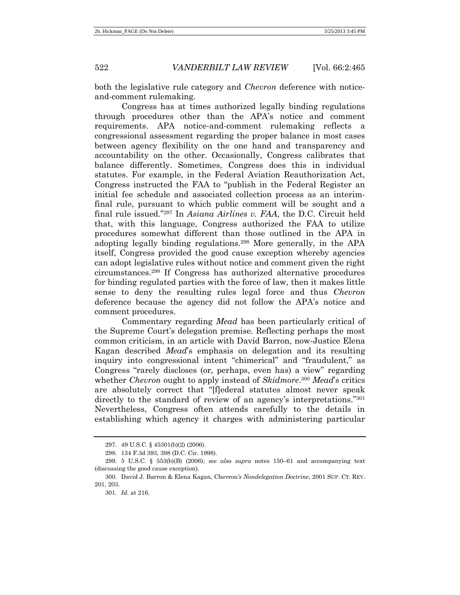both the legislative rule category and *Chevron* deference with noticeand-comment rulemaking.

Congress has at times authorized legally binding regulations through procedures other than the APA's notice and comment requirements. APA notice-and-comment rulemaking reflects a congressional assessment regarding the proper balance in most cases between agency flexibility on the one hand and transparency and accountability on the other. Occasionally, Congress calibrates that balance differently. Sometimes, Congress does this in individual statutes. For example, in the Federal Aviation Reauthorization Act, Congress instructed the FAA to "publish in the Federal Register an initial fee schedule and associated collection process as an interimfinal rule, pursuant to which public comment will be sought and a final rule issued." <sup>297</sup> In *Asiana Airlines v. FAA*, the D.C. Circuit held that, with this language, Congress authorized the FAA to utilize procedures somewhat different than those outlined in the APA in adopting legally binding regulations.<sup>298</sup> More generally, in the APA itself, Congress provided the good cause exception whereby agencies can adopt legislative rules without notice and comment given the right circumstances.<sup>299</sup> If Congress has authorized alternative procedures for binding regulated parties with the force of law, then it makes little sense to deny the resulting rules legal force and thus *Chevron* deference because the agency did not follow the APA's notice and comment procedures.

Commentary regarding *Mead* has been particularly critical of the Supreme Court's delegation premise. Reflecting perhaps the most common criticism, in an article with David Barron, now-Justice Elena Kagan described *Mead*'s emphasis on delegation and its resulting inquiry into congressional intent "chimerical" and "fraudulent," as Congress "rarely discloses (or, perhaps, even has) a view" regarding whether *Chevron* ought to apply instead of *Skidmore*. <sup>300</sup> *Mead*'s critics are absolutely correct that "[f]ederal statutes almost never speak directly to the standard of review of an agency's interpretations."<sup>301</sup> Nevertheless, Congress often attends carefully to the details in establishing which agency it charges with administering particular

<sup>297.</sup> 49 U.S.C. § 45301(b)(2) (2006).

<sup>298.</sup> 134 F.3d 393, 398 (D.C. Cir. 1998).

<sup>299.</sup> 5 U.S.C. § 553(b)(B) (2006); *see also supra* notes 150–61 and accompanying text (discussing the good cause exception).

<sup>300.</sup> David J. Barron & Elena Kagan, Chevron*'s Nondelegation Doctrine*, 2001 SUP. CT. REV. 201, 203.

<sup>301.</sup> *Id.* at 216.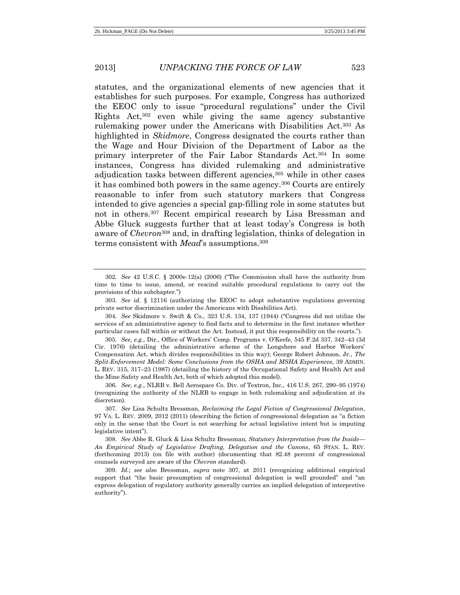statutes, and the organizational elements of new agencies that it establishes for such purposes. For example, Congress has authorized the EEOC only to issue "procedural regulations" under the Civil Rights Act,<sup>302</sup> even while giving the same agency substantive rulemaking power under the Americans with Disabilities Act.<sup>303</sup> As highlighted in *Skidmore*, Congress designated the courts rather than the Wage and Hour Division of the Department of Labor as the primary interpreter of the Fair Labor Standards Act.<sup>304</sup> In some instances, Congress has divided rulemaking and administrative adjudication tasks between different agencies,<sup>305</sup> while in other cases it has combined both powers in the same agency.<sup>306</sup> Courts are entirely reasonable to infer from such statutory markers that Congress intended to give agencies a special gap-filling role in some statutes but not in others.<sup>307</sup> Recent empirical research by Lisa Bressman and Abbe Gluck suggests further that at least today's Congress is both aware of *Chevron*<sup>308</sup> and, in drafting legislation, thinks of delegation in terms consistent with *Mead*'s assumptions.<sup>309</sup>

305. *See, e.g.*, Dir., Office of Workers' Comp. Programs v. O'Keefe, 545 F.2d 337, 342–43 (3d Cir. 1976) (detailing the administrative scheme of the Longshore and Harbor Workers' Compensation Act, which divides responsibilities in this way); George Robert Johnson, Jr., *The Split-Enforcement Model: Some Conclusions from the OSHA and MSHA Experiences*, 39 ADMIN. L. REV. 315, 317–23 (1987) (detailing the history of the Occupational Safety and Health Act and the Mine Safety and Health Act, both of which adopted this model).

306. *See, e.g.*, NLRB v. Bell Aerospace Co. Div. of Textron, Inc., 416 U.S. 267, 290–95 (1974) (recognizing the authority of the NLRB to engage in both rulemaking and adjudication at its discretion).

<sup>302.</sup> *See* 42 U.S.C. § 2000e-12(a) (2006) ("The Commission shall have the authority from time to time to issue, amend, or rescind suitable procedural regulations to carry out the provisions of this subchapter.")

<sup>303.</sup> *See id.* § 12116 (authorizing the EEOC to adopt substantive regulations governing private sector discrimination under the Americans with Disabilities Act).

<sup>304.</sup> *See* Skidmore v. Swift & Co., 323 U.S. 134, 137 (1944) ("Congress did not utilize the services of an administrative agency to find facts and to determine in the first instance whether particular cases fall within or without the Act. Instead, it put this responsibility on the courts.").

<sup>307.</sup> *See* Lisa Schultz Bressman, *Reclaiming the Legal Fiction of Congressional Delegation*, 97 VA. L. REV. 2009, 2012 (2011) (describing the fiction of congressional delegation as "a fiction only in the sense that the Court is not searching for actual legislative intent but is imputing legislative intent").

<sup>308.</sup> *See* Abbe R. Gluck & Lisa Schultz Bressman, *Statutory Interpretation from the Inside— An Empirical Study of Legislative Drafting, Delegation and the Canons*, 65 STAN. L. REV. (forthcoming 2013) (on file with author) (documenting that 82.48 percent of congressional counsels surveyed are aware of the *Chevron* standard).

<sup>309.</sup> *Id.*; *see also* Bressman, *supra* note 307, at 2011 (recognizing additional empirical support that "the basic presumption of congressional delegation is well grounded" and "an express delegation of regulatory authority generally carries an implied delegation of interpretive authority").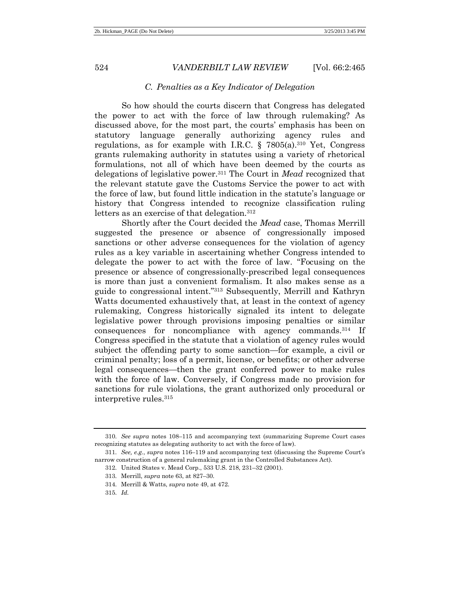#### *C. Penalties as a Key Indicator of Delegation*

So how should the courts discern that Congress has delegated the power to act with the force of law through rulemaking? As discussed above, for the most part, the courts' emphasis has been on statutory language generally authorizing agency rules and regulations, as for example with I.R.C.  $\S$  7805(a).<sup>310</sup> Yet, Congress grants rulemaking authority in statutes using a variety of rhetorical formulations, not all of which have been deemed by the courts as delegations of legislative power.<sup>311</sup> The Court in *Mead* recognized that the relevant statute gave the Customs Service the power to act with the force of law, but found little indication in the statute's language or history that Congress intended to recognize classification ruling letters as an exercise of that delegation.<sup>312</sup>

Shortly after the Court decided the *Mead* case, Thomas Merrill suggested the presence or absence of congressionally imposed sanctions or other adverse consequences for the violation of agency rules as a key variable in ascertaining whether Congress intended to delegate the power to act with the force of law. "Focusing on the presence or absence of congressionally-prescribed legal consequences is more than just a convenient formalism. It also makes sense as a guide to congressional intent." <sup>313</sup> Subsequently, Merrill and Kathryn Watts documented exhaustively that, at least in the context of agency rulemaking, Congress historically signaled its intent to delegate legislative power through provisions imposing penalties or similar consequences for noncompliance with agency commands.<sup>314</sup> If Congress specified in the statute that a violation of agency rules would subject the offending party to some sanction—for example, a civil or criminal penalty; loss of a permit, license, or benefits; or other adverse legal consequences—then the grant conferred power to make rules with the force of law. Conversely, if Congress made no provision for sanctions for rule violations, the grant authorized only procedural or interpretive rules.<sup>315</sup>

<sup>310.</sup> *See supra* notes [108](#page-21-0)–[115](#page-22-0) and accompanying text (summarizing Supreme Court cases recognizing statutes as delegating authority to act with the force of law).

<sup>311.</sup> *See, e.g.*, *supra* notes [116](#page-23-0)–[119](#page-23-1) and accompanying text (discussing the Supreme Court's narrow construction of a general rulemaking grant in the Controlled Substances Act).

<sup>312.</sup> United States v. Mead Corp., 533 U.S. 218, 231–32 (2001).

<sup>313.</sup> Merrill, *supra* note 63, at 827–30.

<sup>314.</sup> Merrill & Watts, *supra* note 49, at 472.

<sup>315.</sup> *Id.*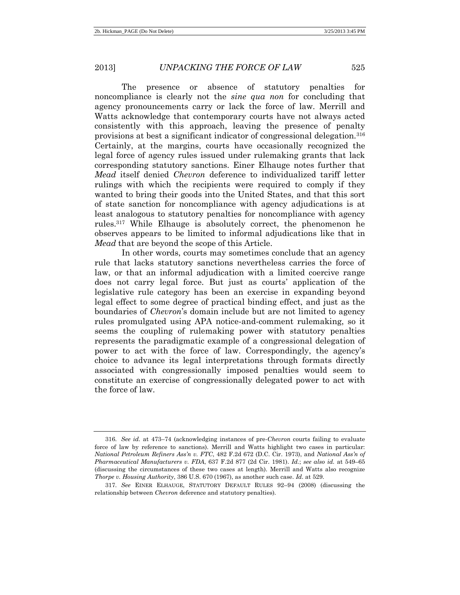The presence or absence of statutory penalties for noncompliance is clearly not the *sine qua non* for concluding that agency pronouncements carry or lack the force of law. Merrill and Watts acknowledge that contemporary courts have not always acted consistently with this approach, leaving the presence of penalty provisions at best a significant indicator of congressional delegation.<sup>316</sup> Certainly, at the margins, courts have occasionally recognized the legal force of agency rules issued under rulemaking grants that lack corresponding statutory sanctions. Einer Elhauge notes further that *Mead* itself denied *Chevron* deference to individualized tariff letter rulings with which the recipients were required to comply if they wanted to bring their goods into the United States, and that this sort of state sanction for noncompliance with agency adjudications is at least analogous to statutory penalties for noncompliance with agency rules.<sup>317</sup> While Elhauge is absolutely correct, the phenomenon he observes appears to be limited to informal adjudications like that in *Mead* that are beyond the scope of this Article.

In other words, courts may sometimes conclude that an agency rule that lacks statutory sanctions nevertheless carries the force of law, or that an informal adjudication with a limited coercive range does not carry legal force. But just as courts' application of the legislative rule category has been an exercise in expanding beyond legal effect to some degree of practical binding effect, and just as the boundaries of *Chevron*'s domain include but are not limited to agency rules promulgated using APA notice-and-comment rulemaking, so it seems the coupling of rulemaking power with statutory penalties represents the paradigmatic example of a congressional delegation of power to act with the force of law. Correspondingly, the agency's choice to advance its legal interpretations through formats directly associated with congressionally imposed penalties would seem to constitute an exercise of congressionally delegated power to act with the force of law.

<sup>316.</sup> *See id.* at 473–74 (acknowledging instances of pre-*Chevron* courts failing to evaluate force of law by reference to sanctions). Merrill and Watts highlight two cases in particular: *National Petroleum Refiners Ass'n v. FTC*, 482 F.2d 672 (D.C. Cir. 1973), and *National Ass'n of Pharmaceutical Manufacturers v. FDA*, 637 F.2d 877 (2d Cir. 1981). *Id.*; *see also id.* at 549–65 (discussing the circumstances of these two cases at length). Merrill and Watts also recognize *Thorpe v. Housing Authority*, 386 U.S. 670 (1967), as another such case. *Id.* at 529.

<sup>317.</sup> *See* EINER ELHAUGE, STATUTORY DEFAULT RULES 92–94 (2008) (discussing the relationship between *Chevron* deference and statutory penalties).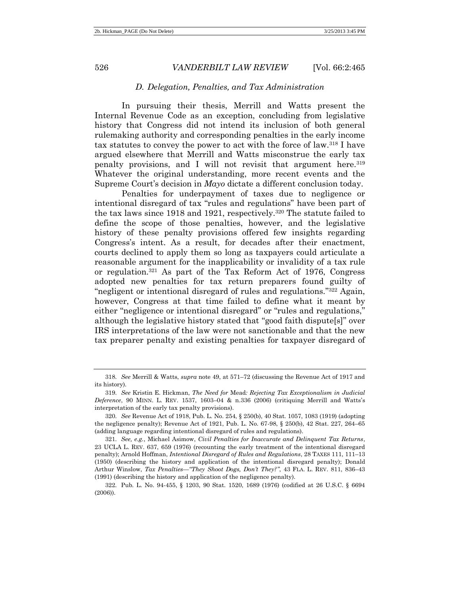#### *D. Delegation, Penalties, and Tax Administration*

In pursuing their thesis, Merrill and Watts present the Internal Revenue Code as an exception, concluding from legislative history that Congress did not intend its inclusion of both general rulemaking authority and corresponding penalties in the early income tax statutes to convey the power to act with the force of law.<sup>318</sup> I have argued elsewhere that Merrill and Watts misconstrue the early tax penalty provisions, and I will not revisit that argument here.<sup>319</sup> Whatever the original understanding, more recent events and the Supreme Court's decision in *Mayo* dictate a different conclusion today.

Penalties for underpayment of taxes due to negligence or intentional disregard of tax "rules and regulations" have been part of the tax laws since 1918 and 1921, respectively.<sup>320</sup> The statute failed to define the scope of those penalties, however, and the legislative history of these penalty provisions offered few insights regarding Congress's intent. As a result, for decades after their enactment, courts declined to apply them so long as taxpayers could articulate a reasonable argument for the inapplicability or invalidity of a tax rule or regulation.<sup>321</sup> As part of the Tax Reform Act of 1976, Congress adopted new penalties for tax return preparers found guilty of "negligent or intentional disregard of rules and regulations." <sup>322</sup> Again, however, Congress at that time failed to define what it meant by either "negligence or intentional disregard" or "rules and regulations," although the legislative history stated that "good faith dispute[s]" over IRS interpretations of the law were not sanctionable and that the new tax preparer penalty and existing penalties for taxpayer disregard of

<sup>318.</sup> *See* Merrill & Watts, *supra* note 49, at 571–72 (discussing the Revenue Act of 1917 and its history).

<sup>319.</sup> *See* Kristin E. Hickman, *The Need for* Mead*: Rejecting Tax Exceptionalism in Judicial Deference*, 90 MINN. L. REV. 1537, 1603–04 & n.336 (2006) (critiquing Merrill and Watts's interpretation of the early tax penalty provisions).

<sup>320.</sup> *See* Revenue Act of 1918, Pub. L. No. 254, § 250(b), 40 Stat. 1057, 1083 (1919) (adopting the negligence penalty); Revenue Act of 1921, Pub. L. No. 67-98, § 250(b), 42 Stat. 227, 264–65 (adding language regarding intentional disregard of rules and regulations).

<sup>321.</sup> *See, e.g.*, Michael Asimow, *Civil Penalties for Inaccurate and Delinquent Tax Returns*, 23 UCLA L. REV. 637, 659 (1976) (recounting the early treatment of the intentional disregard penalty); Arnold Hoffman, *Intentional Disregard of Rules and Regulations*, 28 TAXES 111, 111–13 (1950) (describing the history and application of the intentional disregard penalty); Donald Arthur Winslow, *Tax Penalties—"They Shoot Dogs, Don't They?"*, 43 FLA. L. REV. 811, 836–43 (1991) (describing the history and application of the negligence penalty).

<sup>322.</sup> Pub. L. No. 94-455, § 1203, 90 Stat. 1520, 1689 (1976) (codified at 26 U.S.C. § 6694 (2006)).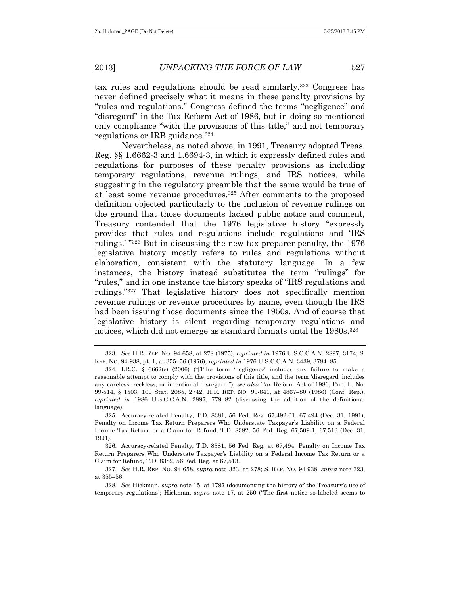tax rules and regulations should be read similarly.<sup>323</sup> Congress has never defined precisely what it means in these penalty provisions by "rules and regulations." Congress defined the terms "negligence" and "disregard" in the Tax Reform Act of 1986, but in doing so mentioned only compliance "with the provisions of this title," and not temporary regulations or IRB guidance.<sup>324</sup>

Nevertheless, as noted above, in 1991, Treasury adopted Treas. Reg. §§ 1.6662-3 and 1.6694-3, in which it expressly defined rules and regulations for purposes of these penalty provisions as including temporary regulations, revenue rulings, and IRS notices, while suggesting in the regulatory preamble that the same would be true of at least some revenue procedures.<sup>325</sup> After comments to the proposed definition objected particularly to the inclusion of revenue rulings on the ground that those documents lacked public notice and comment, Treasury contended that the 1976 legislative history "expressly provides that rules and regulations include regulations and 'IRS rulings.' " <sup>326</sup> But in discussing the new tax preparer penalty, the 1976 legislative history mostly refers to rules and regulations without elaboration, consistent with the statutory language. In a few instances, the history instead substitutes the term "rulings" for "rules," and in one instance the history speaks of "IRS regulations and rulings." <sup>327</sup> That legislative history does not specifically mention revenue rulings or revenue procedures by name, even though the IRS had been issuing those documents since the 1950s. And of course that legislative history is silent regarding temporary regulations and notices, which did not emerge as standard formats until the 1980s.<sup>328</sup>

<sup>323.</sup> *See* H.R. REP. NO. 94-658, at 278 (1975), *reprinted in* 1976 U.S.C.C.A.N. 2897, 3174; S. REP. NO. 94-938, pt. 1, at 355–56 (1976), *reprinted in* 1976 U.S.C.C.A.N. 3439, 3784–85.

<sup>324.</sup> I.R.C. § 6662(c) (2006) ("[T]he term 'negligence' includes any failure to make a reasonable attempt to comply with the provisions of this title, and the term 'disregard' includes any careless, reckless, or intentional disregard."); *see also* Tax Reform Act of 1986, Pub. L. No. 99-514, § 1503, 100 Stat. 2085, 2742; H.R. REP. NO. 99-841, at 4867–80 (1986) (Conf. Rep.), *reprinted in* 1986 U.S.C.C.A.N. 2897, 779–82 (discussing the addition of the definitional language).

<sup>325.</sup> Accuracy-related Penalty, T.D. 8381, 56 Fed. Reg. 67,492-01, 67,494 (Dec. 31, 1991); Penalty on Income Tax Return Preparers Who Understate Taxpayer's Liability on a Federal Income Tax Return or a Claim for Refund, T.D. 8382, 56 Fed. Reg. 67,509-1, 67,513 (Dec. 31, 1991).

<sup>326.</sup> Accuracy-related Penalty, T.D. 8381, 56 Fed. Reg. at 67,494; Penalty on Income Tax Return Preparers Who Understate Taxpayer's Liability on a Federal Income Tax Return or a Claim for Refund, T.D. 8382, 56 Fed. Reg. at 67,513.

<sup>327.</sup> *See* H.R. REP. NO. 94-658, *supra* note 323, at 278; S. REP. NO. 94-938, *supra* note 323, at 355–56.

<sup>328.</sup> *See* Hickman, *supra* note 15, at 1797 (documenting the history of the Treasury's use of temporary regulations); Hickman, *supra* note [17,](#page-3-0) at 250 ("The first notice so-labeled seems to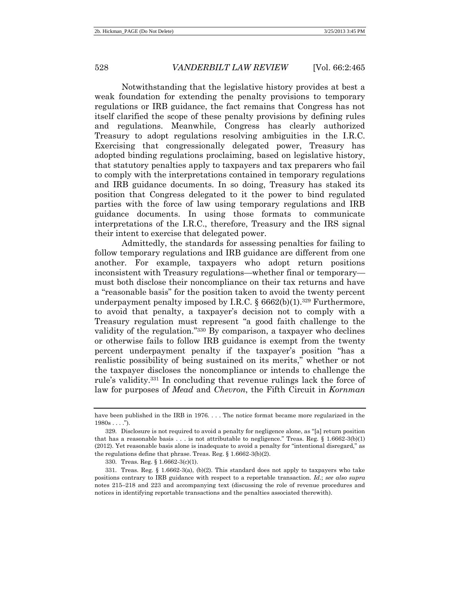Notwithstanding that the legislative history provides at best a weak foundation for extending the penalty provisions to temporary regulations or IRB guidance, the fact remains that Congress has not itself clarified the scope of these penalty provisions by defining rules and regulations. Meanwhile, Congress has clearly authorized Treasury to adopt regulations resolving ambiguities in the I.R.C. Exercising that congressionally delegated power, Treasury has adopted binding regulations proclaiming, based on legislative history, that statutory penalties apply to taxpayers and tax preparers who fail to comply with the interpretations contained in temporary regulations and IRB guidance documents. In so doing, Treasury has staked its position that Congress delegated to it the power to bind regulated parties with the force of law using temporary regulations and IRB guidance documents. In using those formats to communicate interpretations of the I.R.C., therefore, Treasury and the IRS signal their intent to exercise that delegated power.

Admittedly, the standards for assessing penalties for failing to follow temporary regulations and IRB guidance are different from one another. For example, taxpayers who adopt return positions inconsistent with Treasury regulations—whether final or temporary must both disclose their noncompliance on their tax returns and have a "reasonable basis" for the position taken to avoid the twenty percent underpayment penalty imposed by I.R.C.  $\S 6662(b)(1).$ <sup>329</sup> Furthermore, to avoid that penalty, a taxpayer's decision not to comply with a Treasury regulation must represent "a good faith challenge to the validity of the regulation." <sup>330</sup> By comparison, a taxpayer who declines or otherwise fails to follow IRB guidance is exempt from the twenty percent underpayment penalty if the taxpayer's position "has a realistic possibility of being sustained on its merits," whether or not the taxpayer discloses the noncompliance or intends to challenge the rule's validity.<sup>331</sup> In concluding that revenue rulings lack the force of law for purposes of *Mead* and *Chevron*, the Fifth Circuit in *Kornman* 

have been published in the IRB in 1976. . . . The notice format became more regularized in the  $1980s...$ ").

<sup>329.</sup> Disclosure is not required to avoid a penalty for negligence alone, as "[a] return position that has a reasonable basis . . . is not attributable to negligence." Treas. Reg. § 1.6662-3(b)(1) (2012). Yet reasonable basis alone is inadequate to avoid a penalty for "intentional disregard," as the regulations define that phrase. Treas. Reg. § 1.6662-3(b)(2).

<sup>330.</sup> Treas. Reg. § 1.6662-3(c)(1).

<sup>331.</sup> Treas. Reg. § 1.6662-3(a), (b)(2). This standard does not apply to taxpayers who take positions contrary to IRB guidance with respect to a reportable transaction. *Id.*; *see also supra*  notes [215](#page-40-0)–[218](#page-40-1) and [223](#page-41-1) and accompanying text (discussing the role of revenue procedures and notices in identifying reportable transactions and the penalties associated therewith).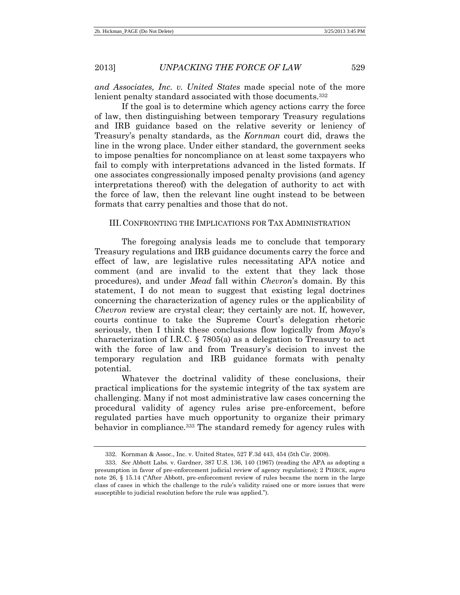*and Associates, Inc. v. United States* made special note of the more lenient penalty standard associated with those documents.<sup>332</sup>

If the goal is to determine which agency actions carry the force of law, then distinguishing between temporary Treasury regulations and IRB guidance based on the relative severity or leniency of Treasury's penalty standards, as the *Kornman* court did, draws the line in the wrong place. Under either standard, the government seeks to impose penalties for noncompliance on at least some taxpayers who fail to comply with interpretations advanced in the listed formats. If one associates congressionally imposed penalty provisions (and agency interpretations thereof) with the delegation of authority to act with the force of law, then the relevant line ought instead to be between formats that carry penalties and those that do not.

### III. CONFRONTING THE IMPLICATIONS FOR TAX ADMINISTRATION

The foregoing analysis leads me to conclude that temporary Treasury regulations and IRB guidance documents carry the force and effect of law, are legislative rules necessitating APA notice and comment (and are invalid to the extent that they lack those procedures), and under *Mead* fall within *Chevron*'s domain. By this statement, I do not mean to suggest that existing legal doctrines concerning the characterization of agency rules or the applicability of *Chevron* review are crystal clear; they certainly are not. If, however, courts continue to take the Supreme Court's delegation rhetoric seriously, then I think these conclusions flow logically from *Mayo*'s characterization of I.R.C. § 7805(a) as a delegation to Treasury to act with the force of law and from Treasury's decision to invest the temporary regulation and IRB guidance formats with penalty potential.

Whatever the doctrinal validity of these conclusions, their practical implications for the systemic integrity of the tax system are challenging. Many if not most administrative law cases concerning the procedural validity of agency rules arise pre-enforcement, before regulated parties have much opportunity to organize their primary behavior in compliance.<sup>333</sup> The standard remedy for agency rules with

<sup>332.</sup> Kornman & Assoc., Inc. v. United States, 527 F.3d 443, 454 (5th Cir. 2008).

<sup>333.</sup> *See* Abbott Labs. v. Gardner, 387 U.S. 136, 140 (1967) (reading the APA as adopting a presumption in favor of pre-enforcement judicial review of agency regulations); 2 PIERCE, *supra* note 26, § 15.14 ("After Abbott, pre-enforcement review of rules became the norm in the large class of cases in which the challenge to the rule's validity raised one or more issues that were susceptible to judicial resolution before the rule was applied.").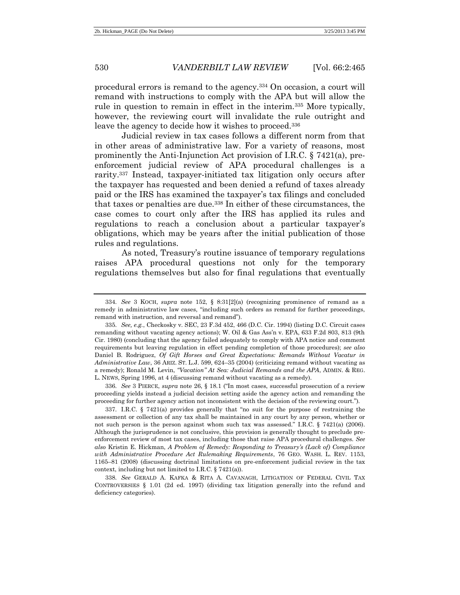procedural errors is remand to the agency.<sup>334</sup> On occasion, a court will remand with instructions to comply with the APA but will allow the rule in question to remain in effect in the interim.<sup>335</sup> More typically, however, the reviewing court will invalidate the rule outright and leave the agency to decide how it wishes to proceed.<sup>336</sup>

Judicial review in tax cases follows a different norm from that in other areas of administrative law. For a variety of reasons, most prominently the Anti-Injunction Act provision of I.R.C.  $\S 7421(a)$ , preenforcement judicial review of APA procedural challenges is a rarity.<sup>337</sup> Instead, taxpayer-initiated tax litigation only occurs after the taxpayer has requested and been denied a refund of taxes already paid or the IRS has examined the taxpayer's tax filings and concluded that taxes or penalties are due.<sup>338</sup> In either of these circumstances, the case comes to court only after the IRS has applied its rules and regulations to reach a conclusion about a particular taxpayer's obligations, which may be years after the initial publication of those rules and regulations.

As noted, Treasury's routine issuance of temporary regulations raises APA procedural questions not only for the temporary regulations themselves but also for final regulations that eventually

336. *See* 3 PIERCE, *supra* note 26, § 18.1 ("In most cases, successful prosecution of a review proceeding yields instead a judicial decision setting aside the agency action and remanding the proceeding for further agency action not inconsistent with the decision of the reviewing court.").

<sup>334.</sup> *See* 3 KOCH, *supra* note 152, § 8:31[2](a) (recognizing prominence of remand as a remedy in administrative law cases, "including such orders as remand for further proceedings, remand with instruction, and reversal and remand").

<sup>335.</sup> *See, e.g.*, Checkosky v. SEC, 23 F.3d 452, 466 (D.C. Cir. 1994) (listing D.C. Circuit cases remanding without vacating agency actions); W. Oil & Gas Ass'n v. EPA, 633 F.2d 803, 813 (9th Cir. 1980) (concluding that the agency failed adequately to comply with APA notice and comment requirements but leaving regulation in effect pending completion of those procedures); *see also*  Daniel B. Rodriguez, *Of Gift Horses and Great Expectations: Remands Without Vacatur in Administrative Law*, 36 ARIZ. ST. L.J. 599, 624–35 (2004) (criticizing remand without vacating as a remedy); Ronald M. Levin, *"Vacation" At Sea: Judicial Remands and the APA*, ADMIN. & REG. L. NEWS, Spring 1996, at 4 (discussing remand without vacating as a remedy).

<sup>337.</sup> I.R.C. § 7421(a) provides generally that "no suit for the purpose of restraining the assessment or collection of any tax shall be maintained in any court by any person, whether or not such person is the person against whom such tax was assessed." I.R.C. § 7421(a) (2006). Although the jurisprudence is not conclusive, this provision is generally thought to preclude preenforcement review of most tax cases, including those that raise APA procedural challenges. *See also* Kristin E. Hickman, *A Problem of Remedy: Responding to Treasury's (Lack of) Compliance with Administrative Procedure Act Rulemaking Requirements*, 76 GEO. WASH. L. REV. 1153, 1165–81 (2008) (discussing doctrinal limitations on pre-enforcement judicial review in the tax context, including but not limited to I.R.C. § 7421(a)).

<sup>338.</sup> *See* GERALD A. KAFKA & RITA A. CAVANAGH, LITIGATION OF FEDERAL CIVIL TAX CONTROVERSIES § 1.01 (2d ed. 1997) (dividing tax litigation generally into the refund and deficiency categories).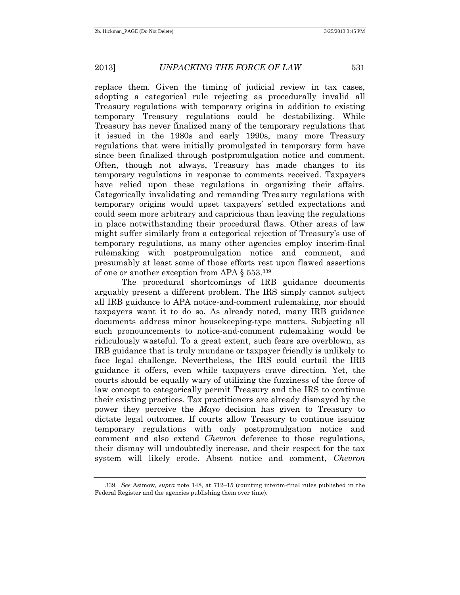replace them. Given the timing of judicial review in tax cases, adopting a categorical rule rejecting as procedurally invalid all Treasury regulations with temporary origins in addition to existing temporary Treasury regulations could be destabilizing. While Treasury has never finalized many of the temporary regulations that it issued in the 1980s and early 1990s, many more Treasury regulations that were initially promulgated in temporary form have since been finalized through postpromulgation notice and comment. Often, though not always, Treasury has made changes to its temporary regulations in response to comments received. Taxpayers have relied upon these regulations in organizing their affairs. Categorically invalidating and remanding Treasury regulations with temporary origins would upset taxpayers' settled expectations and could seem more arbitrary and capricious than leaving the regulations in place notwithstanding their procedural flaws. Other areas of law might suffer similarly from a categorical rejection of Treasury's use of temporary regulations, as many other agencies employ interim-final rulemaking with postpromulgation notice and comment, and presumably at least some of those efforts rest upon flawed assertions of one or another exception from APA § 553.<sup>339</sup>

The procedural shortcomings of IRB guidance documents arguably present a different problem. The IRS simply cannot subject all IRB guidance to APA notice-and-comment rulemaking, nor should taxpayers want it to do so. As already noted, many IRB guidance documents address minor housekeeping-type matters. Subjecting all such pronouncements to notice-and-comment rulemaking would be ridiculously wasteful. To a great extent, such fears are overblown, as IRB guidance that is truly mundane or taxpayer friendly is unlikely to face legal challenge. Nevertheless, the IRS could curtail the IRB guidance it offers, even while taxpayers crave direction. Yet, the courts should be equally wary of utilizing the fuzziness of the force of law concept to categorically permit Treasury and the IRS to continue their existing practices. Tax practitioners are already dismayed by the power they perceive the *Mayo* decision has given to Treasury to dictate legal outcomes. If courts allow Treasury to continue issuing temporary regulations with only postpromulgation notice and comment and also extend *Chevron* deference to those regulations, their dismay will undoubtedly increase, and their respect for the tax system will likely erode. Absent notice and comment, *Chevron*

<sup>339.</sup> *See* Asimow, *supra* note 148, at 712–15 (counting interim-final rules published in the Federal Register and the agencies publishing them over time).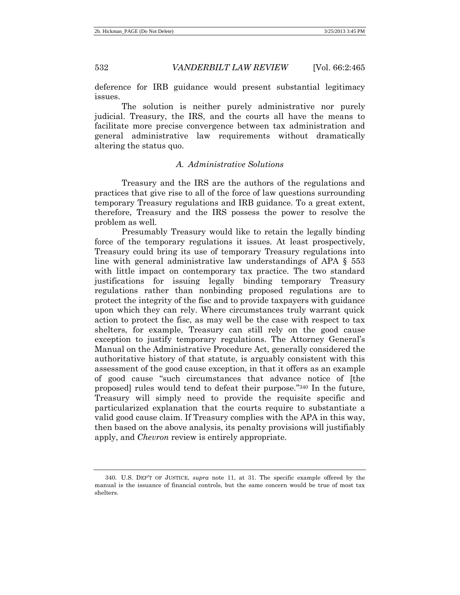deference for IRB guidance would present substantial legitimacy issues.

The solution is neither purely administrative nor purely judicial. Treasury, the IRS, and the courts all have the means to facilitate more precise convergence between tax administration and general administrative law requirements without dramatically altering the status quo.

### *A. Administrative Solutions*

Treasury and the IRS are the authors of the regulations and practices that give rise to all of the force of law questions surrounding temporary Treasury regulations and IRB guidance. To a great extent, therefore, Treasury and the IRS possess the power to resolve the problem as well.

Presumably Treasury would like to retain the legally binding force of the temporary regulations it issues. At least prospectively, Treasury could bring its use of temporary Treasury regulations into line with general administrative law understandings of APA § 553 with little impact on contemporary tax practice. The two standard justifications for issuing legally binding temporary Treasury regulations rather than nonbinding proposed regulations are to protect the integrity of the fisc and to provide taxpayers with guidance upon which they can rely. Where circumstances truly warrant quick action to protect the fisc, as may well be the case with respect to tax shelters, for example, Treasury can still rely on the good cause exception to justify temporary regulations. The Attorney General's Manual on the Administrative Procedure Act, generally considered the authoritative history of that statute, is arguably consistent with this assessment of the good cause exception, in that it offers as an example of good cause "such circumstances that advance notice of [the proposed] rules would tend to defeat their purpose." <sup>340</sup> In the future, Treasury will simply need to provide the requisite specific and particularized explanation that the courts require to substantiate a valid good cause claim. If Treasury complies with the APA in this way, then based on the above analysis, its penalty provisions will justifiably apply, and *Chevron* review is entirely appropriate.

<sup>340.</sup> U.S. DEP'T OF JUSTICE, *supra* note 11, at 31. The specific example offered by the manual is the issuance of financial controls, but the same concern would be true of most tax shelters.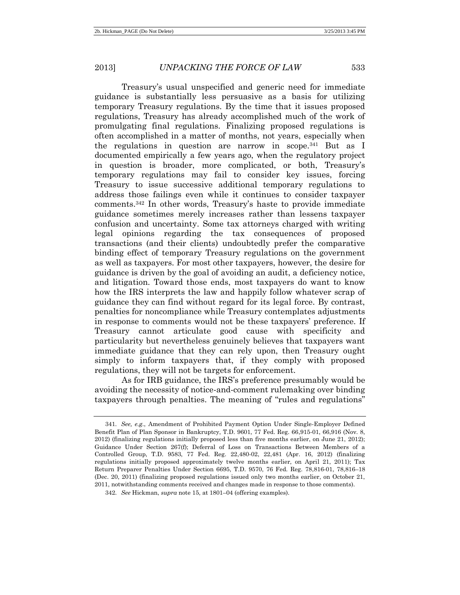Treasury's usual unspecified and generic need for immediate guidance is substantially less persuasive as a basis for utilizing temporary Treasury regulations. By the time that it issues proposed regulations, Treasury has already accomplished much of the work of promulgating final regulations. Finalizing proposed regulations is often accomplished in a matter of months, not years, especially when the regulations in question are narrow in scope.<sup>341</sup> But as I documented empirically a few years ago, when the regulatory project in question is broader, more complicated, or both, Treasury's temporary regulations may fail to consider key issues, forcing Treasury to issue successive additional temporary regulations to address those failings even while it continues to consider taxpayer comments.<sup>342</sup> In other words, Treasury's haste to provide immediate guidance sometimes merely increases rather than lessens taxpayer confusion and uncertainty. Some tax attorneys charged with writing legal opinions regarding the tax consequences of proposed transactions (and their clients) undoubtedly prefer the comparative binding effect of temporary Treasury regulations on the government as well as taxpayers. For most other taxpayers, however, the desire for guidance is driven by the goal of avoiding an audit, a deficiency notice, and litigation. Toward those ends, most taxpayers do want to know how the IRS interprets the law and happily follow whatever scrap of guidance they can find without regard for its legal force. By contrast, penalties for noncompliance while Treasury contemplates adjustments in response to comments would not be these taxpayers' preference. If Treasury cannot articulate good cause with specificity and particularity but nevertheless genuinely believes that taxpayers want immediate guidance that they can rely upon, then Treasury ought simply to inform taxpayers that, if they comply with proposed regulations, they will not be targets for enforcement.

As for IRB guidance, the IRS's preference presumably would be avoiding the necessity of notice-and-comment rulemaking over binding taxpayers through penalties. The meaning of "rules and regulations"

<sup>341.</sup> *See, e.g.*, Amendment of Prohibited Payment Option Under Single-Employer Defined Benefit Plan of Plan Sponsor in Bankruptcy, T.D. 9601, 77 Fed. Reg. 66,915-01, 66,916 (Nov. 8, 2012) (finalizing regulations initially proposed less than five months earlier, on June 21, 2012); Guidance Under Section 267(f); Deferral of Loss on Transactions Between Members of a Controlled Group, T.D. 9583, 77 Fed. Reg. 22,480-02, 22,481 (Apr. 16, 2012) (finalizing regulations initially proposed approximately twelve months earlier, on April 21, 2011); Tax Return Preparer Penalties Under Section 6695, T.D. 9570, 76 Fed. Reg. 78,816-01, 78,816–18 (Dec. 20, 2011) (finalizing proposed regulations issued only two months earlier, on October 21, 2011, notwithstanding comments received and changes made in response to those comments).

<sup>342.</sup> *See* Hickman, *supra* note 15, at 1801–04 (offering examples).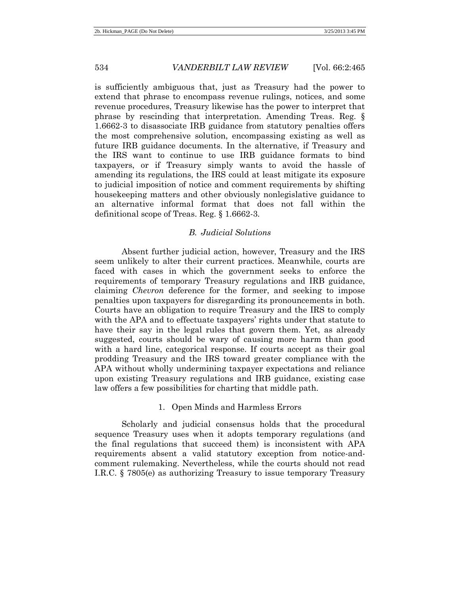is sufficiently ambiguous that, just as Treasury had the power to extend that phrase to encompass revenue rulings, notices, and some revenue procedures, Treasury likewise has the power to interpret that phrase by rescinding that interpretation. Amending Treas. Reg. § 1.6662-3 to disassociate IRB guidance from statutory penalties offers the most comprehensive solution, encompassing existing as well as future IRB guidance documents. In the alternative, if Treasury and the IRS want to continue to use IRB guidance formats to bind taxpayers, or if Treasury simply wants to avoid the hassle of amending its regulations, the IRS could at least mitigate its exposure to judicial imposition of notice and comment requirements by shifting housekeeping matters and other obviously nonlegislative guidance to an alternative informal format that does not fall within the definitional scope of Treas. Reg. § 1.6662-3.

### *B. Judicial Solutions*

Absent further judicial action, however, Treasury and the IRS seem unlikely to alter their current practices. Meanwhile, courts are faced with cases in which the government seeks to enforce the requirements of temporary Treasury regulations and IRB guidance, claiming *Chevron* deference for the former, and seeking to impose penalties upon taxpayers for disregarding its pronouncements in both. Courts have an obligation to require Treasury and the IRS to comply with the APA and to effectuate taxpayers' rights under that statute to have their say in the legal rules that govern them. Yet, as already suggested, courts should be wary of causing more harm than good with a hard line, categorical response. If courts accept as their goal prodding Treasury and the IRS toward greater compliance with the APA without wholly undermining taxpayer expectations and reliance upon existing Treasury regulations and IRB guidance, existing case law offers a few possibilities for charting that middle path.

### 1. Open Minds and Harmless Errors

Scholarly and judicial consensus holds that the procedural sequence Treasury uses when it adopts temporary regulations (and the final regulations that succeed them) is inconsistent with APA requirements absent a valid statutory exception from notice-andcomment rulemaking. Nevertheless, while the courts should not read I.R.C. § 7805(e) as authorizing Treasury to issue temporary Treasury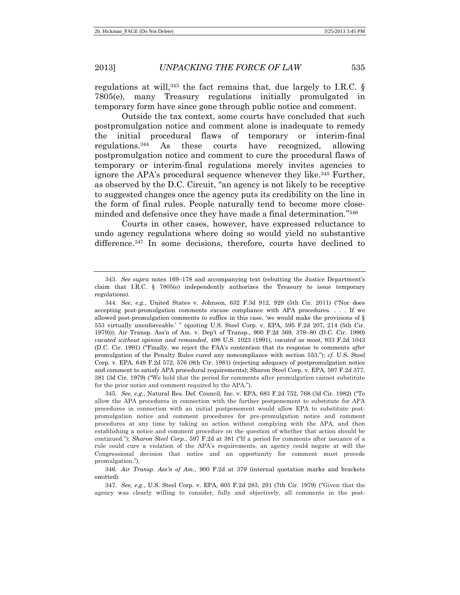regulations at will,  $343$  the fact remains that, due largely to I.R.C. § 7805(e), many Treasury regulations initially promulgated in temporary form have since gone through public notice and comment.

Outside the tax context, some courts have concluded that such postpromulgation notice and comment alone is inadequate to remedy the initial procedural flaws of temporary or interim-final regulations.<sup>344</sup> As these courts have recognized, allowing postpromulgation notice and comment to cure the procedural flaws of temporary or interim-final regulations merely invites agencies to ignore the APA's procedural sequence whenever they like. <sup>345</sup> Further, as observed by the D.C. Circuit, "an agency is not likely to be receptive to suggested changes once the agency puts its credibility on the line in the form of final rules. People naturally tend to become more closeminded and defensive once they have made a final determination." 346

Courts in other cases, however, have expressed reluctance to undo agency regulations where doing so would yield no substantive difference.<sup>347</sup> In some decisions, therefore, courts have declined to

345. *See, e.g.*, Natural Res. Def. Council, Inc. v. EPA, 683 F.2d 752, 768 (3d Cir. 1982) ("To allow the APA procedures in connection with the further postponement to substitute for APA procedures in connection with an initial postponement would allow EPA to substitute postpromulgation notice and comment procedures for pre-promulgation notice and comment procedures at any time by taking an action without complying with the APA, and then establishing a notice and comment procedure on the question of whether that action should be continued."); *Sharon Steel Corp.*, 597 F.2d at 381 ("If a period for comments after issuance of a rule could cure a violation of the APA's requirements, an agency could negate at will the Congressional decision that notice and an opportunity for comment must precede promulgation.").

346. *Air Transp. Ass'n of Am.*, 900 F.2d at 379 (internal quotation marks and brackets omitted).

347. *See, e.g.*, U.S. Steel Corp. v. EPA, 605 F.2d 283, 291 (7th Cir. 1979) ("Given that the agency was clearly willing to consider, fully and objectively, all comments in the post-

<sup>343.</sup> *See supra* notes [169](#page-32-0)–[178](#page-34-0) and accompanying text (rebutting the Justice Department's claim that I.R.C. § 7805(e) independently authorizes the Treasury to issue temporary regulations).

<sup>344.</sup> *See, e.g.*, United States v. Johnson, 632 F.3d 912, 929 (5th Cir. 2011) ("Nor does accepting post-promulgation comments excuse compliance with APA procedures. . . . If we allowed post-promulgation comments to suffice in this case, 'we would make the provisions of § 553 virtually unenforceable.' " (quoting U.S. Steel Corp. v. EPA, 595 F.2d 207, 214 (5th Cir. 1979))); Air Transp. Ass'n of Am. v. Dep't of Transp., 900 F.2d 369, 379–80 (D.C. Cir. 1990) *vacated without opinion and remanded*, 498 U.S. 1023 (1991), *vacated as moot*, 933 F.2d 1043 (D.C. Cir. 1991) ("Finally, we reject the FAA's contention that its response to comments *after* promulgation of the Penalty Rules cured any noncompliance with section 553."); *cf.* U.S. Steel Corp. v. EPA, 649 F.2d 572, 576 (8th Cir. 1981) (rejecting adequacy of postpromulgation notice and comment to satisfy APA procedural requirements); Sharon Steel Corp. v. EPA, 597 F.2d 377, 381 (3d Cir. 1979) ("We hold that the period for comments after promulgation cannot substitute for the prior notice and comment required by the APA.").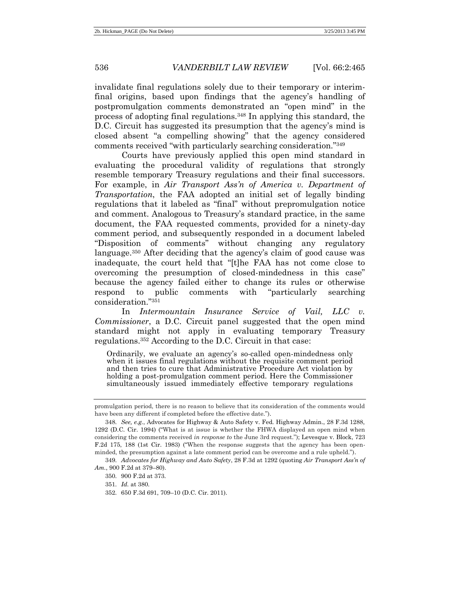invalidate final regulations solely due to their temporary or interimfinal origins, based upon findings that the agency's handling of postpromulgation comments demonstrated an "open mind" in the process of adopting final regulations.<sup>348</sup> In applying this standard, the D.C. Circuit has suggested its presumption that the agency's mind is closed absent "a compelling showing" that the agency considered comments received "with particularly searching consideration." 349

Courts have previously applied this open mind standard in evaluating the procedural validity of regulations that strongly resemble temporary Treasury regulations and their final successors. For example, in *Air Transport Ass'n of America v. Department of Transportation*, the FAA adopted an initial set of legally binding regulations that it labeled as "final" without prepromulgation notice and comment. Analogous to Treasury's standard practice, in the same document, the FAA requested comments, provided for a ninety-day comment period, and subsequently responded in a document labeled "Disposition of comments" without changing any regulatory language.<sup>350</sup> After deciding that the agency's claim of good cause was inadequate, the court held that "[t]he FAA has not come close to overcoming the presumption of closed-mindedness in this case" because the agency failed either to change its rules or otherwise respond to public comments with "particularly searching consideration."<sup>351</sup>

In *Intermountain Insurance Service of Vail, LLC v. Commissioner*, a D.C. Circuit panel suggested that the open mind standard might not apply in evaluating temporary Treasury regulations.<sup>352</sup> According to the D.C. Circuit in that case:

Ordinarily, we evaluate an agency's so-called open-mindedness only when it issues final regulations without the requisite comment period and then tries to cure that Administrative Procedure Act violation by holding a post-promulgation comment period. Here the Commissioner simultaneously issued immediately effective temporary regulations

promulgation period, there is no reason to believe that its consideration of the comments would have been any different if completed before the effective date.").

<sup>348.</sup> *See, e.g.*, Advocates for Highway & Auto Safety v. Fed. Highway Admin., 28 F.3d 1288, 1292 (D.C. Cir. 1994) ("What is at issue is whether the FHWA displayed an open mind when considering the comments received *in response to* the June 3rd request."); Levesque v. Block, 723 F.2d 175, 188 (1st Cir. 1983) ("When the response suggests that the agency has been openminded, the presumption against a late comment period can be overcome and a rule upheld.").

<sup>349.</sup> *Advocates for Highway and Auto Safety*, 28 F.3d at 1292 (quoting *Air Transport Ass'n of Am.*, 900 F.2d at 379–80).

<sup>350.</sup> 900 F.2d at 373.

<sup>351.</sup> *Id.* at 380.

<sup>352.</sup> 650 F.3d 691, 709–10 (D.C. Cir. 2011).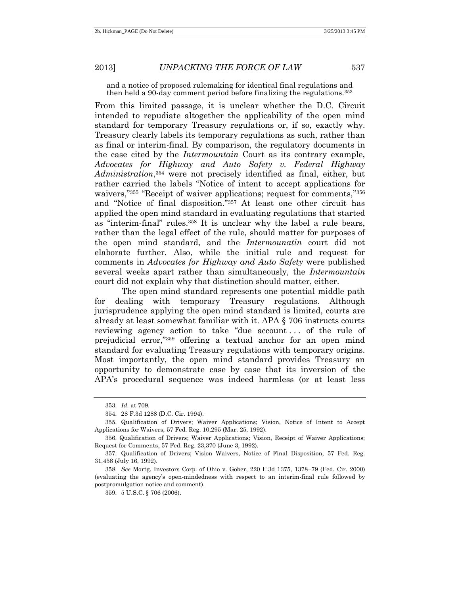and a notice of proposed rulemaking for identical final regulations and then held a 90-day comment period before finalizing the regulations.<sup>353</sup>

From this limited passage, it is unclear whether the D.C. Circuit intended to repudiate altogether the applicability of the open mind standard for temporary Treasury regulations or, if so, exactly why. Treasury clearly labels its temporary regulations as such, rather than as final or interim-final. By comparison, the regulatory documents in the case cited by the *Intermountain* Court as its contrary example, *Advocates for Highway and Auto Safety v. Federal Highway Administration*, <sup>354</sup> were not precisely identified as final, either, but rather carried the labels "Notice of intent to accept applications for waivers,"<sup>355</sup> "Receipt of waiver applications; request for comments,"<sup>356</sup> and "Notice of final disposition." <sup>357</sup> At least one other circuit has applied the open mind standard in evaluating regulations that started as "interim-final" rules.<sup>358</sup> It is unclear why the label a rule bears, rather than the legal effect of the rule, should matter for purposes of the open mind standard, and the *Intermounatin* court did not elaborate further. Also, while the initial rule and request for comments in *Advocates for Highway and Auto Safety* were published several weeks apart rather than simultaneously, the *Intermountain* court did not explain why that distinction should matter, either.

The open mind standard represents one potential middle path for dealing with temporary Treasury regulations. Although jurisprudence applying the open mind standard is limited, courts are already at least somewhat familiar with it. APA § 706 instructs courts reviewing agency action to take "due account . . . of the rule of prejudicial error," <sup>359</sup> offering a textual anchor for an open mind standard for evaluating Treasury regulations with temporary origins. Most importantly, the open mind standard provides Treasury an opportunity to demonstrate case by case that its inversion of the APA's procedural sequence was indeed harmless (or at least less

<sup>353.</sup> *Id.* at 709.

<sup>354.</sup> 28 F.3d 1288 (D.C. Cir. 1994).

<sup>355.</sup> Qualification of Drivers; Waiver Applications; Vision, Notice of Intent to Accept Applications for Waivers, 57 Fed. Reg. 10,295 (Mar. 25, 1992).

<sup>356.</sup> Qualification of Drivers; Waiver Applications; Vision, Receipt of Waiver Applications; Request for Comments, 57 Fed. Reg. 23,370 (June 3, 1992).

<sup>357.</sup> Qualification of Drivers; Vision Waivers, Notice of Final Disposition, 57 Fed. Reg. 31,458 (July 16, 1992).

<sup>358.</sup> *See* Mortg. Investors Corp. of Ohio v. Gober, 220 F.3d 1375, 1378–79 (Fed. Cir. 2000) (evaluating the agency's open-mindedness with respect to an interim-final rule followed by postpromulgation notice and comment).

<sup>359.</sup> 5 U.S.C. § 706 (2006).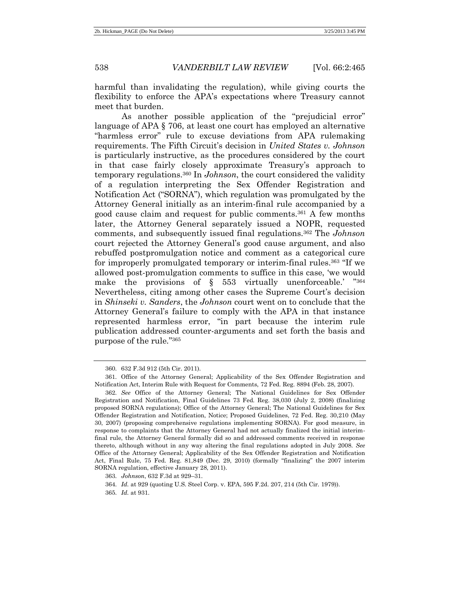harmful than invalidating the regulation), while giving courts the flexibility to enforce the APA's expectations where Treasury cannot meet that burden.

As another possible application of the "prejudicial error" language of APA § 706, at least one court has employed an alternative "harmless error" rule to excuse deviations from APA rulemaking requirements. The Fifth Circuit's decision in *United States v. Johnson* is particularly instructive, as the procedures considered by the court in that case fairly closely approximate Treasury's approach to temporary regulations.<sup>360</sup> In *Johnson*, the court considered the validity of a regulation interpreting the Sex Offender Registration and Notification Act ("SORNA"), which regulation was promulgated by the Attorney General initially as an interim-final rule accompanied by a good cause claim and request for public comments.<sup>361</sup> A few months later, the Attorney General separately issued a NOPR, requested comments, and subsequently issued final regulations.<sup>362</sup> The *Johnson* court rejected the Attorney General's good cause argument, and also rebuffed postpromulgation notice and comment as a categorical cure for improperly promulgated temporary or interim-final rules.<sup>363</sup> "If we allowed post-promulgation comments to suffice in this case, 'we would make the provisions of § 553 virtually unenforceable.' "364 Nevertheless, citing among other cases the Supreme Court's decision in *Shinseki v. Sanders*, the *Johnson* court went on to conclude that the Attorney General's failure to comply with the APA in that instance represented harmless error, "in part because the interim rule publication addressed counter-arguments and set forth the basis and purpose of the rule." 365

<sup>360.</sup> 632 F.3d 912 (5th Cir. 2011).

<sup>361.</sup> Office of the Attorney General; Applicability of the Sex Offender Registration and Notification Act, Interim Rule with Request for Comments, 72 Fed. Reg. 8894 (Feb. 28, 2007).

<sup>362.</sup> *See* Office of the Attorney General; The National Guidelines for Sex Offender Registration and Notification, Final Guidelines 73 Fed. Reg. 38,030 (July 2, 2008) (finalizing proposed SORNA regulations); Office of the Attorney General; The National Guidelines for Sex Offender Registration and Notification, Notice; Proposed Guidelines, 72 Fed. Reg. 30,210 (May 30, 2007) (proposing comprehensive regulations implementing SORNA). For good measure, in response to complaints that the Attorney General had not actually finalized the initial interimfinal rule, the Attorney General formally did so and addressed comments received in response thereto, although without in any way altering the final regulations adopted in July 2008. *See*  Office of the Attorney General; Applicability of the Sex Offender Registration and Notification Act, Final Rule, 75 Fed. Reg. 81,849 (Dec. 29, 2010) (formally "finalizing" the 2007 interim SORNA regulation, effective January 28, 2011).

<sup>363.</sup> *Johnson*, 632 F.3d at 929–31.

<sup>364.</sup> *Id.* at 929 (quoting U.S. Steel Corp. v. EPA, 595 F.2d. 207, 214 (5th Cir. 1979)).

<sup>365.</sup> *Id.* at 931.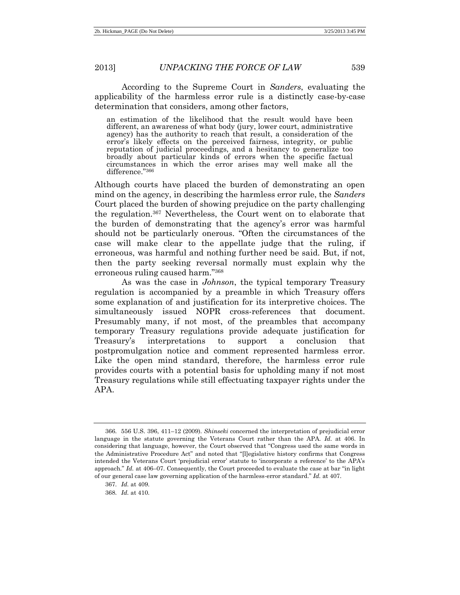According to the Supreme Court in *Sanders*, evaluating the applicability of the harmless error rule is a distinctly case-by-case determination that considers, among other factors,

an estimation of the likelihood that the result would have been different, an awareness of what body (jury, lower court, administrative agency) has the authority to reach that result, a consideration of the error's likely effects on the perceived fairness, integrity, or public reputation of judicial proceedings, and a hesitancy to generalize too broadly about particular kinds of errors when the specific factual circumstances in which the error arises may well make all the difference."<sup>366</sup>

Although courts have placed the burden of demonstrating an open mind on the agency, in describing the harmless error rule, the *Sanders* Court placed the burden of showing prejudice on the party challenging the regulation.<sup>367</sup> Nevertheless, the Court went on to elaborate that the burden of demonstrating that the agency's error was harmful should not be particularly onerous. "Often the circumstances of the case will make clear to the appellate judge that the ruling, if erroneous, was harmful and nothing further need be said. But, if not, then the party seeking reversal normally must explain why the erroneous ruling caused harm." 368

As was the case in *Johnson*, the typical temporary Treasury regulation is accompanied by a preamble in which Treasury offers some explanation of and justification for its interpretive choices. The simultaneously issued NOPR cross-references that document. Presumably many, if not most, of the preambles that accompany temporary Treasury regulations provide adequate justification for Treasury's interpretations to support a conclusion that postpromulgation notice and comment represented harmless error. Like the open mind standard, therefore, the harmless error rule provides courts with a potential basis for upholding many if not most Treasury regulations while still effectuating taxpayer rights under the APA.

<sup>366.</sup> 556 U.S. 396, 411–12 (2009). *Shinseki* concerned the interpretation of prejudicial error language in the statute governing the Veterans Court rather than the APA. *Id.* at 406. In considering that language, however, the Court observed that "Congress used the same words in the Administrative Procedure Act" and noted that "[l]egislative history confirms that Congress intended the Veterans Court 'prejudicial error' statute to 'incorporate a reference' to the APA's approach." *Id.* at 406–07. Consequently, the Court proceeded to evaluate the case at bar "in light of our general case law governing application of the harmless-error standard." *Id.* at 407.

<sup>367.</sup> *Id.* at 409.

<sup>368.</sup> *Id.* at 410.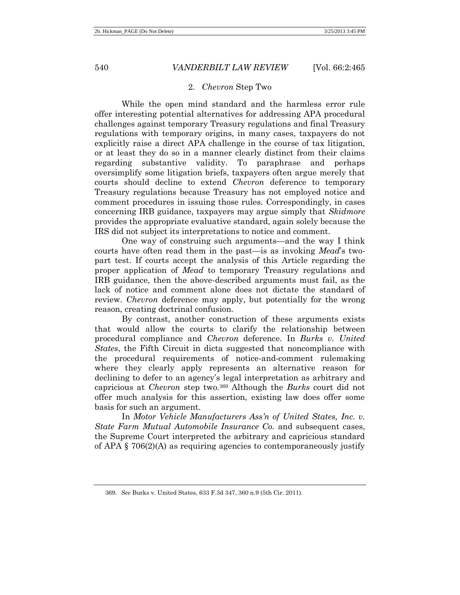## 2. *Chevron* Step Two

While the open mind standard and the harmless error rule offer interesting potential alternatives for addressing APA procedural challenges against temporary Treasury regulations and final Treasury regulations with temporary origins, in many cases, taxpayers do not explicitly raise a direct APA challenge in the course of tax litigation, or at least they do so in a manner clearly distinct from their claims regarding substantive validity. To paraphrase and perhaps oversimplify some litigation briefs, taxpayers often argue merely that courts should decline to extend *Chevron* deference to temporary Treasury regulations because Treasury has not employed notice and comment procedures in issuing those rules. Correspondingly, in cases concerning IRB guidance, taxpayers may argue simply that *Skidmore* provides the appropriate evaluative standard, again solely because the IRS did not subject its interpretations to notice and comment.

One way of construing such arguments—and the way I think courts have often read them in the past—is as invoking *Mead*'s twopart test. If courts accept the analysis of this Article regarding the proper application of *Mead* to temporary Treasury regulations and IRB guidance, then the above-described arguments must fail, as the lack of notice and comment alone does not dictate the standard of review. *Chevron* deference may apply, but potentially for the wrong reason, creating doctrinal confusion.

By contrast, another construction of these arguments exists that would allow the courts to clarify the relationship between procedural compliance and *Chevron* deference. In *Burks v. United States*, the Fifth Circuit in dicta suggested that noncompliance with the procedural requirements of notice-and-comment rulemaking where they clearly apply represents an alternative reason for declining to defer to an agency's legal interpretation as arbitrary and capricious at *Chevron* step two.<sup>369</sup> Although the *Burks* court did not offer much analysis for this assertion, existing law does offer some basis for such an argument.

In *Motor Vehicle Manufacturers Ass'n of United States, Inc. v. State Farm Mutual Automobile Insurance Co.* and subsequent cases, the Supreme Court interpreted the arbitrary and capricious standard of APA  $\S$  706(2)(A) as requiring agencies to contemporaneously justify

<sup>369.</sup> *See* Burks v. United States, 633 F.3d 347, 360 n.9 (5th Cir. 2011).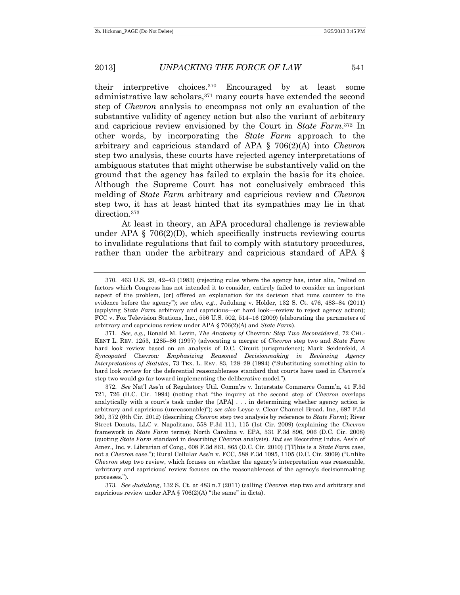their interpretive choices.<sup>370</sup> Encouraged by at least some administrative law scholars,<sup>371</sup> many courts have extended the second step of *Chevron* analysis to encompass not only an evaluation of the substantive validity of agency action but also the variant of arbitrary and capricious review envisioned by the Court in *State Farm*. <sup>372</sup> In other words, by incorporating the *State Farm* approach to the arbitrary and capricious standard of APA § 706(2)(A) into *Chevron* step two analysis, these courts have rejected agency interpretations of ambiguous statutes that might otherwise be substantively valid on the ground that the agency has failed to explain the basis for its choice. Although the Supreme Court has not conclusively embraced this melding of *State Farm* arbitrary and capricious review and *Chevron* step two, it has at least hinted that its sympathies may lie in that direction.<sup>373</sup>

At least in theory, an APA procedural challenge is reviewable under APA  $\S$  706(2)(D), which specifically instructs reviewing courts to invalidate regulations that fail to comply with statutory procedures, rather than under the arbitrary and capricious standard of APA §

<sup>370.</sup> 463 U.S. 29, 42–43 (1983) (rejecting rules where the agency has, inter alia, "relied on factors which Congress has not intended it to consider, entirely failed to consider an important aspect of the problem, [or] offered an explanation for its decision that runs counter to the evidence before the agency"); *see also, e.g.*, Judulang v. Holder, 132 S. Ct. 476, 483–84 (2011) (applying *State Farm* arbitrary and capricious—or hard look—review to reject agency action); FCC v. Fox Television Stations, Inc., 556 U.S. 502, 514–16 (2009) (elaborating the parameters of arbitrary and capricious review under APA § 706(2)(A) and *State Farm*).

<sup>371.</sup> *See, e.g.*, Ronald M. Levin, *The Anatomy of* Chevron*: Step Two Reconsidered*, 72 CHI.- KENT L. REV. 1253, 1285–86 (1997) (advocating a merger of *Chevron* step two and *State Farm* hard look review based on an analysis of D.C. Circuit jurisprudence); Mark Seidenfeld, *A Syncopated* Chevron*: Emphasizing Reasoned Decisionmaking in Reviewing Agency Interpretations of Statutes*, 73 TEX. L. REV. 83, 128–29 (1994) ("Substituting something akin to hard look review for the deferential reasonableness standard that courts have used in *Chevron*'s step two would go far toward implementing the deliberative model.").

<sup>372.</sup> *See* Nat'l Ass'n of Regulatory Util. Comm'rs v. Interstate Commerce Comm'n, 41 F.3d 721, 726 (D.C. Cir. 1994) (noting that "the inquiry at the second step of *Chevron* overlaps analytically with a court's task under the [APA] . . . in determining whether agency action is arbitrary and capricious (unreasonable)"); *see also* Leyse v. Clear Channel Broad. Inc., 697 F.3d 360, 372 (6th Cir. 2012) (describing *Chevron* step two analysis by reference to *State Farm*); River Street Donuts, LLC v. Napolitano, 558 F.3d 111, 115 (1st Cir. 2009) (explaining the *Chevron* framework in *State Farm* terms); North Carolina v. EPA, 531 F.3d 896, 906 (D.C. Cir. 2008) (quoting *State Farm* standard in describing *Chevron* analysis). *But see* Recording Indus. Ass'n of Amer., Inc. v. Librarian of Cong., 608 F.3d 861, 865 (D.C. Cir. 2010) ("[T]his is a *State Farm* case, not a *Chevron* case."); Rural Cellular Ass'n v. FCC, 588 F.3d 1095, 1105 (D.C. Cir. 2009) ("Unlike *Chevron* step two review, which focuses on whether the agency's interpretation was reasonable, 'arbitrary and capricious' review focuses on the reasonableness of the agency's decisionmaking processes.").

<sup>373.</sup> *See Judulang*, 132 S. Ct. at 483 n.7 (2011) (calling *Chevron* step two and arbitrary and capricious review under APA  $\S$  706(2)(A) "the same" in dicta).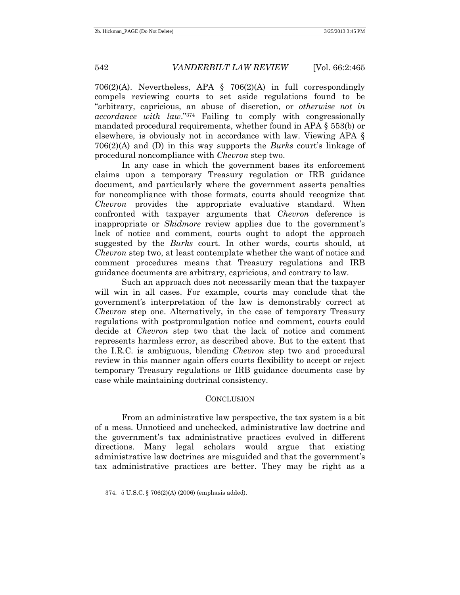706(2)(A). Nevertheless, APA § 706(2)(A) in full correspondingly compels reviewing courts to set aside regulations found to be "arbitrary, capricious, an abuse of discretion, or *otherwise not in accordance with law*." <sup>374</sup> Failing to comply with congressionally mandated procedural requirements, whether found in APA § 553(b) or elsewhere, is obviously not in accordance with law. Viewing APA § 706(2)(A) and (D) in this way supports the *Burks* court's linkage of procedural noncompliance with *Chevron* step two.

In any case in which the government bases its enforcement claims upon a temporary Treasury regulation or IRB guidance document, and particularly where the government asserts penalties for noncompliance with those formats, courts should recognize that *Chevron* provides the appropriate evaluative standard. When confronted with taxpayer arguments that *Chevron* deference is inappropriate or *Skidmore* review applies due to the government's lack of notice and comment, courts ought to adopt the approach suggested by the *Burks* court. In other words, courts should, at *Chevron* step two, at least contemplate whether the want of notice and comment procedures means that Treasury regulations and IRB guidance documents are arbitrary, capricious, and contrary to law.

Such an approach does not necessarily mean that the taxpayer will win in all cases. For example, courts may conclude that the government's interpretation of the law is demonstrably correct at *Chevron* step one. Alternatively, in the case of temporary Treasury regulations with postpromulgation notice and comment, courts could decide at *Chevron* step two that the lack of notice and comment represents harmless error, as described above. But to the extent that the I.R.C. is ambiguous, blending *Chevron* step two and procedural review in this manner again offers courts flexibility to accept or reject temporary Treasury regulations or IRB guidance documents case by case while maintaining doctrinal consistency.

## **CONCLUSION**

From an administrative law perspective, the tax system is a bit of a mess. Unnoticed and unchecked, administrative law doctrine and the government's tax administrative practices evolved in different directions. Many legal scholars would argue that existing administrative law doctrines are misguided and that the government's tax administrative practices are better. They may be right as a

<sup>374.</sup> 5 U.S.C. § 706(2)(A) (2006) (emphasis added).